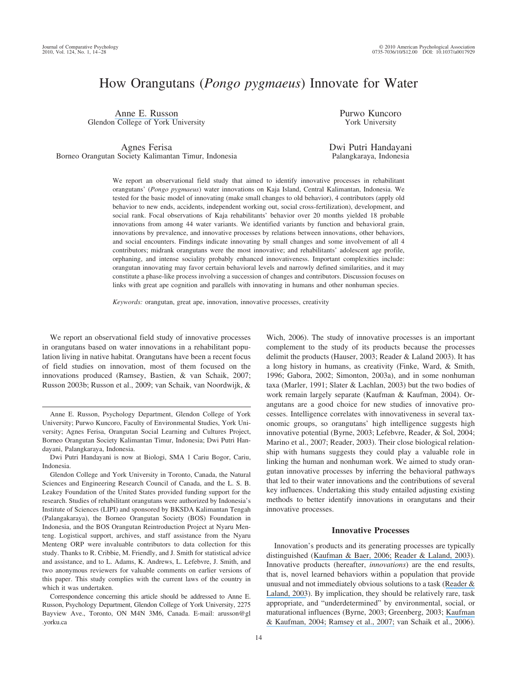# How Orangutans (*Pongo pygmaeus*) Innovate for Water

[Anne E. Russon](https://www.researchgate.net/profile/Anne_Russon?el=1_x_100&enrichId=rgreq-298135d38c2275253ec58356c6f255ef-XXX&enrichSource=Y292ZXJQYWdlOzQxNTMxMDg2O0FTOjEyMDIzMjg4MjQ3OTEwNEAxNDA1Njc3MTYxNTYx) Glendon College of York University

Agnes Ferisa Borneo Orangutan Society Kalimantan Timur, Indonesia Purwo Kuncoro York University

Dwi Putri Handayani Palangkaraya, Indonesia

We report an observational field study that aimed to identify innovative processes in rehabilitant orangutans' (*Pongo pygmaeus*) water innovations on Kaja Island, Central Kalimantan, Indonesia. We tested for the basic model of innovating (make small changes to old behavior), 4 contributors (apply old behavior to new ends, accidents, independent working out, social cross-fertilization), development, and social rank. Focal observations of Kaja rehabilitants' behavior over 20 months yielded 18 probable innovations from among 44 water variants. We identified variants by function and behavioral grain, innovations by prevalence, and innovative processes by relations between innovations, other behaviors, and social encounters. Findings indicate innovating by small changes and some involvement of all 4 contributors; midrank orangutans were the most innovative; and rehabilitants' adolescent age profile, orphaning, and intense sociality probably enhanced innovativeness. Important complexities include: orangutan innovating may favor certain behavioral levels and narrowly defined similarities, and it may constitute a phase-like process involving a succession of changes and contributors. Discussion focuses on links with great ape cognition and parallels with innovating in humans and other nonhuman species.

*Keywords:* orangutan, great ape, innovation, innovative processes, creativity

We report an observational field study of innovative processes in orangutans based on water innovations in a rehabilitant population living in native habitat. Orangutans have been a recent focus of field studies on innovation, most of them focused on the innovations produced (Ramsey, Bastien, & van Schaik, 2007; Russon 2003b; Russon et al., 2009; van Schaik, van Noordwijk, &

Anne E. Russon, Psychology Department, Glendon College of York University; Purwo Kuncoro, Faculty of Environmental Studies, York University; Agnes Ferisa, Orangutan Social Learning and Cultures Project, Borneo Orangutan Society Kalimantan Timur, Indonesia; Dwi Putri Handayani, Palangkaraya, Indonesia.

Dwi Putri Handayani is now at Biologi, SMA 1 Cariu Bogor, Cariu, Indonesia.

Glendon College and York University in Toronto, Canada, the Natural Sciences and Engineering Research Council of Canada, and the L. S. B. Leakey Foundation of the United States provided funding support for the research. Studies of rehabilitant orangutans were authorized by Indonesia's Institute of Sciences (LIPI) and sponsored by BKSDA Kalimantan Tengah (Palangakaraya), the Borneo Orangutan Society (BOS) Foundation in Indonesia, and the BOS Orangutan Reintroduction Project at Nyaru Menteng. Logistical support, archives, and staff assistance from the Nyaru Menteng ORP were invaluable contributors to data collection for this study. Thanks to R. Cribbie, M. Friendly, and J. Smith for statistical advice and assistance, and to L. Adams, K. Andrews, L. Lefebvre, J. Smith, and two anonymous reviewers for valuable comments on earlier versions of this paper. This study complies with the current laws of the country in which it was undertaken.

Correspondence concerning this article should be addressed to Anne E. Russon, Psychology Department, Glendon College of York University, 2275 Bayview Ave., Toronto, ON M4N 3M6, Canada. E-mail: arusson@gl .yorku.ca

Wich, 2006). The study of innovative processes is an important complement to the study of its products because the processes delimit the products (Hauser, 2003; Reader & Laland 2003). It has a long history in humans, as creativity (Finke, Ward, & Smith, 1996; Gabora, 2002; Simonton, 2003a), and in some nonhuman taxa (Marler, 1991; Slater & Lachlan, 2003) but the two bodies of work remain largely separate (Kaufman & Kaufman, 2004). Orangutans are a good choice for new studies of innovative processes. Intelligence correlates with innovativeness in several taxonomic groups, so orangutans' high intelligence suggests high innovative potential (Byrne, 2003; Lefebvre, Reader, & Sol, 2004; Marino et al., 2007; Reader, 2003). Their close biological relationship with humans suggests they could play a valuable role in linking the human and nonhuman work. We aimed to study orangutan innovative processes by inferring the behavioral pathways that led to their water innovations and the contributions of several key influences. Undertaking this study entailed adjusting existing methods to better identify innovations in orangutans and their innovative processes.

#### **Innovative Processes**

Innovation's products and its generating processes are typically distinguished ([Kaufman & Baer, 2006;](https://www.researchgate.net/publication/261797718_Creativity_and_reason_in_cognitive_development?el=1_x_8&enrichId=rgreq-298135d38c2275253ec58356c6f255ef-XXX&enrichSource=Y292ZXJQYWdlOzQxNTMxMDg2O0FTOjEyMDIzMjg4MjQ3OTEwNEAxNDA1Njc3MTYxNTYx) [Reader & Laland, 2003](https://www.researchgate.net/publication/46634838_Animal_Innovation_An_Introduction?el=1_x_8&enrichId=rgreq-298135d38c2275253ec58356c6f255ef-XXX&enrichSource=Y292ZXJQYWdlOzQxNTMxMDg2O0FTOjEyMDIzMjg4MjQ3OTEwNEAxNDA1Njc3MTYxNTYx)). Innovative products (hereafter, *innovations*) are the end results, that is, novel learned behaviors within a population that provide unusual and not immediately obvious solutions to a task ([Reader &](https://www.researchgate.net/publication/46634838_Animal_Innovation_An_Introduction?el=1_x_8&enrichId=rgreq-298135d38c2275253ec58356c6f255ef-XXX&enrichSource=Y292ZXJQYWdlOzQxNTMxMDg2O0FTOjEyMDIzMjg4MjQ3OTEwNEAxNDA1Njc3MTYxNTYx) [Laland, 2003](https://www.researchgate.net/publication/46634838_Animal_Innovation_An_Introduction?el=1_x_8&enrichId=rgreq-298135d38c2275253ec58356c6f255ef-XXX&enrichSource=Y292ZXJQYWdlOzQxNTMxMDg2O0FTOjEyMDIzMjg4MjQ3OTEwNEAxNDA1Njc3MTYxNTYx)). By implication, they should be relatively rare, task appropriate, and "underdetermined" by environmental, social, or maturational influences (Byrne, 2003; Greenberg, 2003; [Kaufman](https://www.researchgate.net/publication/222190438_Applying_a_creativity_framework_to_animal_cognition?el=1_x_8&enrichId=rgreq-298135d38c2275253ec58356c6f255ef-XXX&enrichSource=Y292ZXJQYWdlOzQxNTMxMDg2O0FTOjEyMDIzMjg4MjQ3OTEwNEAxNDA1Njc3MTYxNTYx) [& Kaufman, 2004;](https://www.researchgate.net/publication/222190438_Applying_a_creativity_framework_to_animal_cognition?el=1_x_8&enrichId=rgreq-298135d38c2275253ec58356c6f255ef-XXX&enrichSource=Y292ZXJQYWdlOzQxNTMxMDg2O0FTOjEyMDIzMjg4MjQ3OTEwNEAxNDA1Njc3MTYxNTYx) [Ramsey et al., 2007;](https://www.researchgate.net/publication/5766633_Animal_innovation_defined_and_operationalized?el=1_x_8&enrichId=rgreq-298135d38c2275253ec58356c6f255ef-XXX&enrichSource=Y292ZXJQYWdlOzQxNTMxMDg2O0FTOjEyMDIzMjg4MjQ3OTEwNEAxNDA1Njc3MTYxNTYx) van Schaik et al., 2006).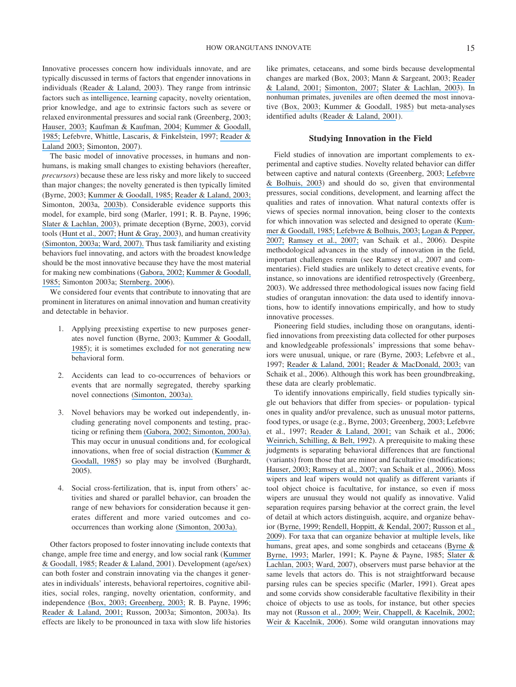Innovative processes concern how individuals innovate, and are typically discussed in terms of factors that engender innovations in individuals ([Reader & Laland, 2003](https://www.researchgate.net/publication/46634838_Animal_Innovation_An_Introduction?el=1_x_8&enrichId=rgreq-298135d38c2275253ec58356c6f255ef-XXX&enrichSource=Y292ZXJQYWdlOzQxNTMxMDg2O0FTOjEyMDIzMjg4MjQ3OTEwNEAxNDA1Njc3MTYxNTYx)). They range from intrinsic factors such as intelligence, learning capacity, novelty orientation, prior knowledge, and age to extrinsic factors such as severe or relaxed environmental pressures and social rank (Greenberg, 2003; [Hauser, 2003;](https://www.researchgate.net/publication/232466113_To_Innovate_or_Not_to_Innovate_That_is_the_question?el=1_x_8&enrichId=rgreq-298135d38c2275253ec58356c6f255ef-XXX&enrichSource=Y292ZXJQYWdlOzQxNTMxMDg2O0FTOjEyMDIzMjg4MjQ3OTEwNEAxNDA1Njc3MTYxNTYx) [Kaufman & Kaufman, 2004;](https://www.researchgate.net/publication/222190438_Applying_a_creativity_framework_to_animal_cognition?el=1_x_8&enrichId=rgreq-298135d38c2275253ec58356c6f255ef-XXX&enrichSource=Y292ZXJQYWdlOzQxNTMxMDg2O0FTOjEyMDIzMjg4MjQ3OTEwNEAxNDA1Njc3MTYxNTYx) [Kummer & Goodall,](https://www.researchgate.net/publication/240256252_Conditions_of_Innovative_Behaviour_in_Primates?el=1_x_8&enrichId=rgreq-298135d38c2275253ec58356c6f255ef-XXX&enrichSource=Y292ZXJQYWdlOzQxNTMxMDg2O0FTOjEyMDIzMjg4MjQ3OTEwNEAxNDA1Njc3MTYxNTYx) [1985;](https://www.researchgate.net/publication/240256252_Conditions_of_Innovative_Behaviour_in_Primates?el=1_x_8&enrichId=rgreq-298135d38c2275253ec58356c6f255ef-XXX&enrichSource=Y292ZXJQYWdlOzQxNTMxMDg2O0FTOjEyMDIzMjg4MjQ3OTEwNEAxNDA1Njc3MTYxNTYx) Lefebvre, Whittle, Lascaris, & Finkelstein, 1997; [Reader &](https://www.researchgate.net/publication/46634838_Animal_Innovation_An_Introduction?el=1_x_8&enrichId=rgreq-298135d38c2275253ec58356c6f255ef-XXX&enrichSource=Y292ZXJQYWdlOzQxNTMxMDg2O0FTOjEyMDIzMjg4MjQ3OTEwNEAxNDA1Njc3MTYxNTYx) [Laland 2003;](https://www.researchgate.net/publication/46634838_Animal_Innovation_An_Introduction?el=1_x_8&enrichId=rgreq-298135d38c2275253ec58356c6f255ef-XXX&enrichSource=Y292ZXJQYWdlOzQxNTMxMDg2O0FTOjEyMDIzMjg4MjQ3OTEwNEAxNDA1Njc3MTYxNTYx) [Simonton, 2007](https://www.researchgate.net/publication/232593631_Creative_life_cycles_in_literature_Poets_versus_novelists_or_conceptualists_versus_experimentalists?el=1_x_8&enrichId=rgreq-298135d38c2275253ec58356c6f255ef-XXX&enrichSource=Y292ZXJQYWdlOzQxNTMxMDg2O0FTOjEyMDIzMjg4MjQ3OTEwNEAxNDA1Njc3MTYxNTYx)).

The basic model of innovative processes, in humans and nonhumans, is making small changes to existing behaviors (hereafter, *precursors*) because these are less risky and more likely to succeed than major changes; the novelty generated is then typically limited (Byrne, 2003; [Kummer & Goodall, 1985;](https://www.researchgate.net/publication/240256252_Conditions_of_Innovative_Behaviour_in_Primates?el=1_x_8&enrichId=rgreq-298135d38c2275253ec58356c6f255ef-XXX&enrichSource=Y292ZXJQYWdlOzQxNTMxMDg2O0FTOjEyMDIzMjg4MjQ3OTEwNEAxNDA1Njc3MTYxNTYx) [Reader & Laland, 2003;](https://www.researchgate.net/publication/46634838_Animal_Innovation_An_Introduction?el=1_x_8&enrichId=rgreq-298135d38c2275253ec58356c6f255ef-XXX&enrichSource=Y292ZXJQYWdlOzQxNTMxMDg2O0FTOjEyMDIzMjg4MjQ3OTEwNEAxNDA1Njc3MTYxNTYx) Simonton, 2003a, [2003b](https://www.researchgate.net/publication/10673087_Scientific_Creativity_as_Constrained_Stochastic_Behavior_The_Integration_of_Product_Person_and_Process_Perspectives?el=1_x_8&enrichId=rgreq-298135d38c2275253ec58356c6f255ef-XXX&enrichSource=Y292ZXJQYWdlOzQxNTMxMDg2O0FTOjEyMDIzMjg4MjQ3OTEwNEAxNDA1Njc3MTYxNTYx)). Considerable evidence supports this model, for example, bird song (Marler, 1991; R. B. Payne, 1996; [Slater & Lachlan, 2003](https://www.researchgate.net/publication/232550296_Is_Innovation_in_Bird_Song_Adaptive?el=1_x_8&enrichId=rgreq-298135d38c2275253ec58356c6f255ef-XXX&enrichSource=Y292ZXJQYWdlOzQxNTMxMDg2O0FTOjEyMDIzMjg4MjQ3OTEwNEAxNDA1Njc3MTYxNTYx)), primate deception (Byrne, 2003), corvid tools ([Hunt et al.](https://www.researchgate.net/publication/236835039_Innovative_pandanus-tool_folding_by_New_Caledonian_crows?el=1_x_8&enrichId=rgreq-298135d38c2275253ec58356c6f255ef-XXX&enrichSource=Y292ZXJQYWdlOzQxNTMxMDg2O0FTOjEyMDIzMjg4MjQ3OTEwNEAxNDA1Njc3MTYxNTYx)*,* 2007; [Hunt & Gray, 2003](https://www.researchgate.net/publication/10767706_Diversification_and_cumulative_evolution_in_New_Caledonian_crow_tool_manufacture?el=1_x_8&enrichId=rgreq-298135d38c2275253ec58356c6f255ef-XXX&enrichSource=Y292ZXJQYWdlOzQxNTMxMDg2O0FTOjEyMDIzMjg4MjQ3OTEwNEAxNDA1Njc3MTYxNTYx)), and human creativity [\(Simonton, 2003a; Ward, 2007\).](https://www.researchgate.net/publication/287349809_Human_Creativity_Two_Darwinian_Analyses?el=1_x_8&enrichId=rgreq-298135d38c2275253ec58356c6f255ef-XXX&enrichSource=Y292ZXJQYWdlOzQxNTMxMDg2O0FTOjEyMDIzMjg4MjQ3OTEwNEAxNDA1Njc3MTYxNTYx) Thus task familiarity and existing behaviors fuel innovating, and actors with the broadest knowledge should be the most innovative because they have the most material for making new combinations ([Gabora, 2002;](https://www.researchgate.net/publication/28763600_Cognitive_Mechanisms_Underlying_the_Creative_Process?el=1_x_8&enrichId=rgreq-298135d38c2275253ec58356c6f255ef-XXX&enrichSource=Y292ZXJQYWdlOzQxNTMxMDg2O0FTOjEyMDIzMjg4MjQ3OTEwNEAxNDA1Njc3MTYxNTYx) [Kummer & Goodall,](https://www.researchgate.net/publication/240256252_Conditions_of_Innovative_Behaviour_in_Primates?el=1_x_8&enrichId=rgreq-298135d38c2275253ec58356c6f255ef-XXX&enrichSource=Y292ZXJQYWdlOzQxNTMxMDg2O0FTOjEyMDIzMjg4MjQ3OTEwNEAxNDA1Njc3MTYxNTYx) [1985;](https://www.researchgate.net/publication/240256252_Conditions_of_Innovative_Behaviour_in_Primates?el=1_x_8&enrichId=rgreq-298135d38c2275253ec58356c6f255ef-XXX&enrichSource=Y292ZXJQYWdlOzQxNTMxMDg2O0FTOjEyMDIzMjg4MjQ3OTEwNEAxNDA1Njc3MTYxNTYx) Simonton 2003a; [Sternberg, 2006](https://www.researchgate.net/publication/220041126_The_Nature_of_Creativity?el=1_x_8&enrichId=rgreq-298135d38c2275253ec58356c6f255ef-XXX&enrichSource=Y292ZXJQYWdlOzQxNTMxMDg2O0FTOjEyMDIzMjg4MjQ3OTEwNEAxNDA1Njc3MTYxNTYx)).

We considered four events that contribute to innovating that are prominent in literatures on animal innovation and human creativity and detectable in behavior.

- 1. Applying preexisting expertise to new purposes generates novel function (Byrne, 2003; [Kummer & Goodall,](https://www.researchgate.net/publication/240256252_Conditions_of_Innovative_Behaviour_in_Primates?el=1_x_8&enrichId=rgreq-298135d38c2275253ec58356c6f255ef-XXX&enrichSource=Y292ZXJQYWdlOzQxNTMxMDg2O0FTOjEyMDIzMjg4MjQ3OTEwNEAxNDA1Njc3MTYxNTYx) [1985](https://www.researchgate.net/publication/240256252_Conditions_of_Innovative_Behaviour_in_Primates?el=1_x_8&enrichId=rgreq-298135d38c2275253ec58356c6f255ef-XXX&enrichSource=Y292ZXJQYWdlOzQxNTMxMDg2O0FTOjEyMDIzMjg4MjQ3OTEwNEAxNDA1Njc3MTYxNTYx)); it is sometimes excluded for not generating new behavioral form.
- 2. Accidents can lead to co-occurrences of behaviors or events that are normally segregated, thereby sparking novel connections [\(Simonton, 2003a\).](https://www.researchgate.net/publication/287349809_Human_Creativity_Two_Darwinian_Analyses?el=1_x_8&enrichId=rgreq-298135d38c2275253ec58356c6f255ef-XXX&enrichSource=Y292ZXJQYWdlOzQxNTMxMDg2O0FTOjEyMDIzMjg4MjQ3OTEwNEAxNDA1Njc3MTYxNTYx)
- 3. Novel behaviors may be worked out independently, including generating novel components and testing, practicing or refining them [\(Gabora, 2002; Simonton, 2003a\).](https://www.researchgate.net/publication/287349809_Human_Creativity_Two_Darwinian_Analyses?el=1_x_8&enrichId=rgreq-298135d38c2275253ec58356c6f255ef-XXX&enrichSource=Y292ZXJQYWdlOzQxNTMxMDg2O0FTOjEyMDIzMjg4MjQ3OTEwNEAxNDA1Njc3MTYxNTYx) This may occur in unusual conditions and, for ecological innovations, when free of social distraction ([Kummer &](https://www.researchgate.net/publication/240256252_Conditions_of_Innovative_Behaviour_in_Primates?el=1_x_8&enrichId=rgreq-298135d38c2275253ec58356c6f255ef-XXX&enrichSource=Y292ZXJQYWdlOzQxNTMxMDg2O0FTOjEyMDIzMjg4MjQ3OTEwNEAxNDA1Njc3MTYxNTYx) [Goodall, 1985](https://www.researchgate.net/publication/240256252_Conditions_of_Innovative_Behaviour_in_Primates?el=1_x_8&enrichId=rgreq-298135d38c2275253ec58356c6f255ef-XXX&enrichSource=Y292ZXJQYWdlOzQxNTMxMDg2O0FTOjEyMDIzMjg4MjQ3OTEwNEAxNDA1Njc3MTYxNTYx)) so play may be involved (Burghardt, 2005).
- 4. Social cross-fertilization, that is, input from others' activities and shared or parallel behavior, can broaden the range of new behaviors for consideration because it generates different and more varied outcomes and cooccurrences than working alone [\(Simonton, 2003a\).](https://www.researchgate.net/publication/287349809_Human_Creativity_Two_Darwinian_Analyses?el=1_x_8&enrichId=rgreq-298135d38c2275253ec58356c6f255ef-XXX&enrichSource=Y292ZXJQYWdlOzQxNTMxMDg2O0FTOjEyMDIzMjg4MjQ3OTEwNEAxNDA1Njc3MTYxNTYx)

Other factors proposed to foster innovating include contexts that change, ample free time and energy, and low social rank ([Kummer](https://www.researchgate.net/publication/240256252_Conditions_of_Innovative_Behaviour_in_Primates?el=1_x_8&enrichId=rgreq-298135d38c2275253ec58356c6f255ef-XXX&enrichSource=Y292ZXJQYWdlOzQxNTMxMDg2O0FTOjEyMDIzMjg4MjQ3OTEwNEAxNDA1Njc3MTYxNTYx) [& Goodall, 1985;](https://www.researchgate.net/publication/240256252_Conditions_of_Innovative_Behaviour_in_Primates?el=1_x_8&enrichId=rgreq-298135d38c2275253ec58356c6f255ef-XXX&enrichSource=Y292ZXJQYWdlOzQxNTMxMDg2O0FTOjEyMDIzMjg4MjQ3OTEwNEAxNDA1Njc3MTYxNTYx) [Reader & Laland, 2001](https://www.researchgate.net/publication/263058460_Primate_Innovation_Sex_Age_and_Social_Rank_Differences?el=1_x_8&enrichId=rgreq-298135d38c2275253ec58356c6f255ef-XXX&enrichSource=Y292ZXJQYWdlOzQxNTMxMDg2O0FTOjEyMDIzMjg4MjQ3OTEwNEAxNDA1Njc3MTYxNTYx)). Development (age/sex) can both foster and constrain innovating via the changes it generates in individuals' interests, behavioral repertoires, cognitive abilities, social roles, ranging, novelty orientation, conformity, and independence [\(Box, 2003; Greenberg, 2003;](https://www.researchgate.net/publication/232587293_Characteristics_and_Propensities_of_Marmosets_and_Tamarins_Implications_for_Studies_of_Innovation?el=1_x_8&enrichId=rgreq-298135d38c2275253ec58356c6f255ef-XXX&enrichSource=Y292ZXJQYWdlOzQxNTMxMDg2O0FTOjEyMDIzMjg4MjQ3OTEwNEAxNDA1Njc3MTYxNTYx) R. B. Payne, 1996; [Reader & Laland, 2001;](https://www.researchgate.net/publication/263058460_Primate_Innovation_Sex_Age_and_Social_Rank_Differences?el=1_x_8&enrichId=rgreq-298135d38c2275253ec58356c6f255ef-XXX&enrichSource=Y292ZXJQYWdlOzQxNTMxMDg2O0FTOjEyMDIzMjg4MjQ3OTEwNEAxNDA1Njc3MTYxNTYx) Russon, 2003a; Simonton, 2003a). Its effects are likely to be pronounced in taxa with slow life histories

like primates, cetaceans, and some birds because developmental changes are marked (Box, 2003; Mann & Sargeant, 2003; [Reader](https://www.researchgate.net/publication/263058460_Primate_Innovation_Sex_Age_and_Social_Rank_Differences?el=1_x_8&enrichId=rgreq-298135d38c2275253ec58356c6f255ef-XXX&enrichSource=Y292ZXJQYWdlOzQxNTMxMDg2O0FTOjEyMDIzMjg4MjQ3OTEwNEAxNDA1Njc3MTYxNTYx) [& Laland, 2001;](https://www.researchgate.net/publication/263058460_Primate_Innovation_Sex_Age_and_Social_Rank_Differences?el=1_x_8&enrichId=rgreq-298135d38c2275253ec58356c6f255ef-XXX&enrichSource=Y292ZXJQYWdlOzQxNTMxMDg2O0FTOjEyMDIzMjg4MjQ3OTEwNEAxNDA1Njc3MTYxNTYx) [Simonton, 2007;](https://www.researchgate.net/publication/232593631_Creative_life_cycles_in_literature_Poets_versus_novelists_or_conceptualists_versus_experimentalists?el=1_x_8&enrichId=rgreq-298135d38c2275253ec58356c6f255ef-XXX&enrichSource=Y292ZXJQYWdlOzQxNTMxMDg2O0FTOjEyMDIzMjg4MjQ3OTEwNEAxNDA1Njc3MTYxNTYx) [Slater & Lachlan, 2003](https://www.researchgate.net/publication/232550296_Is_Innovation_in_Bird_Song_Adaptive?el=1_x_8&enrichId=rgreq-298135d38c2275253ec58356c6f255ef-XXX&enrichSource=Y292ZXJQYWdlOzQxNTMxMDg2O0FTOjEyMDIzMjg4MjQ3OTEwNEAxNDA1Njc3MTYxNTYx)). In nonhuman primates, juveniles are often deemed the most innovative [\(Box, 2003; K](https://www.researchgate.net/publication/232587293_Characteristics_and_Propensities_of_Marmosets_and_Tamarins_Implications_for_Studies_of_Innovation?el=1_x_8&enrichId=rgreq-298135d38c2275253ec58356c6f255ef-XXX&enrichSource=Y292ZXJQYWdlOzQxNTMxMDg2O0FTOjEyMDIzMjg4MjQ3OTEwNEAxNDA1Njc3MTYxNTYx)[ummer & Goodall, 198](https://www.researchgate.net/publication/240256252_Conditions_of_Innovative_Behaviour_in_Primates?el=1_x_8&enrichId=rgreq-298135d38c2275253ec58356c6f255ef-XXX&enrichSource=Y292ZXJQYWdlOzQxNTMxMDg2O0FTOjEyMDIzMjg4MjQ3OTEwNEAxNDA1Njc3MTYxNTYx)[5\)](https://www.researchgate.net/publication/232587293_Characteristics_and_Propensities_of_Marmosets_and_Tamarins_Implications_for_Studies_of_Innovation?el=1_x_8&enrichId=rgreq-298135d38c2275253ec58356c6f255ef-XXX&enrichSource=Y292ZXJQYWdlOzQxNTMxMDg2O0FTOjEyMDIzMjg4MjQ3OTEwNEAxNDA1Njc3MTYxNTYx) but meta-analyses identified adults ([Reader & Laland, 2001](https://www.researchgate.net/publication/263058460_Primate_Innovation_Sex_Age_and_Social_Rank_Differences?el=1_x_8&enrichId=rgreq-298135d38c2275253ec58356c6f255ef-XXX&enrichSource=Y292ZXJQYWdlOzQxNTMxMDg2O0FTOjEyMDIzMjg4MjQ3OTEwNEAxNDA1Njc3MTYxNTYx)).

## **Studying Innovation in the Field**

Field studies of innovation are important complements to experimental and captive studies. Novelty related behavior can differ between captive and natural contexts (Greenberg, 2003; [Lefebvre](https://www.researchgate.net/publication/46643390_Positive_and_Negative_Correlates_of_Feeding_Innovations_in_Birds_Evidence_for_Limited_Modularity?el=1_x_8&enrichId=rgreq-298135d38c2275253ec58356c6f255ef-XXX&enrichSource=Y292ZXJQYWdlOzQxNTMxMDg2O0FTOjEyMDIzMjg4MjQ3OTEwNEAxNDA1Njc3MTYxNTYx) [& Bolhuis, 2003](https://www.researchgate.net/publication/46643390_Positive_and_Negative_Correlates_of_Feeding_Innovations_in_Birds_Evidence_for_Limited_Modularity?el=1_x_8&enrichId=rgreq-298135d38c2275253ec58356c6f255ef-XXX&enrichSource=Y292ZXJQYWdlOzQxNTMxMDg2O0FTOjEyMDIzMjg4MjQ3OTEwNEAxNDA1Njc3MTYxNTYx)) and should do so, given that environmental pressures, social conditions, development, and learning affect the qualities and rates of innovation. What natural contexts offer is views of species normal innovation, being closer to the contexts for which innovation was selected and designed to operate ([Kum](https://www.researchgate.net/publication/240256252_Conditions_of_Innovative_Behaviour_in_Primates?el=1_x_8&enrichId=rgreq-298135d38c2275253ec58356c6f255ef-XXX&enrichSource=Y292ZXJQYWdlOzQxNTMxMDg2O0FTOjEyMDIzMjg4MjQ3OTEwNEAxNDA1Njc3MTYxNTYx)[mer & Goodall, 1985;](https://www.researchgate.net/publication/240256252_Conditions_of_Innovative_Behaviour_in_Primates?el=1_x_8&enrichId=rgreq-298135d38c2275253ec58356c6f255ef-XXX&enrichSource=Y292ZXJQYWdlOzQxNTMxMDg2O0FTOjEyMDIzMjg4MjQ3OTEwNEAxNDA1Njc3MTYxNTYx) [Lefebvre & Bolhuis, 2003;](https://www.researchgate.net/publication/46643390_Positive_and_Negative_Correlates_of_Feeding_Innovations_in_Birds_Evidence_for_Limited_Modularity?el=1_x_8&enrichId=rgreq-298135d38c2275253ec58356c6f255ef-XXX&enrichSource=Y292ZXJQYWdlOzQxNTMxMDg2O0FTOjEyMDIzMjg4MjQ3OTEwNEAxNDA1Njc3MTYxNTYx) [Logan & Pepper,](https://www.researchgate.net/publication/231942321_Social_learning_is_central_to_innovation_in_primates_and_beyond?el=1_x_8&enrichId=rgreq-298135d38c2275253ec58356c6f255ef-XXX&enrichSource=Y292ZXJQYWdlOzQxNTMxMDg2O0FTOjEyMDIzMjg4MjQ3OTEwNEAxNDA1Njc3MTYxNTYx) [2007;](https://www.researchgate.net/publication/231942321_Social_learning_is_central_to_innovation_in_primates_and_beyond?el=1_x_8&enrichId=rgreq-298135d38c2275253ec58356c6f255ef-XXX&enrichSource=Y292ZXJQYWdlOzQxNTMxMDg2O0FTOjEyMDIzMjg4MjQ3OTEwNEAxNDA1Njc3MTYxNTYx) [Ramsey et al., 2007;](https://www.researchgate.net/publication/5766633_Animal_innovation_defined_and_operationalized?el=1_x_8&enrichId=rgreq-298135d38c2275253ec58356c6f255ef-XXX&enrichSource=Y292ZXJQYWdlOzQxNTMxMDg2O0FTOjEyMDIzMjg4MjQ3OTEwNEAxNDA1Njc3MTYxNTYx) van Schaik et al., 2006). Despite methodological advances in the study of innovation in the field, important challenges remain (see Ramsey et al., 2007 and commentaries). Field studies are unlikely to detect creative events, for instance, so innovations are identified retrospectively (Greenberg, 2003). We addressed three methodological issues now facing field studies of orangutan innovation: the data used to identify innovations, how to identify innovations empirically, and how to study innovative processes.

Pioneering field studies, including those on orangutans, identified innovations from preexisting data collected for other purposes and knowledgeable professionals' impressions that some behaviors were unusual, unique, or rare (Byrne, 2003; Lefebvre et al., 1997; [Reader & Laland, 2001;](https://www.researchgate.net/publication/263058460_Primate_Innovation_Sex_Age_and_Social_Rank_Differences?el=1_x_8&enrichId=rgreq-298135d38c2275253ec58356c6f255ef-XXX&enrichSource=Y292ZXJQYWdlOzQxNTMxMDg2O0FTOjEyMDIzMjg4MjQ3OTEwNEAxNDA1Njc3MTYxNTYx) [Reader & MacDonald, 2003;](https://www.researchgate.net/publication/46634905_Environmental_Variability_and_Primate_Behavioural_Flexibility?el=1_x_8&enrichId=rgreq-298135d38c2275253ec58356c6f255ef-XXX&enrichSource=Y292ZXJQYWdlOzQxNTMxMDg2O0FTOjEyMDIzMjg4MjQ3OTEwNEAxNDA1Njc3MTYxNTYx) van Schaik et al., 2006). Although this work has been groundbreaking, these data are clearly problematic.

To identify innovations empirically, field studies typically single out behaviors that differ from species- or population- typical ones in quality and/or prevalence, such as unusual motor patterns, food types, or usage (e.g., Byrne, 2003; Greenberg, 2003; Lefebvre et al., 1997; [Reader & Laland, 2001;](https://www.researchgate.net/publication/263058460_Primate_Innovation_Sex_Age_and_Social_Rank_Differences?el=1_x_8&enrichId=rgreq-298135d38c2275253ec58356c6f255ef-XXX&enrichSource=Y292ZXJQYWdlOzQxNTMxMDg2O0FTOjEyMDIzMjg4MjQ3OTEwNEAxNDA1Njc3MTYxNTYx) van Schaik et al., 2006; [Weinrich, Schilling, & Belt, 1992](https://www.researchgate.net/publication/223775169_Evidence_for_acquisition_of_a_novel_feeding_behaviour_lobtail_feeding_in_humpback_whales_Megaptera_novaeangliae?el=1_x_8&enrichId=rgreq-298135d38c2275253ec58356c6f255ef-XXX&enrichSource=Y292ZXJQYWdlOzQxNTMxMDg2O0FTOjEyMDIzMjg4MjQ3OTEwNEAxNDA1Njc3MTYxNTYx)). A prerequisite to making these judgments is separating behavioral differences that are functional (variants) from those that are minor and facultative (modifications; [Hauser, 2003](https://www.researchgate.net/publication/232466113_To_Innovate_or_Not_to_Innovate_That_is_the_question?el=1_x_8&enrichId=rgreq-298135d38c2275253ec58356c6f255ef-XXX&enrichSource=Y292ZXJQYWdlOzQxNTMxMDg2O0FTOjEyMDIzMjg4MjQ3OTEwNEAxNDA1Njc3MTYxNTYx)[; Ramsey et al., 2007; van Schaik et al., 2006\).](https://www.researchgate.net/publication/46670392_Innovation_in_wild_Bornean_orangutans?el=1_x_8&enrichId=rgreq-298135d38c2275253ec58356c6f255ef-XXX&enrichSource=Y292ZXJQYWdlOzQxNTMxMDg2O0FTOjEyMDIzMjg4MjQ3OTEwNEAxNDA1Njc3MTYxNTYx) Moss wipers and leaf wipers would not qualify as different variants if tool object choice is facultative, for instance, so even if moss wipers are unusual they would not qualify as innovative. Valid separation requires parsing behavior at the correct grain, the level of detail at which actors distinguish, acquire, and organize behavior ([Byrne, 1999;](https://www.researchgate.net/publication/226556990_Imitation_without_intentionality_Using_string_parsing_to_copy_the_organization_of_behavior?el=1_x_8&enrichId=rgreq-298135d38c2275253ec58356c6f255ef-XXX&enrichSource=Y292ZXJQYWdlOzQxNTMxMDg2O0FTOjEyMDIzMjg4MjQ3OTEwNEAxNDA1Njc3MTYxNTYx) [Rendell, Hoppitt, & Kendal, 2007;](https://www.researchgate.net/publication/231992818_Is_all_learning_innovation?el=1_x_8&enrichId=rgreq-298135d38c2275253ec58356c6f255ef-XXX&enrichSource=Y292ZXJQYWdlOzQxNTMxMDg2O0FTOjEyMDIzMjg4MjQ3OTEwNEAxNDA1Njc3MTYxNTYx) [Russon et al.,](https://www.researchgate.net/publication/280706204_Innovation_and_intelligence_in_orangutans?el=1_x_8&enrichId=rgreq-298135d38c2275253ec58356c6f255ef-XXX&enrichSource=Y292ZXJQYWdlOzQxNTMxMDg2O0FTOjEyMDIzMjg4MjQ3OTEwNEAxNDA1Njc3MTYxNTYx) [2009](https://www.researchgate.net/publication/280706204_Innovation_and_intelligence_in_orangutans?el=1_x_8&enrichId=rgreq-298135d38c2275253ec58356c6f255ef-XXX&enrichSource=Y292ZXJQYWdlOzQxNTMxMDg2O0FTOjEyMDIzMjg4MjQ3OTEwNEAxNDA1Njc3MTYxNTYx)). For taxa that can organize behavior at multiple levels, like humans, great apes, and some songbirds and cetaceans ([Byrne &](https://www.researchgate.net/publication/247964477_Complex_leaf-gathering_skills_of_Mountain_Gorillas_Gorilla_g_beringei_variability_and_standardization?el=1_x_8&enrichId=rgreq-298135d38c2275253ec58356c6f255ef-XXX&enrichSource=Y292ZXJQYWdlOzQxNTMxMDg2O0FTOjEyMDIzMjg4MjQ3OTEwNEAxNDA1Njc3MTYxNTYx) [Byrne, 1993;](https://www.researchgate.net/publication/247964477_Complex_leaf-gathering_skills_of_Mountain_Gorillas_Gorilla_g_beringei_variability_and_standardization?el=1_x_8&enrichId=rgreq-298135d38c2275253ec58356c6f255ef-XXX&enrichSource=Y292ZXJQYWdlOzQxNTMxMDg2O0FTOjEyMDIzMjg4MjQ3OTEwNEAxNDA1Njc3MTYxNTYx) Marler, 1991; K. Payne & Payne, 1985; [Slater &](https://www.researchgate.net/publication/232550296_Is_Innovation_in_Bird_Song_Adaptive?el=1_x_8&enrichId=rgreq-298135d38c2275253ec58356c6f255ef-XXX&enrichSource=Y292ZXJQYWdlOzQxNTMxMDg2O0FTOjEyMDIzMjg4MjQ3OTEwNEAxNDA1Njc3MTYxNTYx) [Lachlan, 2003;](https://www.researchgate.net/publication/232550296_Is_Innovation_in_Bird_Song_Adaptive?el=1_x_8&enrichId=rgreq-298135d38c2275253ec58356c6f255ef-XXX&enrichSource=Y292ZXJQYWdlOzQxNTMxMDg2O0FTOjEyMDIzMjg4MjQ3OTEwNEAxNDA1Njc3MTYxNTYx) [Ward, 2007](https://www.researchgate.net/publication/6394812_Creative_cognition_as_a_window_on_creativity?el=1_x_8&enrichId=rgreq-298135d38c2275253ec58356c6f255ef-XXX&enrichSource=Y292ZXJQYWdlOzQxNTMxMDg2O0FTOjEyMDIzMjg4MjQ3OTEwNEAxNDA1Njc3MTYxNTYx)), observers must parse behavior at the same levels that actors do. This is not straightforward because parsing rules can be species specific (Marler, 1991). Great apes and some corvids show considerable facultative flexibility in their choice of objects to use as tools, for instance, but other species may not ([Russon et al., 2009;](https://www.researchgate.net/publication/280706204_Innovation_and_intelligence_in_orangutans?el=1_x_8&enrichId=rgreq-298135d38c2275253ec58356c6f255ef-XXX&enrichSource=Y292ZXJQYWdlOzQxNTMxMDg2O0FTOjEyMDIzMjg4MjQ3OTEwNEAxNDA1Njc3MTYxNTYx) [Weir, Chappell, & Kacelnik, 2002;](https://www.researchgate.net/publication/11216753_Shaping_of_Hooks_in_New_Caledonian_Crows?el=1_x_8&enrichId=rgreq-298135d38c2275253ec58356c6f255ef-XXX&enrichSource=Y292ZXJQYWdlOzQxNTMxMDg2O0FTOjEyMDIzMjg4MjQ3OTEwNEAxNDA1Njc3MTYxNTYx) [Weir & Kacelnik, 2006](https://www.researchgate.net/publication/6769576_A_New_Caledonian_crow_Corvus_moneduloides_creatively_re-designs_tools_by_bending_or_unbending_aluminium_strips?el=1_x_8&enrichId=rgreq-298135d38c2275253ec58356c6f255ef-XXX&enrichSource=Y292ZXJQYWdlOzQxNTMxMDg2O0FTOjEyMDIzMjg4MjQ3OTEwNEAxNDA1Njc3MTYxNTYx)). Some wild orangutan innovations may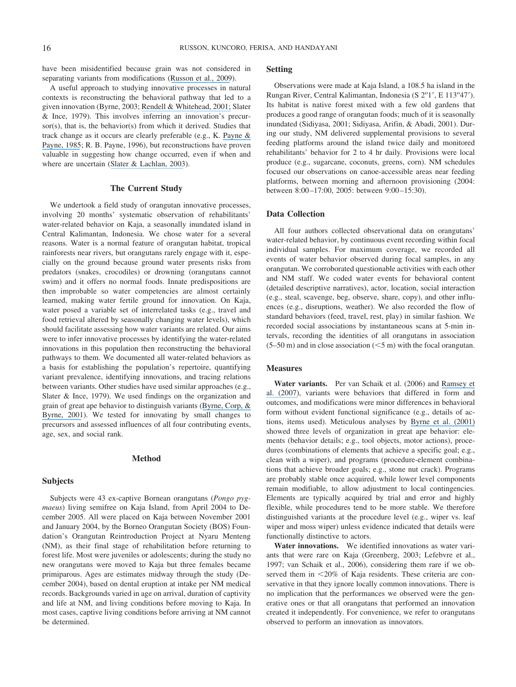have been misidentified because grain was not considered in separating variants from modifications ([Russon et al., 2009](https://www.researchgate.net/publication/280706204_Innovation_and_intelligence_in_orangutans?el=1_x_8&enrichId=rgreq-298135d38c2275253ec58356c6f255ef-XXX&enrichSource=Y292ZXJQYWdlOzQxNTMxMDg2O0FTOjEyMDIzMjg4MjQ3OTEwNEAxNDA1Njc3MTYxNTYx)).

A useful approach to studying innovative processes in natural contexts is reconstructing the behavioral pathway that led to a given innovation (Byrne, 2003; [Rendell & Whitehead, 2001;](https://www.researchgate.net/publication/11814696_Culture_in_Whales_and_Dolphins?el=1_x_8&enrichId=rgreq-298135d38c2275253ec58356c6f255ef-XXX&enrichSource=Y292ZXJQYWdlOzQxNTMxMDg2O0FTOjEyMDIzMjg4MjQ3OTEwNEAxNDA1Njc3MTYxNTYx) Slater & Ince, 1979). This involves inferring an innovation's precursor(s), that is, the behavior(s) from which it derived. Studies that track change as it occurs are clearly preferable (e.g., K. [Payne &](https://www.researchgate.net/publication/232493380_Behavioral_Continuity_and_Change_in_Local_Song_Populations_of_Village_Indigobirds_Vidua_chalybeate?el=1_x_8&enrichId=rgreq-298135d38c2275253ec58356c6f255ef-XXX&enrichSource=Y292ZXJQYWdlOzQxNTMxMDg2O0FTOjEyMDIzMjg4MjQ3OTEwNEAxNDA1Njc3MTYxNTYx) [Payne, 1985](https://www.researchgate.net/publication/232493380_Behavioral_Continuity_and_Change_in_Local_Song_Populations_of_Village_Indigobirds_Vidua_chalybeate?el=1_x_8&enrichId=rgreq-298135d38c2275253ec58356c6f255ef-XXX&enrichSource=Y292ZXJQYWdlOzQxNTMxMDg2O0FTOjEyMDIzMjg4MjQ3OTEwNEAxNDA1Njc3MTYxNTYx); R. B. Payne, 1996), but reconstructions have proven valuable in suggesting how change occurred, even if when and where are uncertain ([Slater & Lachlan, 2003](https://www.researchgate.net/publication/232550296_Is_Innovation_in_Bird_Song_Adaptive?el=1_x_8&enrichId=rgreq-298135d38c2275253ec58356c6f255ef-XXX&enrichSource=Y292ZXJQYWdlOzQxNTMxMDg2O0FTOjEyMDIzMjg4MjQ3OTEwNEAxNDA1Njc3MTYxNTYx)).

#### **The Current Study**

We undertook a field study of orangutan innovative processes, involving 20 months' systematic observation of rehabilitants' water-related behavior on Kaja, a seasonally inundated island in Central Kalimantan, Indonesia. We chose water for a several reasons. Water is a normal feature of orangutan habitat, tropical rainforests near rivers, but orangutans rarely engage with it, especially on the ground because ground water presents risks from predators (snakes, crocodiles) or drowning (orangutans cannot swim) and it offers no normal foods. Innate predispositions are then improbable so water competencies are almost certainly learned, making water fertile ground for innovation. On Kaja, water posed a variable set of interrelated tasks (e.g., travel and food retrieval altered by seasonally changing water levels), which should facilitate assessing how water variants are related. Our aims were to infer innovative processes by identifying the water-related innovations in this population then reconstructing the behavioral pathways to them. We documented all water-related behaviors as a basis for establishing the population's repertoire, quantifying variant prevalence, identifying innovations, and tracing relations between variants. Other studies have used similar approaches (e.g., Slater & Ince, 1979). We used findings on the organization and grain of great ape behavior to distinguish variants ([Byrne, Corp, &](https://www.researchgate.net/publication/230815535_Estimating_the_complexity_of_animal_behaviour_How_mountain_gorillas_eat_thistles?el=1_x_8&enrichId=rgreq-298135d38c2275253ec58356c6f255ef-XXX&enrichSource=Y292ZXJQYWdlOzQxNTMxMDg2O0FTOjEyMDIzMjg4MjQ3OTEwNEAxNDA1Njc3MTYxNTYx) [Byrne, 2001](https://www.researchgate.net/publication/230815535_Estimating_the_complexity_of_animal_behaviour_How_mountain_gorillas_eat_thistles?el=1_x_8&enrichId=rgreq-298135d38c2275253ec58356c6f255ef-XXX&enrichSource=Y292ZXJQYWdlOzQxNTMxMDg2O0FTOjEyMDIzMjg4MjQ3OTEwNEAxNDA1Njc3MTYxNTYx)). We tested for innovating by small changes to precursors and assessed influences of all four contributing events, age, sex, and social rank.

## **Method**

### **Subjects**

Subjects were 43 ex-captive Bornean orangutans (*Pongo pygmaeus*) living semifree on Kaja Island, from April 2004 to December 2005. All were placed on Kaja between November 2001 and January 2004, by the Borneo Orangutan Society (BOS) Foundation's Orangutan Reintroduction Project at Nyaru Menteng (NM), as their final stage of rehabilitation before returning to forest life. Most were juveniles or adolescents; during the study no new orangutans were moved to Kaja but three females became primiparous. Ages are estimates midway through the study (December 2004), based on dental eruption at intake per NM medical records. Backgrounds varied in age on arrival, duration of captivity and life at NM, and living conditions before moving to Kaja. In most cases, captive living conditions before arriving at NM cannot be determined.

#### **Setting**

Observations were made at Kaja Island, a 108.5 ha island in the Rungan River, Central Kalimantan, Indonesia (S 2°1', E 113°47'). Its habitat is native forest mixed with a few old gardens that produces a good range of orangutan foods; much of it is seasonally inundated (Sidiyasa, 2001; Sidiyasa, Arifin, & Abadi, 2001). During our study, NM delivered supplemental provisions to several feeding platforms around the island twice daily and monitored rehabilitants' behavior for 2 to 4 hr daily. Provisions were local produce (e.g., sugarcane, coconuts, greens, corn). NM schedules focused our observations on canoe-accessible areas near feeding platforms, between morning and afternoon provisioning (2004: between 8:00 –17:00, 2005: between 9:00 –15:30).

## **Data Collection**

All four authors collected observational data on orangutans' water-related behavior, by continuous event recording within focal individual samples. For maximum coverage, we recorded all events of water behavior observed during focal samples, in any orangutan. We corroborated questionable activities with each other and NM staff. We coded water events for behavioral content (detailed descriptive narratives), actor, location, social interaction (e.g., steal, scavenge, beg, observe, share, copy), and other influences (e.g., disruptions, weather). We also recorded the flow of standard behaviors (feed, travel, rest, play) in similar fashion. We recorded social associations by instantaneous scans at 5-min intervals, recording the identities of all orangutans in association  $(5-50 \text{ m})$  and in close association  $(< 5 \text{ m})$  with the focal orangutan.

#### **Measures**

**Water variants.** Per van Schaik et al. (2006) and [Ramsey et](https://www.researchgate.net/publication/5766633_Animal_innovation_defined_and_operationalized?el=1_x_8&enrichId=rgreq-298135d38c2275253ec58356c6f255ef-XXX&enrichSource=Y292ZXJQYWdlOzQxNTMxMDg2O0FTOjEyMDIzMjg4MjQ3OTEwNEAxNDA1Njc3MTYxNTYx) [al. \(2007\)](https://www.researchgate.net/publication/5766633_Animal_innovation_defined_and_operationalized?el=1_x_8&enrichId=rgreq-298135d38c2275253ec58356c6f255ef-XXX&enrichSource=Y292ZXJQYWdlOzQxNTMxMDg2O0FTOjEyMDIzMjg4MjQ3OTEwNEAxNDA1Njc3MTYxNTYx), variants were behaviors that differed in form and outcomes, and modifications were minor differences in behavioral form without evident functional significance (e.g., details of actions, items used). Meticulous analyses by [Byrne et al. \(2001\)](https://www.researchgate.net/publication/230815535_Estimating_the_complexity_of_animal_behaviour_How_mountain_gorillas_eat_thistles?el=1_x_8&enrichId=rgreq-298135d38c2275253ec58356c6f255ef-XXX&enrichSource=Y292ZXJQYWdlOzQxNTMxMDg2O0FTOjEyMDIzMjg4MjQ3OTEwNEAxNDA1Njc3MTYxNTYx) showed three levels of organization in great ape behavior: elements (behavior details; e.g., tool objects, motor actions), procedures (combinations of elements that achieve a specific goal; e.g., clean with a wiper), and programs (procedure-element combinations that achieve broader goals; e.g., stone nut crack). Programs are probably stable once acquired, while lower level components remain modifiable, to allow adjustment to local contingencies. Elements are typically acquired by trial and error and highly flexible, while procedures tend to be more stable. We therefore distinguished variants at the procedure level (e.g., wiper vs. leaf wiper and moss wiper) unless evidence indicated that details were functionally distinctive to actors.

**Water innovations.** We identified innovations as water variants that were rare on Kaja (Greenberg, 2003; Lefebvre et al., 1997; van Schaik et al., 2006), considering them rare if we observed them in  $\leq$ 20% of Kaja residents. These criteria are conservative in that they ignore locally common innovations. There is no implication that the performances we observed were the generative ones or that all orangutans that performed an innovation created it independently. For convenience, we refer to orangutans observed to perform an innovation as innovators.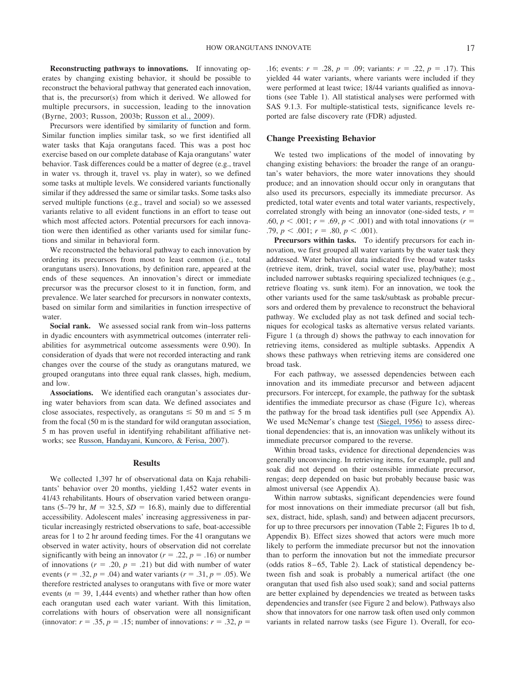**Reconstructing pathways to innovations.** If innovating operates by changing existing behavior, it should be possible to reconstruct the behavioral pathway that generated each innovation, that is, the precursor(s) from which it derived. We allowed for multiple precursors, in succession, leading to the innovation (Byrne, 2003; Russon, 2003b; [Russon et al., 2009](https://www.researchgate.net/publication/280706204_Innovation_and_intelligence_in_orangutans?el=1_x_8&enrichId=rgreq-298135d38c2275253ec58356c6f255ef-XXX&enrichSource=Y292ZXJQYWdlOzQxNTMxMDg2O0FTOjEyMDIzMjg4MjQ3OTEwNEAxNDA1Njc3MTYxNTYx)).

Precursors were identified by similarity of function and form. Similar function implies similar task, so we first identified all water tasks that Kaja orangutans faced. This was a post hoc exercise based on our complete database of Kaja orangutans' water behavior. Task differences could be a matter of degree (e.g., travel in water vs. through it, travel vs. play in water), so we defined some tasks at multiple levels. We considered variants functionally similar if they addressed the same or similar tasks. Some tasks also served multiple functions (e.g., travel and social) so we assessed variants relative to all evident functions in an effort to tease out which most affected actors. Potential precursors for each innovation were then identified as other variants used for similar functions and similar in behavioral form.

We reconstructed the behavioral pathway to each innovation by ordering its precursors from most to least common (i.e., total orangutans users). Innovations, by definition rare, appeared at the ends of these sequences. An innovation's direct or immediate precursor was the precursor closest to it in function, form, and prevalence. We later searched for precursors in nonwater contexts, based on similar form and similarities in function irrespective of water.

**Social rank.** We assessed social rank from win–loss patterns in dyadic encounters with asymmetrical outcomes (interrater reliabilities for asymmetrical outcome assessments were 0.90). In consideration of dyads that were not recorded interacting and rank changes over the course of the study as orangutans matured, we grouped orangutans into three equal rank classes, high, medium, and low.

**Associations.** We identified each orangutan's associates during water behaviors from scan data. We defined associates and close associates, respectively, as orangutans  $\leq 50$  m and  $\leq 5$  m from the focal (50 m is the standard for wild orangutan association, 5 m has proven useful in identifying rehabilitant affiliative networks; see [Russon, Handayani, Kuncoro, & Ferisa, 2007](https://www.researchgate.net/publication/6638426_Orangutan_leaf-carrying_for_nest-building_Toward_unraveling_cultural_processes?el=1_x_8&enrichId=rgreq-298135d38c2275253ec58356c6f255ef-XXX&enrichSource=Y292ZXJQYWdlOzQxNTMxMDg2O0FTOjEyMDIzMjg4MjQ3OTEwNEAxNDA1Njc3MTYxNTYx)).

#### **Results**

We collected 1,397 hr of observational data on Kaja rehabilitants' behavior over 20 months, yielding 1,452 water events in 41/43 rehabilitants. Hours of observation varied between orangutans (5–79 hr,  $M = 32.5$ ,  $SD = 16.8$ ), mainly due to differential accessibility. Adolescent males' increasing aggressiveness in particular increasingly restricted observations to safe, boat-accessible areas for 1 to 2 hr around feeding times. For the 41 orangutans we observed in water activity, hours of observation did not correlate significantly with being an innovator ( $r = .22$ ,  $p = .16$ ) or number of innovations ( $r = .20$ ,  $p = .21$ ) but did with number of water events ( $r = .32$ ,  $p = .04$ ) and water variants ( $r = .31$ ,  $p = .05$ ). We therefore restricted analyses to orangutans with five or more water events  $(n = 39, 1.444$  events) and whether rather than how often each orangutan used each water variant. With this limitation, correlations with hours of observation were all nonsignificant (innovator:  $r = .35$ ,  $p = .15$ ; number of innovations:  $r = .32$ ,  $p =$ 

.16; events:  $r = .28$ ,  $p = .09$ ; variants:  $r = .22$ ,  $p = .17$ ). This yielded 44 water variants, where variants were included if they were performed at least twice; 18/44 variants qualified as innovations (see Table 1). All statistical analyses were performed with SAS 9.1.3. For multiple-statistical tests, significance levels reported are false discovery rate (FDR) adjusted.

#### **Change Preexisting Behavior**

We tested two implications of the model of innovating by changing existing behaviors: the broader the range of an orangutan's water behaviors, the more water innovations they should produce; and an innovation should occur only in orangutans that also used its precursors, especially its immediate precursor. As predicted, total water events and total water variants, respectively, correlated strongly with being an innovator (one-sided tests,  $r =$ .60,  $p < .001$ ;  $r = .69$ ,  $p < .001$ ) and with total innovations ( $r =$  $.79, p < .001; r = .80, p < .001$ .

**Precursors within tasks.** To identify precursors for each innovation, we first grouped all water variants by the water task they addressed. Water behavior data indicated five broad water tasks (retrieve item, drink, travel, social water use, play/bathe); most included narrower subtasks requiring specialized techniques (e.g., retrieve floating vs. sunk item). For an innovation, we took the other variants used for the same task/subtask as probable precursors and ordered them by prevalence to reconstruct the behavioral pathway. We excluded play as not task defined and social techniques for ecological tasks as alternative versus related variants. Figure 1 (a through d) shows the pathway to each innovation for retrieving items, considered as multiple subtasks. Appendix A shows these pathways when retrieving items are considered one broad task.

For each pathway, we assessed dependencies between each innovation and its immediate precursor and between adjacent precursors. For intercept, for example, the pathway for the subtask identifies the immediate precursor as chase (Figure 1c), whereas the pathway for the broad task identifies pull (see Appendix A). We used McNemar's change test [\(S](https://www.researchgate.net/publication/243476011_Non_Parametric_Statistics_For_The_Behavioural_Sciences?el=1_x_8&enrichId=rgreq-298135d38c2275253ec58356c6f255ef-XXX&enrichSource=Y292ZXJQYWdlOzQxNTMxMDg2O0FTOjEyMDIzMjg4MjQ3OTEwNEAxNDA1Njc3MTYxNTYx)[iegel, 195](https://www.researchgate.net/publication/302158025_Non-Parametric_Statistics_for_the_Behavioural_Sciences?el=1_x_8&enrichId=rgreq-298135d38c2275253ec58356c6f255ef-XXX&enrichSource=Y292ZXJQYWdlOzQxNTMxMDg2O0FTOjEyMDIzMjg4MjQ3OTEwNEAxNDA1Njc3MTYxNTYx)[6\)](https://www.researchgate.net/publication/243476011_Non_Parametric_Statistics_For_The_Behavioural_Sciences?el=1_x_8&enrichId=rgreq-298135d38c2275253ec58356c6f255ef-XXX&enrichSource=Y292ZXJQYWdlOzQxNTMxMDg2O0FTOjEyMDIzMjg4MjQ3OTEwNEAxNDA1Njc3MTYxNTYx) to assess directional dependencies: that is, an innovation was unlikely without its immediate precursor compared to the reverse.

Within broad tasks, evidence for directional dependencies was generally unconvincing. In retrieving items, for example, pull and soak did not depend on their ostensible immediate precursor, rengas; deep depended on basic but probably because basic was almost universal (see Appendix A).

Within narrow subtasks, significant dependencies were found for most innovations on their immediate precursor (all but fish, sex, distract, hide, splash, sand) and between adjacent precursors, for up to three precursors per innovation (Table 2; Figures 1b to d, Appendix B). Effect sizes showed that actors were much more likely to perform the immediate precursor but not the innovation than to perform the innovation but not the immediate precursor (odds ratios 8 – 65, Table 2). Lack of statistical dependency between fish and soak is probably a numerical artifact (the one orangutan that used fish also used soak); sand and social patterns are better explained by dependencies we treated as between tasks dependencies and transfer (see Figure 2 and below). Pathways also show that innovators for one narrow task often used only common variants in related narrow tasks (see Figure 1). Overall, for eco-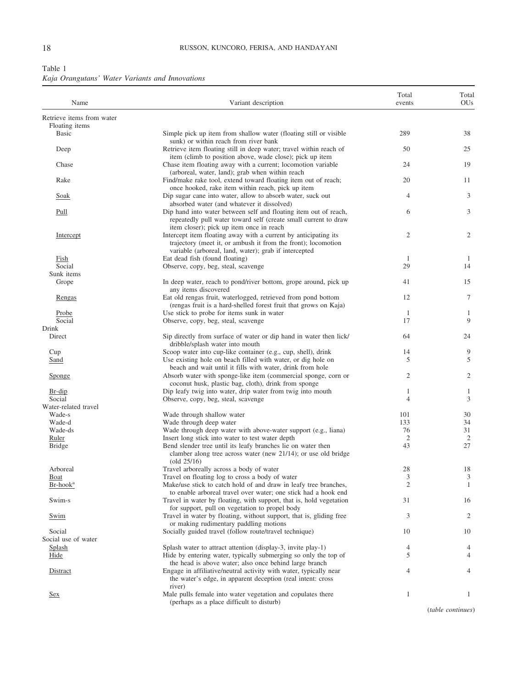| Table 1                                         |  |  |
|-------------------------------------------------|--|--|
| Kaja Orangutans' Water Variants and Innovations |  |  |

| Name                      | Variant description                                                                                  | Total<br>events | Total<br><b>OUs</b> |
|---------------------------|------------------------------------------------------------------------------------------------------|-----------------|---------------------|
| Retrieve items from water |                                                                                                      |                 |                     |
| Floating items            |                                                                                                      |                 |                     |
| <b>Basic</b>              | Simple pick up item from shallow water (floating still or visible                                    | 289             | 38                  |
|                           | sunk) or within reach from river bank                                                                |                 |                     |
| Deep                      | Retrieve item floating still in deep water; travel within reach of                                   | 50              | 25                  |
|                           | item (climb to position above, wade close); pick up item                                             |                 |                     |
| Chase                     | Chase item floating away with a current; locomotion variable                                         | 24              | 19                  |
|                           | (arboreal, water, land); grab when within reach                                                      |                 |                     |
| Rake                      | Find/make rake tool, extend toward floating item out of reach;                                       | 20              | 11                  |
|                           |                                                                                                      |                 |                     |
|                           | once hooked, rake item within reach, pick up item                                                    |                 |                     |
| Soak                      | Dip sugar cane into water, allow to absorb water, suck out                                           | 4               | 3                   |
|                           | absorbed water (and whatever it dissolved)                                                           |                 |                     |
| Pull                      | Dip hand into water between self and floating item out of reach,                                     | 6               | 3                   |
|                           | repeatedly pull water toward self (create small current to draw                                      |                 |                     |
|                           | item closer); pick up item once in reach                                                             |                 |                     |
| Intercept                 | Intercept item floating away with a current by anticipating its                                      | 2               | 2                   |
|                           | trajectory (meet it, or ambush it from the front); locomotion                                        |                 |                     |
|                           | variable (arboreal, land, water); grab if intercepted                                                |                 |                     |
| Fish                      | Eat dead fish (found floating)                                                                       | 1               | 1                   |
| Social                    | Observe, copy, beg, steal, scavenge                                                                  | 29              | 14                  |
| Sunk items                |                                                                                                      |                 |                     |
| Grope                     | In deep water, reach to pond/river bottom, grope around, pick up                                     | 41              | 15                  |
|                           | any items discovered                                                                                 |                 |                     |
| Rengas                    | Eat old rengas fruit, waterlogged, retrieved from pond bottom                                        | 12              | 7                   |
|                           | (rengas fruit is a hard-shelled forest fruit that grows on Kaja)                                     |                 |                     |
| Probe                     | Use stick to probe for items sunk in water                                                           | 1               | 1                   |
| Social                    | Observe, copy, beg, steal, scavenge                                                                  | 17              | 9                   |
| Drink                     |                                                                                                      |                 |                     |
| Direct                    | Sip directly from surface of water or dip hand in water then lick/                                   | 64              | 24                  |
|                           | dribble/splash water into mouth                                                                      |                 |                     |
| Cup                       | Scoop water into cup-like container (e.g., cup, shell), drink                                        | 14              | 9                   |
| Sand                      | Use existing hole on beach filled with water, or dig hole on                                         | 5               | 5                   |
|                           | beach and wait until it fills with water, drink from hole                                            |                 |                     |
| <b>Sponge</b>             | Absorb water with sponge-like item (commercial sponge, corn or                                       | 2               | 2                   |
|                           | coconut husk, plastic bag, cloth), drink from sponge                                                 |                 |                     |
| Br-dip                    | Dip leafy twig into water, drip water from twig into mouth                                           | 1               | 1                   |
| Social                    | Observe, copy, beg, steal, scavenge                                                                  | 4               | 3                   |
| Water-related travel      |                                                                                                      |                 |                     |
| Wade-s                    | Wade through shallow water                                                                           | 101             | 30                  |
| Wade-d                    | Wade through deep water                                                                              | 133             | 34                  |
| Wade-ds                   | Wade through deep water with above-water support (e.g., liana)                                       | 76              | 31                  |
| Ruler                     | Insert long stick into water to test water depth                                                     | $\overline{c}$  | 2                   |
| <b>Bridge</b>             | Bend slender tree until its leafy branches lie on water then                                         | 43              | 27                  |
|                           | clamber along tree across water (new 21/14); or use old bridge<br>$\left( \text{old } 25/16 \right)$ |                 |                     |
| Arboreal                  |                                                                                                      | 28              |                     |
|                           | Travel arboreally across a body of water                                                             |                 | 18                  |
| Boat                      | Travel on floating log to cross a body of water                                                      | 3               | 3                   |
| Br-hook <sup>a</sup>      | Make/use stick to catch hold of and draw in leafy tree branches,                                     | 2               | 1                   |
|                           | to enable arboreal travel over water; one stick had a hook end                                       |                 |                     |
| Swim-s                    | Travel in water by floating, with support, that is, hold vegetation                                  | 31              | 16                  |
|                           | for support, pull on vegetation to propel body                                                       |                 |                     |
| <b>Swim</b>               | Travel in water by floating, without support, that is, gliding free                                  | 3               | 2                   |
|                           | or making rudimentary paddling motions                                                               |                 |                     |
| Social                    | Socially guided travel (follow route/travel technique)                                               | 10              | 10                  |
| Social use of water       |                                                                                                      |                 |                     |
| Splash                    | Splash water to attract attention (display-3, invite play-1)                                         | 4               | 4                   |
| Hide                      | Hide by entering water, typically submerging so only the top of                                      | 5               | 4                   |
|                           | the head is above water; also once behind large branch                                               |                 |                     |
| Distract                  | Engage in affiliative/neutral activity with water, typically near                                    | 4               | 4                   |
|                           | the water's edge, in apparent deception (real intent: cross                                          |                 |                     |
|                           | river)                                                                                               |                 |                     |
| <u>Sex</u>                | Male pulls female into water vegetation and copulates there                                          | 1               | 1                   |
|                           | (perhaps as a place difficult to disturb)                                                            |                 |                     |

(*table continues*)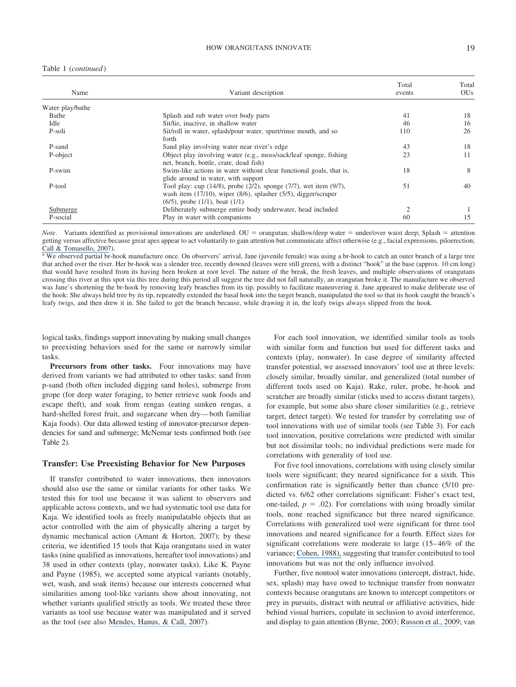|  | Table 1 (continued) |
|--|---------------------|
|--|---------------------|

| Name             | Variant description                                                                                                                                                                                | Total<br>events | Total<br><b>OUs</b> |
|------------------|----------------------------------------------------------------------------------------------------------------------------------------------------------------------------------------------------|-----------------|---------------------|
|                  |                                                                                                                                                                                                    |                 |                     |
| Water play/bathe |                                                                                                                                                                                                    |                 |                     |
| <b>Bathe</b>     | Splash and rub water over body parts                                                                                                                                                               | 41              | 18                  |
| Idle             | Sit/lie, inactive, in shallow water                                                                                                                                                                | 46              | 16                  |
| P-soli           | Sit/roll in water, splash/pour water, spurt/rinse mouth, and so<br>forth                                                                                                                           | 110             | 26                  |
| P-sand           | Sand play involving water near river's edge                                                                                                                                                        | 43              | 18                  |
| P-object         | Object play involving water (e.g., moss/sack/leaf sponge, fishing<br>net, branch, bottle, crate, dead fish)                                                                                        | 23              | 11                  |
| P-swim           | Swim-like actions in water without clear functional goals, that is,<br>glide around in water, with support                                                                                         | 18              | 8                   |
| P-tool           | Tool play: cup $(14/8)$ , probe $(2/2)$ , sponge $(7/7)$ , wet item $(9/7)$ ,<br>wash item $(17/10)$ , wiper $(8/6)$ , splasher $(5/5)$ , digger/scraper<br>$(6/5)$ , probe $(1/1)$ , boat $(1/1)$ | 51              | 40                  |
| Submerge         | Deliberately submerge entire body underwater, head included                                                                                                                                        |                 |                     |
| P-social         | Play in water with companions                                                                                                                                                                      | 60              | 15                  |

*Note*. Variants identified as provisional innovations are underlined. OU = orangutan; shallow/deep water = under/over waist deep; Splash = attention getting versus affective because great apes appear to act voluntarily to gain attention but communicate affect otherwise (e.g., facial expressions, piloerection; [Call & Tomasello, 2007](https://www.researchgate.net/publication/40853127_The_Gestural_Communication_of_Apes_and_Monkeys?el=1_x_8&enrichId=rgreq-298135d38c2275253ec58356c6f255ef-XXX&enrichSource=Y292ZXJQYWdlOzQxNTMxMDg2O0FTOjEyMDIzMjg4MjQ3OTEwNEAxNDA1Njc3MTYxNTYx)).

<sup>a</sup> We observed partial br-hook manufacture once. On observers' arrival, Jane (juvenile female) was using a br-hook to catch an outer branch of a large tree that arched over the river. Her br-hook was a slender tree, recently downed (leaves were still green), with a distinct "hook" at the base (approx. 10 cm long) that would have resulted from its having been broken at root level. The nature of the break, the fresh leaves, and multiple observations of orangutans crossing this river at this spot via this tree during this period all suggest the tree did not fall naturally, an orangutan broke it. The manufacture we observed was Jane's shortening the br-hook by removing leafy branches from its tip, possibly to facilitate maneuvering it. Jane appeared to make deliberate use of the hook: She always held tree by its tip, repeatedly extended the basal hook into the target branch, manipulated the tool so that its hook caught the branch's leafy twigs, and then drew it in. She failed to get the branch because, while drawing it in, the leafy twigs always slipped from the hook.

logical tasks, findings support innovating by making small changes to preexisting behaviors used for the same or narrowly similar tasks.

Precursors from other tasks. Four innovations may have derived from variants we had attributed to other tasks: sand from p-sand (both often included digging sand holes), submerge from grope (for deep water foraging, to better retrieve sunk foods and escape theft), and soak from rengas (eating sunken rengas, a hard-shelled forest fruit, and sugarcane when dry— both familiar Kaja foods). Our data allowed testing of innovator-precursor dependencies for sand and submerge; McNemar tests confirmed both (see Table 2).

## **Transfer: Use Preexisting Behavior for New Purposes**

If transfer contributed to water innovations, then innovators should also use the same or similar variants for other tasks. We tested this for tool use because it was salient to observers and applicable across contexts, and we had systematic tool use data for Kaja. We identified tools as freely manipulatable objects that an actor controlled with the aim of physically altering a target by dynamic mechanical action (Amant & Horton, 2007); by these criteria, we identified 15 tools that Kaja orangutans used in water tasks (nine qualified as innovations, hereafter tool innovations) and 38 used in other contexts (play, nonwater tasks). Like K. Payne and Payne (1985), we accepted some atypical variants (notably, wet, wash, and soak items) because our interests concerned what similarities among tool-like variants show about innovating, not whether variants qualified strictly as tools. We treated these three variants as tool use because water was manipulated and it served as the tool (see also [Mendes, Hanus, & Call, 2007](https://www.researchgate.net/publication/6228924_Raising_the_level_Orangutans_use_water_as_a_tool?el=1_x_8&enrichId=rgreq-298135d38c2275253ec58356c6f255ef-XXX&enrichSource=Y292ZXJQYWdlOzQxNTMxMDg2O0FTOjEyMDIzMjg4MjQ3OTEwNEAxNDA1Njc3MTYxNTYx)).

For each tool innovation, we identified similar tools as tools with similar form and function but used for different tasks and contexts (play, nonwater). In case degree of similarity affected transfer potential, we assessed innovators' tool use at three levels: closely similar, broadly similar, and generalized (total number of different tools used on Kaja). Rake, ruler, probe, br-hook and scratcher are broadly similar (sticks used to access distant targets), for example, but some also share closer similarities (e.g., retrieve target, detect target). We tested for transfer by correlating use of tool innovations with use of similar tools (see Table 3). For each tool innovation, positive correlations were predicted with similar but not dissimilar tools; no individual predictions were made for correlations with generality of tool use.

For five tool innovations, correlations with using closely similar tools were significant; they neared significance for a sixth. This confirmation rate is significantly better than chance (5/10 predicted vs. 6/62 other correlations significant: Fisher's exact test, one-tailed,  $p = .02$ ). For correlations with using broadly similar tools, none reached significance but three neared significance. Correlations with generalized tool were significant for three tool innovations and neared significance for a fourth. Effect sizes for significant correlations were moderate to large (15–46% of the variance; [Cohen, 1988\),](https://www.researchgate.net/publication/233894838_In_Statistical_Power_Analysis_for_the_Behavior_Sciences_Revised_Edition?el=1_x_8&enrichId=rgreq-298135d38c2275253ec58356c6f255ef-XXX&enrichSource=Y292ZXJQYWdlOzQxNTMxMDg2O0FTOjEyMDIzMjg4MjQ3OTEwNEAxNDA1Njc3MTYxNTYx) suggesting that transfer contributed to tool innovations but was not the only influence involved.

Further, five nontool water innovations (intercept, distract, hide, sex, splash) may have owed to technique transfer from nonwater contexts because orangutans are known to intercept competitors or prey in pursuits, distract with neutral or affiliative activities, hide behind visual barriers, copulate in seclusion to avoid interference, and display to gain attention (Byrne, 2003; [Russon et al., 2009](https://www.researchgate.net/publication/280706204_Innovation_and_intelligence_in_orangutans?el=1_x_8&enrichId=rgreq-298135d38c2275253ec58356c6f255ef-XXX&enrichSource=Y292ZXJQYWdlOzQxNTMxMDg2O0FTOjEyMDIzMjg4MjQ3OTEwNEAxNDA1Njc3MTYxNTYx); van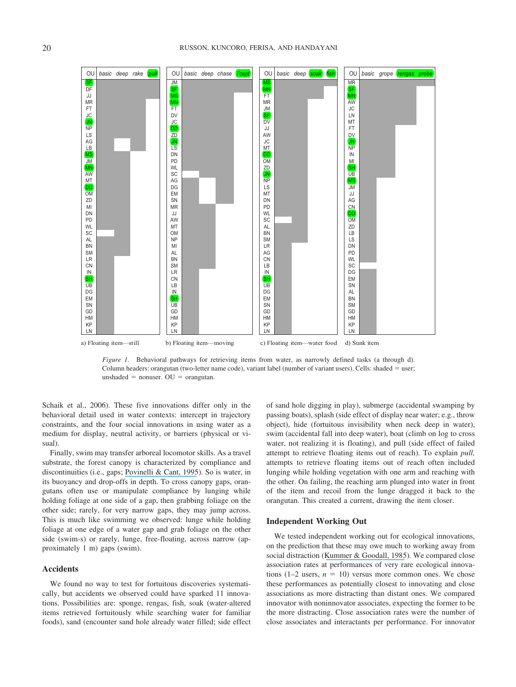

*Figure 1.* Behavioral pathways for retrieving items from water, as narrowly defined tasks (a through d). Column headers: orangutan (two-letter name code), variant label (number of variant users). Cells: shaded = user; unshaded  $=$  nonuser. OU  $=$  orangutan.

Schaik et al., 2006). These five innovations differ only in the behavioral detail used in water contexts: intercept in trajectory constraints, and the four social innovations in using water as a medium for display, neutral activity, or barriers (physical or visual).

Finally, swim may transfer arboreal locomotor skills. As a travel substrate, the forest canopy is characterized by compliance and discontinuities (i.e., gaps; [Povinelli & Cant, 1995](https://www.researchgate.net/publication/14629363_Arboreal_Clambering_and_the_Evolution_of_Self-Conception?el=1_x_8&enrichId=rgreq-298135d38c2275253ec58356c6f255ef-XXX&enrichSource=Y292ZXJQYWdlOzQxNTMxMDg2O0FTOjEyMDIzMjg4MjQ3OTEwNEAxNDA1Njc3MTYxNTYx)). So is water, in its buoyancy and drop-offs in depth. To cross canopy gaps, orangutans often use or manipulate compliance by lunging while holding foliage at one side of a gap, then grabbing foliage on the other side; rarely, for very narrow gaps, they may jump across. This is much like swimming we observed: lunge while holding foliage at one edge of a water gap and grab foliage on the other side (swim-s) or rarely, lunge, free-floating, across narrow (approximately 1 m) gaps (swim).

## **Accidents**

We found no way to test for fortuitous discoveries systematically, but accidents we observed could have sparked 11 innovations. Possibilities are: sponge, rengas, fish, soak (water-altered items retrieved fortuitously while searching water for familiar foods), sand (encounter sand hole already water filled; side effect of sand hole digging in play), submerge (accidental swamping by passing boats), splash (side effect of display near water; e.g., throw object), hide (fortuitous invisibility when neck deep in water), swim (accidental fall into deep water), boat (climb on log to cross water, not realizing it is floating), and pull (side effect of failed attempt to retrieve floating items out of reach). To explain *pull,* attempts to retrieve floating items out of reach often included lunging while holding vegetation with one arm and reaching with the other. On failing, the reaching arm plunged into water in front of the item and recoil from the lunge dragged it back to the orangutan. This created a current, drawing the item closer.

## **Independent Working Out**

We tested independent working out for ecological innovations, on the prediction that these may owe much to working away from social distraction ([Kummer & Goodall, 1985](https://www.researchgate.net/publication/240256252_Conditions_of_Innovative_Behaviour_in_Primates?el=1_x_8&enrichId=rgreq-298135d38c2275253ec58356c6f255ef-XXX&enrichSource=Y292ZXJQYWdlOzQxNTMxMDg2O0FTOjEyMDIzMjg4MjQ3OTEwNEAxNDA1Njc3MTYxNTYx)). We compared close association rates at performances of very rare ecological innovations  $(1-2$  users,  $n = 10)$  versus more common ones. We chose these performances as potentially closest to innovating and close associations as more distracting than distant ones. We compared innovator with noninnovator associates, expecting the former to be the more distracting. Close association rates were the number of close associates and interactants per performance. For innovator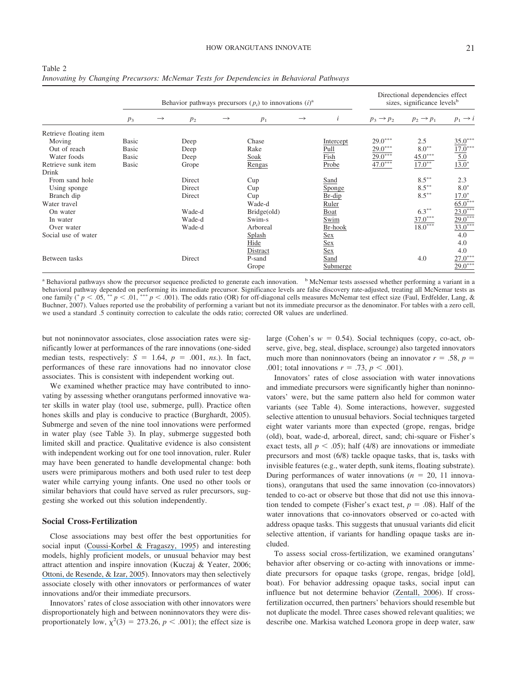|                        |       | Behavior pathways precursors $(p_i)$ to innovations $(i)^a$ |                |               |             |               |            |                       | Directional dependencies effect<br>sizes, significance levels <sup>b</sup> |                     |  |
|------------------------|-------|-------------------------------------------------------------|----------------|---------------|-------------|---------------|------------|-----------------------|----------------------------------------------------------------------------|---------------------|--|
|                        | $p_3$ | $\rightarrow$                                               | p <sub>2</sub> | $\rightarrow$ | $p_1$       | $\rightarrow$ | i          | $p_3 \rightarrow p_2$ | $p_2 \rightarrow p_1$                                                      | $p_1 \rightarrow i$ |  |
| Retrieve floating item |       |                                                             |                |               |             |               |            |                       |                                                                            |                     |  |
| Moving                 | Basic |                                                             | Deep           |               | Chase       |               | Intercept  | $29.0***$             | 2.5                                                                        | $35.0***$           |  |
| Out of reach           | Basic |                                                             | Deep           |               | Rake        |               | Pull       | $29.0***$             | $8.0**$                                                                    | $17.0***$           |  |
| Water foods            | Basic |                                                             | Deep           |               | Soak        |               | Fish       | $29.0***$             | $45.0***$                                                                  | 5.0                 |  |
| Retrieve sunk item     | Basic |                                                             | Grope          |               | Rengas      |               | Probe      | $47.0***$             | $17.0^{**}$                                                                | $13.0*$             |  |
| Drink                  |       |                                                             |                |               |             |               |            |                       |                                                                            |                     |  |
| From sand hole         |       |                                                             | Direct         |               | Cup         |               | Sand       |                       | $8.5***$                                                                   | 2.3                 |  |
| Using sponge           |       |                                                             | Direct         |               | Cup         |               | Sponge     |                       | $8.5***$                                                                   | $8.0*$              |  |
| Branch dip             |       |                                                             | Direct         |               | Cup         |               | Br-dip     |                       | $8.5***$                                                                   | $17.0*$             |  |
| Water travel           |       |                                                             |                |               | Wade-d      |               | Ruler      |                       |                                                                            | $65.0***$           |  |
| On water               |       |                                                             | Wade-d         |               | Bridge(old) |               | Boat       |                       | $6.3***$                                                                   | $23.0***$           |  |
| In water               |       |                                                             | Wade-d         |               | Swim-s      |               | Swim       |                       | $37.0***$                                                                  | $29.0***$           |  |
| Over water             |       |                                                             | Wade-d         |               | Arboreal    |               | Br-hook    |                       | $18.0***$                                                                  | $33.0***$           |  |
| Social use of water    |       |                                                             |                |               | Splash      |               | <u>Sex</u> |                       |                                                                            | 4.0                 |  |
|                        |       |                                                             |                |               | Hide        |               | <u>Sex</u> |                       |                                                                            | 4.0                 |  |
|                        |       |                                                             |                |               | Distract    |               | <u>Sex</u> |                       |                                                                            | 4.0                 |  |
| Between tasks          |       |                                                             | Direct         |               | P-sand      |               | Sand       |                       | 4.0                                                                        | $27.0***$           |  |
|                        |       |                                                             |                |               | Grope       |               | Submerge   |                       |                                                                            | $29.0***$           |  |

Table 2 *Innovating by Changing Precursors: McNemar Tests for Dependencies in Behavioral Pathways*

<sup>a</sup> Behavioral pathways show the precursor sequence predicted to generate each innovation. <sup>b</sup> McNemar tests assessed whether performing a variant in a behavioral pathway depended on performing its immediate precursor. Significance levels are false discovery rate-adjusted, treating all McNemar tests as<br>one family (\*  $p < .05$ , \*\*  $p < .01$ , \*\*\*  $p < .001$ ). The odds ratio (OR) Buchner, 2007). Values reported use the probability of performing a variant but not its immediate precursor as the denominator. For tables with a zero cell, we used a standard .5 continuity correction to calculate the odds ratio; corrected OR values are underlined.

but not noninnovator associates, close association rates were significantly lower at performances of the rare innovations (one-sided median tests, respectively:  $S = 1.64$ ,  $p = .001$ , *ns*.). In fact, performances of these rare innovations had no innovator close associates. This is consistent with independent working out.

We examined whether practice may have contributed to innovating by assessing whether orangutans performed innovative water skills in water play (tool use, submerge, pull). Practice often hones skills and play is conducive to practice (Burghardt, 2005). Submerge and seven of the nine tool innovations were performed in water play (see Table 3). In play, submerge suggested both limited skill and practice. Qualitative evidence is also consistent with independent working out for one tool innovation, ruler. Ruler may have been generated to handle developmental change: both users were primiparous mothers and both used ruler to test deep water while carrying young infants. One used no other tools or similar behaviors that could have served as ruler precursors, suggesting she worked out this solution independently.

#### **Social Cross-Fertilization**

Close associations may best offer the best opportunities for social input ([Coussi-Korbel & Fragaszy, 1995](https://www.researchgate.net/publication/223159740_On_the_relation_between_social_dynamics_and_social_learning?el=1_x_8&enrichId=rgreq-298135d38c2275253ec58356c6f255ef-XXX&enrichSource=Y292ZXJQYWdlOzQxNTMxMDg2O0FTOjEyMDIzMjg4MjQ3OTEwNEAxNDA1Njc3MTYxNTYx)) and interesting models, highly proficient models, or unusual behavior may best attract attention and inspire innovation (Kuczaj & Yeater, 2006; [Ottoni, de Resende, & Izar, 2005](https://www.researchgate.net/publication/8014572_Watching_the_best_nutcrackers_what_capuchin_monkeys_Cebus_apella_know_about_others)). Innovators may then selectively associate closely with other innovators or performances of water innovations and/or their immediate precursors.

Innovators' rates of close association with other innovators were disproportionately high and between noninnovators they were disproportionately low,  $\chi^2(3) = 273.26$ ,  $p < .001$ ); the effect size is

large (Cohen's  $w = 0.54$ ). Social techniques (copy, co-act, observe, give, beg, steal, displace, scrounge) also targeted innovators much more than noninnovators (being an innovator  $r = .58$ ,  $p =$ .001; total innovations  $r = .73$ ,  $p < .001$ ).

Innovators' rates of close association with water innovations and immediate precursors were significantly higher than noninnovators' were, but the same pattern also held for common water variants (see Table 4). Some interactions, however, suggested selective attention to unusual behaviors. Social techniques targeted eight water variants more than expected (grope, rengas, bridge (old), boat, wade-d, arboreal, direct, sand; chi-square or Fisher's exact tests, all  $p < .05$ ); half (4/8) are innovations or immediate precursors and most (6/8) tackle opaque tasks, that is, tasks with invisible features (e.g., water depth, sunk items, floating substrate). During performances of water innovations  $(n = 20, 11)$  innovations), orangutans that used the same innovation (co-innovators) tended to co-act or observe but those that did not use this innovation tended to compete (Fisher's exact test,  $p = .08$ ). Half of the water innovations that co-innovators observed or co-acted with address opaque tasks. This suggests that unusual variants did elicit selective attention, if variants for handling opaque tasks are included.

To assess social cross-fertilization, we examined orangutans' behavior after observing or co-acting with innovations or immediate precursors for opaque tasks (grope, rengas, bridge [old], boat). For behavior addressing opaque tasks, social input can influence but not determine behavior ([Zentall, 2006](https://www.researchgate.net/publication/6769577_Imitation_Definitions_Evidence_and_Mechanisms?el=1_x_8&enrichId=rgreq-298135d38c2275253ec58356c6f255ef-XXX&enrichSource=Y292ZXJQYWdlOzQxNTMxMDg2O0FTOjEyMDIzMjg4MjQ3OTEwNEAxNDA1Njc3MTYxNTYx)). If crossfertilization occurred, then partners' behaviors should resemble but not duplicate the model. Three cases showed relevant qualities; we describe one. Markisa watched Leonora grope in deep water, saw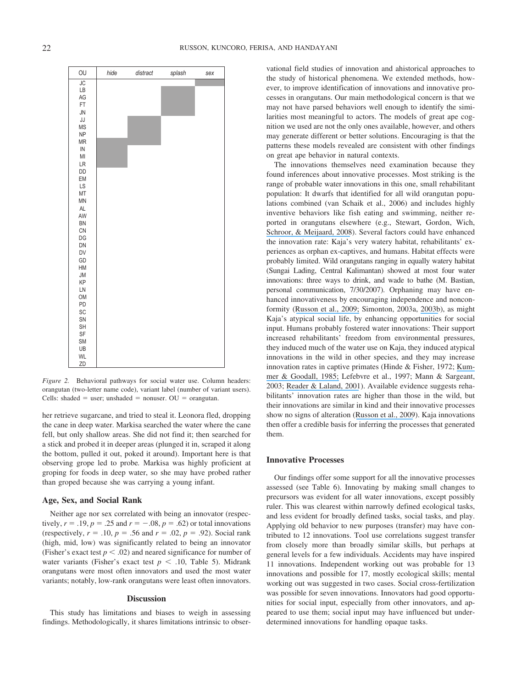

*Figure 2.* Behavioral pathways for social water use. Column headers: orangutan (two-letter name code), variant label (number of variant users). Cells: shaded  $=$  user; unshaded  $=$  nonuser. OU  $=$  orangutan.

her retrieve sugarcane, and tried to steal it. Leonora fled, dropping the cane in deep water. Markisa searched the water where the cane fell, but only shallow areas. She did not find it; then searched for a stick and probed it in deeper areas (plunged it in, scraped it along the bottom, pulled it out, poked it around). Important here is that observing grope led to probe*.* Markisa was highly proficient at groping for foods in deep water, so she may have probed rather than groped because she was carrying a young infant.

## **Age, Sex, and Social Rank**

Neither age nor sex correlated with being an innovator (respectively,  $r = .19$ ,  $p = .25$  and  $r = -.08$ ,  $p = .62$ ) or total innovations (respectively,  $r = .10$ ,  $p = .56$  and  $r = .02$ ,  $p = .92$ ). Social rank (high, mid, low) was significantly related to being an innovator (Fisher's exact test  $p < .02$ ) and neared significance for number of water variants (Fisher's exact test  $p < .10$ , Table 5). Midrank orangutans were most often innovators and used the most water variants; notably, low-rank orangutans were least often innovators.

#### **Discussion**

This study has limitations and biases to weigh in assessing findings. Methodologically, it shares limitations intrinsic to observational field studies of innovation and ahistorical approaches to the study of historical phenomena. We extended methods, however, to improve identification of innovations and innovative processes in orangutans. Our main methodological concern is that we may not have parsed behaviors well enough to identify the similarities most meaningful to actors. The models of great ape cognition we used are not the only ones available, however, and others may generate different or better solutions. Encouraging is that the patterns these models revealed are consistent with other findings on great ape behavior in natural contexts.

The innovations themselves need examination because they found inferences about innovative processes. Most striking is the range of probable water innovations in this one, small rehabilitant population: It dwarfs that identified for all wild orangutan populations combined (van Schaik et al., 2006) and includes highly inventive behaviors like fish eating and swimming, neither reported in orangutans elsewhere (e.g., Stewart, Gordon, Wich, [Schroor, & Meijaard, 2008](https://www.researchgate.net/publication/225712515_Fishing_in_Macaca_fascicularis_A_Rarely_Observed_Innovative_Behavior?el=1_x_8&enrichId=rgreq-298135d38c2275253ec58356c6f255ef-XXX&enrichSource=Y292ZXJQYWdlOzQxNTMxMDg2O0FTOjEyMDIzMjg4MjQ3OTEwNEAxNDA1Njc3MTYxNTYx)). Several factors could have enhanced the innovation rate: Kaja's very watery habitat, rehabilitants' experiences as orphan ex-captives, and humans. Habitat effects were probably limited. Wild orangutans ranging in equally watery habitat (Sungai Lading, Central Kalimantan) showed at most four water innovations: three ways to drink, and wade to bathe (M. Bastian, personal communication, 7/30/2007). Orphaning may have enhanced innovativeness by encouraging independence and nonconformity ([Russon et al., 2009;](https://www.researchgate.net/publication/280706204_Innovation_and_intelligence_in_orangutans?el=1_x_8&enrichId=rgreq-298135d38c2275253ec58356c6f255ef-XXX&enrichSource=Y292ZXJQYWdlOzQxNTMxMDg2O0FTOjEyMDIzMjg4MjQ3OTEwNEAxNDA1Njc3MTYxNTYx) Simonton, 2003a, [2003b](https://www.researchgate.net/publication/10673087_Scientific_Creativity_as_Constrained_Stochastic_Behavior_The_Integration_of_Product_Person_and_Process_Perspectives?el=1_x_8&enrichId=rgreq-298135d38c2275253ec58356c6f255ef-XXX&enrichSource=Y292ZXJQYWdlOzQxNTMxMDg2O0FTOjEyMDIzMjg4MjQ3OTEwNEAxNDA1Njc3MTYxNTYx)), as might Kaja's atypical social life, by enhancing opportunities for social input. Humans probably fostered water innovations: Their support increased rehabilitants' freedom from environmental pressures, they induced much of the water use on Kaja, they induced atypical innovations in the wild in other species, and they may increase innovation rates in captive primates (Hinde & Fisher, 1972; [Kum](https://www.researchgate.net/publication/240256252_Conditions_of_Innovative_Behaviour_in_Primates?el=1_x_8&enrichId=rgreq-298135d38c2275253ec58356c6f255ef-XXX&enrichSource=Y292ZXJQYWdlOzQxNTMxMDg2O0FTOjEyMDIzMjg4MjQ3OTEwNEAxNDA1Njc3MTYxNTYx)[mer & Goodall, 1985;](https://www.researchgate.net/publication/240256252_Conditions_of_Innovative_Behaviour_in_Primates?el=1_x_8&enrichId=rgreq-298135d38c2275253ec58356c6f255ef-XXX&enrichSource=Y292ZXJQYWdlOzQxNTMxMDg2O0FTOjEyMDIzMjg4MjQ3OTEwNEAxNDA1Njc3MTYxNTYx) Lefebvre et al., 1997; Mann & Sargeant, 2003; [Reader & Laland, 2001](https://www.researchgate.net/publication/263058460_Primate_Innovation_Sex_Age_and_Social_Rank_Differences?el=1_x_8&enrichId=rgreq-298135d38c2275253ec58356c6f255ef-XXX&enrichSource=Y292ZXJQYWdlOzQxNTMxMDg2O0FTOjEyMDIzMjg4MjQ3OTEwNEAxNDA1Njc3MTYxNTYx)). Available evidence suggests rehabilitants' innovation rates are higher than those in the wild, but their innovations are similar in kind and their innovative processes show no signs of alteration ([Russon et al., 2009](https://www.researchgate.net/publication/280706204_Innovation_and_intelligence_in_orangutans?el=1_x_8&enrichId=rgreq-298135d38c2275253ec58356c6f255ef-XXX&enrichSource=Y292ZXJQYWdlOzQxNTMxMDg2O0FTOjEyMDIzMjg4MjQ3OTEwNEAxNDA1Njc3MTYxNTYx)). Kaja innovations then offer a credible basis for inferring the processes that generated them.

## **Innovative Processes**

Our findings offer some support for all the innovative processes assessed (see Table 6). Innovating by making small changes to precursors was evident for all water innovations, except possibly ruler. This was clearest within narrowly defined ecological tasks, and less evident for broadly defined tasks, social tasks, and play. Applying old behavior to new purposes (transfer) may have contributed to 12 innovations. Tool use correlations suggest transfer from closely more than broadly similar skills, but perhaps at general levels for a few individuals. Accidents may have inspired 11 innovations. Independent working out was probable for 13 innovations and possible for 17, mostly ecological skills; mental working out was suggested in two cases. Social cross-fertilization was possible for seven innovations. Innovators had good opportunities for social input, especially from other innovators, and appeared to use them; social input may have influenced but underdetermined innovations for handling opaque tasks.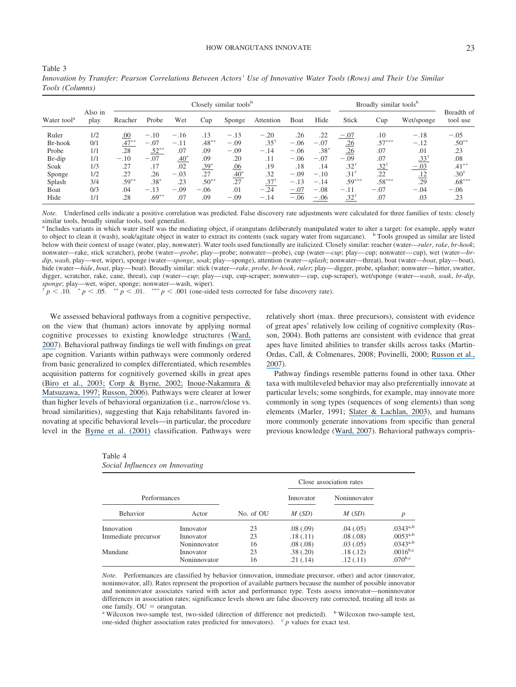|  | ٦<br>I<br>. .<br>v |
|--|--------------------|

|                         |                 |          |          |        |          | Closely similar tools <sup>b</sup> |               |         |        | Broadly similar tools <sup>b</sup> |           |            |                        |
|-------------------------|-----------------|----------|----------|--------|----------|------------------------------------|---------------|---------|--------|------------------------------------|-----------|------------|------------------------|
| Water tool <sup>a</sup> | Also in<br>play | Reacher  | Probe    | Wet    | Cup      | Sponge                             | Attention     | Boat    | Hide   | Stick                              | Cup       | Wet/sponge | Breadth of<br>tool use |
| Ruler                   | 1/2             | .00      | $-.10$   | $-.16$ | .13      | $-.13$                             | $-.20$        | .26     | .22    | $-.07$                             | .10       | $-.18$     | $-.05$                 |
| Br-hook                 | 0/1             | $.47**$  | $-.07$   | $-.11$ | $.48***$ | $-.09$                             | .35           | $-.06$  | $-.07$ | <u>.26</u>                         | $.57***$  | $-.12$     | $.50**$                |
| Probe                   | 1/1             | .28      | $.52***$ | .07    | .09      | $-.09$                             | $-.14$        | $-.06$  | $.38*$ | .26                                | .07       | .01        | .23                    |
| Br-dip                  | 1/1             | $-.10$   | $-.07$   | $.40*$ | .09      | .20                                | .11           | $-.06$  | $-.07$ | $-.09$                             | .07       | $.33^{+}$  | .08                    |
| Soak                    | 1/3             | .27      | .17      | .02    | $.39*$   | <u>.06</u>                         | .19           | .18     | .14    | $.32^{+}$                          | $.32^{+}$ | $-.03$     | $.41***$               |
| Sponge                  | 1/2             | .27      | .26      | $-.03$ | .27      | $.40*$                             | .32           | $-.09$  | $-.10$ | $.31^{\dagger}$                    | .22       | .12        | $.30^{\dagger}$        |
| Splash                  | 3/4             | $.59***$ | $.38*$   | .23    | $.50***$ | .27                                | $.37^{\circ}$ | $-.13$  | $-.14$ | $.59***$                           | $.58***$  | .29        | $.68***$               |
| Boat                    | 0/3             | .04      | $-.13$   | $-.09$ | $-.06$   | .01                                | $-.24$        | $-0.07$ | $-.08$ | $-.11$                             | $-.07$    | $-.04$     | $-.06$                 |
| Hide                    | 1/1             | .28      | $.69***$ | .07    | .09      | $-.09$                             | $-.14$        | $-.06$  | $-.06$ | $.32^{+}$                          | .07       | .03        | .23                    |

*Innovation by Transfer: Pearson Correlations Between Actors' Use of Innovative Water Tools (Rows) and Their Use Similar Tools (Columns)*

*Note.* Underlined cells indicate a positive correlation was predicted. False discovery rate adjustments were calculated for three families of tests: closely similar tools, broadly similar tools, tool generalist.

<sup>a</sup> Includes variants in which water itself was the mediating object, if orangutans deliberately manipulated water to alter a target: for example, apply water to object to clean it (wash), soak/agitate object in water to extract its contents (suck sugary water from sugarcane). <sup>b</sup> Tools grouped as similar are listed below with their context of usage (water, play, nonwater). Water tools used functionally are italicized. Closely similar: reacher (water—*ruler*, *rake*, *br-hook*; nonwater—rake, stick scratcher), probe (water—*probe*; play—probe; nonwater—probe), cup (water—*cup*; play— cup; nonwater— cup), wet (water—*brdip*, *wash*, play—wet, wiper), sponge (water—*sponge*, *soak*; play—sponge), attention (water—*splash*; nonwater—threat), boat (water—*boat*, play— boat), hide (water—*hide*, *boat*, play— boat). Broadly similar: stick (water—*rake*, *probe*, *br-hook*, *ruler*; play— digger, probe, splasher; nonwater— hitter, swatter, digger, scratcher, rake, cane, threat), cup (water—*cup*; play— cup, cup-scraper; nonwater— cup, cup-scraper), wet/sponge (water—*wash*, *soak*, *br-dip*, *sponge*; play—wet, wiper, sponge; nonwater—wash, wiper).<br>
<sup>†</sup> *p* < .10. *\* p* < .05. *\*\*\* p* < .01. *\*\*\* p* < .001 (one-sided tests corrected for false discovery rate).

We assessed behavioral pathways from a cognitive perspective, on the view that (human) actors innovate by applying normal cognitive processes to existing knowledge structures ([Ward,](https://www.researchgate.net/publication/6394812_Creative_cognition_as_a_window_on_creativity?el=1_x_8&enrichId=rgreq-298135d38c2275253ec58356c6f255ef-XXX&enrichSource=Y292ZXJQYWdlOzQxNTMxMDg2O0FTOjEyMDIzMjg4MjQ3OTEwNEAxNDA1Njc3MTYxNTYx) [2007](https://www.researchgate.net/publication/6394812_Creative_cognition_as_a_window_on_creativity?el=1_x_8&enrichId=rgreq-298135d38c2275253ec58356c6f255ef-XXX&enrichSource=Y292ZXJQYWdlOzQxNTMxMDg2O0FTOjEyMDIzMjg4MjQ3OTEwNEAxNDA1Njc3MTYxNTYx)). Behavioral pathway findings tie well with findings on great ape cognition. Variants within pathways were commonly ordered from basic generalized to complex differentiated, which resembles acquisition patterns for cognitively governed skills in great apes ([Biro et al., 2003;](https://www.researchgate.net/publication/10630809_Cultural_innovation_and_transmission_of_tool_use_in_wild_chimpanzees_Evidence_from_field_experiments?el=1_x_8&enrichId=rgreq-298135d38c2275253ec58356c6f255ef-XXX&enrichSource=Y292ZXJQYWdlOzQxNTMxMDg2O0FTOjEyMDIzMjg4MjQ3OTEwNEAxNDA1Njc3MTYxNTYx) [Corp & Byrne, 2002;](https://www.researchgate.net/publication/230815532_The_Ontogeny_of_manual_skill_in_wild_chimpanzees_evidence_from_feeding_on_the_fruit_of_Saba_Florida?el=1_x_8&enrichId=rgreq-298135d38c2275253ec58356c6f255ef-XXX&enrichSource=Y292ZXJQYWdlOzQxNTMxMDg2O0FTOjEyMDIzMjg4MjQ3OTEwNEAxNDA1Njc3MTYxNTYx) [Inoue-Nakamura &](https://www.researchgate.net/publication/14049002_Development_of_Stone_Tool_Use_by_Wild_Chimpanzees_Pan_troglodytes?el=1_x_8&enrichId=rgreq-298135d38c2275253ec58356c6f255ef-XXX&enrichSource=Y292ZXJQYWdlOzQxNTMxMDg2O0FTOjEyMDIzMjg4MjQ3OTEwNEAxNDA1Njc3MTYxNTYx) [Matsuzawa, 1997;](https://www.researchgate.net/publication/14049002_Development_of_Stone_Tool_Use_by_Wild_Chimpanzees_Pan_troglodytes?el=1_x_8&enrichId=rgreq-298135d38c2275253ec58356c6f255ef-XXX&enrichSource=Y292ZXJQYWdlOzQxNTMxMDg2O0FTOjEyMDIzMjg4MjQ3OTEwNEAxNDA1Njc3MTYxNTYx) [Russon, 2006](https://www.researchgate.net/publication/228718646_Acquisition_of_Complex_Foraging_Skills_in_Juvenile_and_Adolescent_Orangutans_Pongo_pygmaeus_Developmental_Influences?el=1_x_8&enrichId=rgreq-298135d38c2275253ec58356c6f255ef-XXX&enrichSource=Y292ZXJQYWdlOzQxNTMxMDg2O0FTOjEyMDIzMjg4MjQ3OTEwNEAxNDA1Njc3MTYxNTYx)). Pathways were clearer at lower than higher levels of behavioral organization (i.e., narrow/close vs. broad similarities), suggesting that Kaja rehabilitants favored innovating at specific behavioral levels—in particular, the procedure level in the [Byrne et al. \(2001\)](https://www.researchgate.net/publication/230815535_Estimating_the_complexity_of_animal_behaviour_How_mountain_gorillas_eat_thistles?el=1_x_8&enrichId=rgreq-298135d38c2275253ec58356c6f255ef-XXX&enrichSource=Y292ZXJQYWdlOzQxNTMxMDg2O0FTOjEyMDIzMjg4MjQ3OTEwNEAxNDA1Njc3MTYxNTYx) classification. Pathways were

Table 3

relatively short (max. three precursors), consistent with evidence of great apes' relatively low ceiling of cognitive complexity (Russon, 2004). Both patterns are consistent with evidence that great apes have limited abilities to transfer skills across tasks (Martin-Ordas, Call, & Colmenares, 2008; Povinelli, 2000; [Russon et al.,](https://www.researchgate.net/publication/6638426_Orangutan_leaf-carrying_for_nest-building_Toward_unraveling_cultural_processes?el=1_x_8&enrichId=rgreq-298135d38c2275253ec58356c6f255ef-XXX&enrichSource=Y292ZXJQYWdlOzQxNTMxMDg2O0FTOjEyMDIzMjg4MjQ3OTEwNEAxNDA1Njc3MTYxNTYx) [2007](https://www.researchgate.net/publication/6638426_Orangutan_leaf-carrying_for_nest-building_Toward_unraveling_cultural_processes?el=1_x_8&enrichId=rgreq-298135d38c2275253ec58356c6f255ef-XXX&enrichSource=Y292ZXJQYWdlOzQxNTMxMDg2O0FTOjEyMDIzMjg4MjQ3OTEwNEAxNDA1Njc3MTYxNTYx)).

Pathway findings resemble patterns found in other taxa. Other taxa with multileveled behavior may also preferentially innovate at particular levels; some songbirds, for example, may innovate more commonly in song types (sequences of song elements) than song elements (Marler, 1991; [Slater & Lachlan, 2003](https://www.researchgate.net/publication/232550296_Is_Innovation_in_Bird_Song_Adaptive?el=1_x_8&enrichId=rgreq-298135d38c2275253ec58356c6f255ef-XXX&enrichSource=Y292ZXJQYWdlOzQxNTMxMDg2O0FTOjEyMDIzMjg4MjQ3OTEwNEAxNDA1Njc3MTYxNTYx)), and humans more commonly generate innovations from specific than general previous knowledge ([Ward, 2007](https://www.researchgate.net/publication/6394812_Creative_cognition_as_a_window_on_creativity?el=1_x_8&enrichId=rgreq-298135d38c2275253ec58356c6f255ef-XXX&enrichSource=Y292ZXJQYWdlOzQxNTMxMDg2O0FTOjEyMDIzMjg4MjQ3OTEwNEAxNDA1Njc3MTYxNTYx)). Behavioral pathways compris-

Table 4 *Social Influences on Innovating*

|                     |              |           |           | Close association rates |               |
|---------------------|--------------|-----------|-----------|-------------------------|---------------|
| Performances        |              |           | Innovator | Noninnovator            |               |
| Behavior            | Actor        | No. of OU | M(SD)     | M(SD)                   | p             |
| Innovation          | Innovator    | 23        | .08(.09)  | .04(.05)                | $.0343^{a,b}$ |
| Immediate precursor | Innovator    | 23        | .18(.11)  | .08(.08)                | $.0053^{a,b}$ |
|                     | Noninnovator | 16        | .08(.08)  | .03(.05)                | $.0343^{a,b}$ |
| Mundane             | Innovator    | 23        | .38(.20)  | .18(.12)                | $.0016^{b,c}$ |
|                     | Noninnovator | 16        | .21( .14) | .12(.11)                | $.070^{b,c}$  |

*Note.* Performances are classified by behavior (innovation, immediate precursor, other) and actor (innovator, noninnovator, all). Rates represent the proportion of available partners because the number of possible innovator and noninnovator associates varied with actor and performance type. Tests assess innovator—noninnovator differences in association rates; significance levels shown are false discovery rate corrected, treating all tests as one family. OU = orangutan.<br><sup>a</sup> Wilcoxon two-sample test, two-sided (direction of difference not predicted). <sup>b</sup> Wilcoxon two-sample test,

one-sided (higher association rates predicted for innovators).  $\circ$  *p* values for exact test.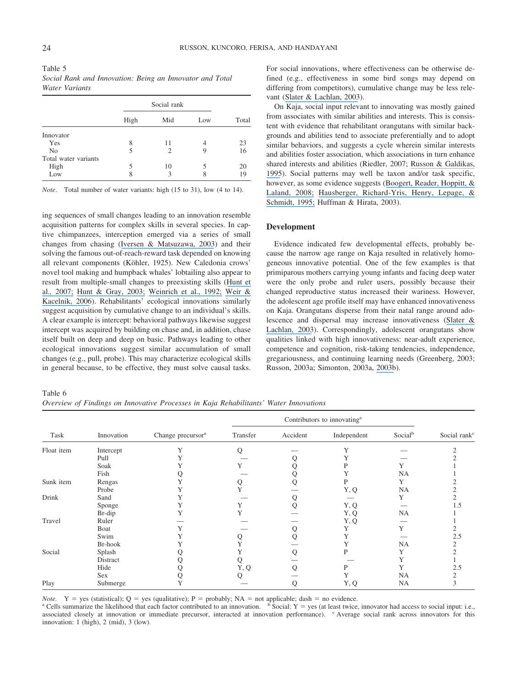| Table 5 |                       |                                                          |  |  |  |
|---------|-----------------------|----------------------------------------------------------|--|--|--|
|         |                       | Social Rank and Innovation: Being an Innovator and Total |  |  |  |
|         | <i>Water Variants</i> |                                                          |  |  |  |

|                      | High | Mid | Low | Total |
|----------------------|------|-----|-----|-------|
| Innovator            |      |     |     |       |
| Yes                  | 8    | 11  |     | 23    |
| N <sub>0</sub>       |      |     | 9   | 16    |
| Total water variants |      |     |     |       |
| High                 |      | 10  | 5   | 20    |
| Low                  | 8    | 3   | 8   | 19    |

*Note*. Total number of water variants: high (15 to 31), low (4 to 14).

ing sequences of small changes leading to an innovation resemble acquisition patterns for complex skills in several species. In captive chimpanzees, interception emerged via a series of small changes from chasing ([Iversen & Matsuzawa, 2003](https://www.researchgate.net/publication/10747233_Development_of_interception_of_moving_targets_by_chimpanzees_Pan_troglodytes_in_an_automated_task?el=1_x_8&enrichId=rgreq-298135d38c2275253ec58356c6f255ef-XXX&enrichSource=Y292ZXJQYWdlOzQxNTMxMDg2O0FTOjEyMDIzMjg4MjQ3OTEwNEAxNDA1Njc3MTYxNTYx)) and their solving the famous out-of-reach-reward task depended on knowing all relevant components (Köhler, 1925). New Caledonia crows' novel tool making and humpback whales' lobtailing also appear to result from multiple-small changes to preexisting skills ([Hunt et](https://www.researchgate.net/publication/236835039_Innovative_pandanus-tool_folding_by_New_Caledonian_crows?el=1_x_8&enrichId=rgreq-298135d38c2275253ec58356c6f255ef-XXX&enrichSource=Y292ZXJQYWdlOzQxNTMxMDg2O0FTOjEyMDIzMjg4MjQ3OTEwNEAxNDA1Njc3MTYxNTYx) al.*,* [2007;](https://www.researchgate.net/publication/236835039_Innovative_pandanus-tool_folding_by_New_Caledonian_crows?el=1_x_8&enrichId=rgreq-298135d38c2275253ec58356c6f255ef-XXX&enrichSource=Y292ZXJQYWdlOzQxNTMxMDg2O0FTOjEyMDIzMjg4MjQ3OTEwNEAxNDA1Njc3MTYxNTYx) [Hunt & Gray, 2003;](https://www.researchgate.net/publication/10767706_Diversification_and_cumulative_evolution_in_New_Caledonian_crow_tool_manufacture?el=1_x_8&enrichId=rgreq-298135d38c2275253ec58356c6f255ef-XXX&enrichSource=Y292ZXJQYWdlOzQxNTMxMDg2O0FTOjEyMDIzMjg4MjQ3OTEwNEAxNDA1Njc3MTYxNTYx) [Weinrich et al., 1992;](https://www.researchgate.net/publication/223775169_Evidence_for_acquisition_of_a_novel_feeding_behaviour_lobtail_feeding_in_humpback_whales_Megaptera_novaeangliae?el=1_x_8&enrichId=rgreq-298135d38c2275253ec58356c6f255ef-XXX&enrichSource=Y292ZXJQYWdlOzQxNTMxMDg2O0FTOjEyMDIzMjg4MjQ3OTEwNEAxNDA1Njc3MTYxNTYx) [Weir &](https://www.researchgate.net/publication/6769576_A_New_Caledonian_crow_Corvus_moneduloides_creatively_re-designs_tools_by_bending_or_unbending_aluminium_strips?el=1_x_8&enrichId=rgreq-298135d38c2275253ec58356c6f255ef-XXX&enrichSource=Y292ZXJQYWdlOzQxNTMxMDg2O0FTOjEyMDIzMjg4MjQ3OTEwNEAxNDA1Njc3MTYxNTYx) [Kacelnik, 2006](https://www.researchgate.net/publication/6769576_A_New_Caledonian_crow_Corvus_moneduloides_creatively_re-designs_tools_by_bending_or_unbending_aluminium_strips?el=1_x_8&enrichId=rgreq-298135d38c2275253ec58356c6f255ef-XXX&enrichSource=Y292ZXJQYWdlOzQxNTMxMDg2O0FTOjEyMDIzMjg4MjQ3OTEwNEAxNDA1Njc3MTYxNTYx)). Rehabilitants' ecological innovations similarly suggest acquisition by cumulative change to an individual's skills. A clear example is intercept: behavioral pathways likewise suggest intercept was acquired by building on chase and, in addition, chase itself built on deep and deep on basic. Pathways leading to other ecological innovations suggest similar accumulation of small changes (e.g., pull, probe). This may characterize ecological skills in general because, to be effective, they must solve causal tasks.

Table 6 *Overview of Findings on Innovative Processes in Kaja Rehabilitants' Water Innovations*

For social innovations, where effectiveness can be otherwise defined (e.g., effectiveness in some bird songs may depend on differing from competitors), cumulative change may be less relevant ([Slater & Lachlan, 2003](https://www.researchgate.net/publication/232550296_Is_Innovation_in_Bird_Song_Adaptive?el=1_x_8&enrichId=rgreq-298135d38c2275253ec58356c6f255ef-XXX&enrichSource=Y292ZXJQYWdlOzQxNTMxMDg2O0FTOjEyMDIzMjg4MjQ3OTEwNEAxNDA1Njc3MTYxNTYx)).

On Kaja, social input relevant to innovating was mostly gained from associates with similar abilities and interests. This is consistent with evidence that rehabilitant orangutans with similar backgrounds and abilities tend to associate preferentially and to adopt similar behaviors, and suggests a cycle wherein similar interests and abilities foster association, which associations in turn enhance shared interests and abilities (Riedler, 2007; [Russon & Galdikas,](https://www.researchgate.net/publication/15494234_Constraints_on_Great_Apes) [1995](https://www.researchgate.net/publication/15494234_Constraints_on_Great_Apes)). Social patterns may well be taxon and/or task specific, however, as some evidence suggests ([Boogert, Reader, Hoppitt, &](https://www.researchgate.net/publication/222553322_The_origin_and_spread_of_innovations_in_starlings?el=1_x_8&enrichId=rgreq-298135d38c2275253ec58356c6f255ef-XXX&enrichSource=Y292ZXJQYWdlOzQxNTMxMDg2O0FTOjEyMDIzMjg4MjQ3OTEwNEAxNDA1Njc3MTYxNTYx) [Laland, 2008;](https://www.researchgate.net/publication/222553322_The_origin_and_spread_of_innovations_in_starlings?el=1_x_8&enrichId=rgreq-298135d38c2275253ec58356c6f255ef-XXX&enrichSource=Y292ZXJQYWdlOzQxNTMxMDg2O0FTOjEyMDIzMjg4MjQ3OTEwNEAxNDA1Njc3MTYxNTYx) [Hausberger, Richard-Yris, Henry, Lepage, &](https://www.researchgate.net/publication/232560707_Song_Sharing_Reflects_the_Social-Organization_in_a_Captive_Group_of_European_Starlings_Sturnus-Vulgaris?el=1_x_8&enrichId=rgreq-298135d38c2275253ec58356c6f255ef-XXX&enrichSource=Y292ZXJQYWdlOzQxNTMxMDg2O0FTOjEyMDIzMjg4MjQ3OTEwNEAxNDA1Njc3MTYxNTYx) [Schmidt, 1995;](https://www.researchgate.net/publication/232560707_Song_Sharing_Reflects_the_Social-Organization_in_a_Captive_Group_of_European_Starlings_Sturnus-Vulgaris?el=1_x_8&enrichId=rgreq-298135d38c2275253ec58356c6f255ef-XXX&enrichSource=Y292ZXJQYWdlOzQxNTMxMDg2O0FTOjEyMDIzMjg4MjQ3OTEwNEAxNDA1Njc3MTYxNTYx) Huffman & Hirata, 2003).

## **Development**

Evidence indicated few developmental effects, probably because the narrow age range on Kaja resulted in relatively homogeneous innovative potential. One of the few examples is that primiparous mothers carrying young infants and facing deep water were the only probe and ruler users, possibly because their changed reproductive status increased their wariness. However, the adolescent age profile itself may have enhanced innovativeness on Kaja. Orangutans disperse from their natal range around adolescence and dispersal may increase innovativeness ([Slater &](https://www.researchgate.net/publication/232550296_Is_Innovation_in_Bird_Song_Adaptive?el=1_x_8&enrichId=rgreq-298135d38c2275253ec58356c6f255ef-XXX&enrichSource=Y292ZXJQYWdlOzQxNTMxMDg2O0FTOjEyMDIzMjg4MjQ3OTEwNEAxNDA1Njc3MTYxNTYx) [Lachlan, 2003](https://www.researchgate.net/publication/232550296_Is_Innovation_in_Bird_Song_Adaptive?el=1_x_8&enrichId=rgreq-298135d38c2275253ec58356c6f255ef-XXX&enrichSource=Y292ZXJQYWdlOzQxNTMxMDg2O0FTOjEyMDIzMjg4MjQ3OTEwNEAxNDA1Njc3MTYxNTYx)). Correspondingly, adolescent orangutans show qualities linked with high innovativeness: near-adult experience, competence and cognition, risk-taking tendencies, independence, gregariousness, and continuing learning needs (Greenberg, 2003; Russon, 2003a; Simonton, 2003a, [2003b](https://www.researchgate.net/publication/10673087_Scientific_Creativity_as_Constrained_Stochastic_Behavior_The_Integration_of_Product_Person_and_Process_Perspectives?el=1_x_8&enrichId=rgreq-298135d38c2275253ec58356c6f255ef-XXX&enrichSource=Y292ZXJQYWdlOzQxNTMxMDg2O0FTOjEyMDIzMjg4MjQ3OTEwNEAxNDA1Njc3MTYxNTYx)).

| Task       | Innovation | Change precursor <sup>a</sup> | Transfer                | Accident | Independent | Social <sup>b</sup> | Social rank <sup>c</sup> |
|------------|------------|-------------------------------|-------------------------|----------|-------------|---------------------|--------------------------|
| Float item | Intercept  |                               | Q                       |          |             |                     |                          |
|            | Pull       |                               |                         |          |             |                     |                          |
|            | Soak       |                               |                         |          |             |                     |                          |
|            | Fish       |                               |                         |          |             | <b>NA</b>           |                          |
| Sunk item  | Rengas     |                               |                         |          | P           | Y                   |                          |
|            | Probe      |                               |                         |          | Y, Q        | NA                  |                          |
| Drink      | Sand       |                               |                         |          |             | Y                   |                          |
|            | Sponge     |                               |                         |          | Y, Q        |                     | l.5                      |
|            | Br-dip     |                               |                         |          | Y, Q        | NA                  |                          |
| Travel     | Ruler      |                               |                         |          | Y, Q        |                     |                          |
|            | Boat       |                               |                         |          |             |                     |                          |
|            | Swim       |                               |                         |          |             |                     | 2.5                      |
|            | Br-hook    |                               |                         |          |             | NA                  |                          |
| Social     | Splash     |                               |                         |          | P           | Y                   |                          |
|            | Distract   |                               |                         |          |             |                     |                          |
|            | Hide       |                               | $\mathbf{Y},\mathbf{Q}$ |          |             |                     | 2.5                      |
|            | Sex        |                               |                         |          |             | NA                  |                          |
| Play       | Submerge   |                               |                         |          | Y, Q        | NA                  |                          |

*Note.*  $Y = yes$  (statistical);  $Q = yes$  (qualitative);  $P = probability$ ;  $NA = not applicable$ ; dash = no evidence.<br><sup>a</sup> Cells summarize the likelihood that each factor contributed to an innovation. <sup>b</sup> Social:  $Y = yes$  (at least twice, innovator had acces associated closely at innovation or immediate precursor, interacted at innovation performance). CAverage social rank across innovators for this innovation: 1 (high), 2 (mid), 3 (low).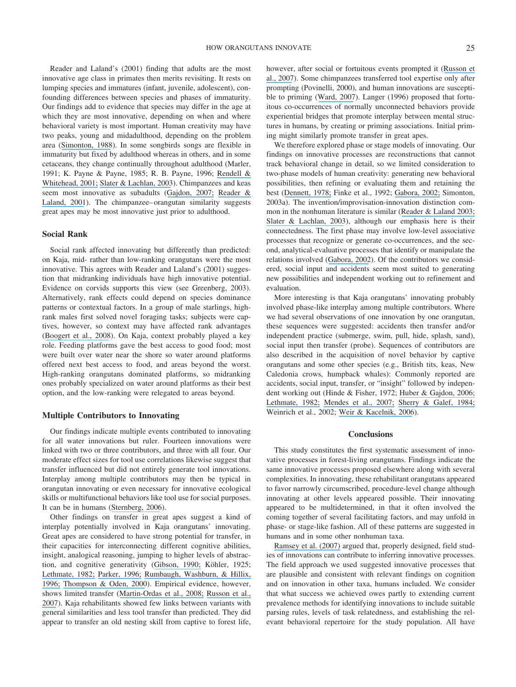Reader and Laland's (2001) finding that adults are the most innovative age class in primates then merits revisiting. It rests on lumping species and immatures (infant, juvenile, adolescent), confounding differences between species and phases of immaturity. Our findings add to evidence that species may differ in the age at which they are most innovative, depending on when and where behavioral variety is most important. Human creativity may have two peaks, young and midadulthood, depending on the problem area ([Simonton, 1988](https://www.researchgate.net/publication/20101281_Age_and_Outstanding_Achievement_What_Do_We_Know_After_a_Century_of_Research?el=1_x_8&enrichId=rgreq-298135d38c2275253ec58356c6f255ef-XXX&enrichSource=Y292ZXJQYWdlOzQxNTMxMDg2O0FTOjEyMDIzMjg4MjQ3OTEwNEAxNDA1Njc3MTYxNTYx)). In some songbirds songs are flexible in immaturity but fixed by adulthood whereas in others, and in some cetaceans, they change continually throughout adulthood (Marler, 1991; K. Payne & Payne, 1985; R. B. Payne, 1996; [Rendell &](https://www.researchgate.net/publication/11814696_Culture_in_Whales_and_Dolphins?el=1_x_8&enrichId=rgreq-298135d38c2275253ec58356c6f255ef-XXX&enrichSource=Y292ZXJQYWdlOzQxNTMxMDg2O0FTOjEyMDIzMjg4MjQ3OTEwNEAxNDA1Njc3MTYxNTYx) [Whitehead, 2001;](https://www.researchgate.net/publication/11814696_Culture_in_Whales_and_Dolphins?el=1_x_8&enrichId=rgreq-298135d38c2275253ec58356c6f255ef-XXX&enrichSource=Y292ZXJQYWdlOzQxNTMxMDg2O0FTOjEyMDIzMjg4MjQ3OTEwNEAxNDA1Njc3MTYxNTYx) [Slater & Lachlan, 2003](https://www.researchgate.net/publication/232550296_Is_Innovation_in_Bird_Song_Adaptive?el=1_x_8&enrichId=rgreq-298135d38c2275253ec58356c6f255ef-XXX&enrichSource=Y292ZXJQYWdlOzQxNTMxMDg2O0FTOjEyMDIzMjg4MjQ3OTEwNEAxNDA1Njc3MTYxNTYx)). Chimpanzees and keas seem most innovative as subadults ([Gajdon, 2007;](https://www.researchgate.net/publication/231873419_Knowing_psychological_disposition_might_help_to_find_innovation?el=1_x_8&enrichId=rgreq-298135d38c2275253ec58356c6f255ef-XXX&enrichSource=Y292ZXJQYWdlOzQxNTMxMDg2O0FTOjEyMDIzMjg4MjQ3OTEwNEAxNDA1Njc3MTYxNTYx) [Reader &](https://www.researchgate.net/publication/263058460_Primate_Innovation_Sex_Age_and_Social_Rank_Differences?el=1_x_8&enrichId=rgreq-298135d38c2275253ec58356c6f255ef-XXX&enrichSource=Y292ZXJQYWdlOzQxNTMxMDg2O0FTOjEyMDIzMjg4MjQ3OTEwNEAxNDA1Njc3MTYxNTYx) [Laland, 2001](https://www.researchgate.net/publication/263058460_Primate_Innovation_Sex_Age_and_Social_Rank_Differences?el=1_x_8&enrichId=rgreq-298135d38c2275253ec58356c6f255ef-XXX&enrichSource=Y292ZXJQYWdlOzQxNTMxMDg2O0FTOjEyMDIzMjg4MjQ3OTEwNEAxNDA1Njc3MTYxNTYx)). The chimpanzee– orangutan similarity suggests great apes may be most innovative just prior to adulthood.

## **Social Rank**

Social rank affected innovating but differently than predicted: on Kaja, mid- rather than low-ranking orangutans were the most innovative. This agrees with Reader and Laland's (2001) suggestion that midranking individuals have high innovative potential. Evidence on corvids supports this view (see Greenberg, 2003). Alternatively, rank effects could depend on species dominance patterns or contextual factors. In a group of male starlings, highrank males first solved novel foraging tasks; subjects were captives, however, so context may have affected rank advantages ([Boogert et al., 2008](https://www.researchgate.net/publication/222553322_The_origin_and_spread_of_innovations_in_starlings?el=1_x_8&enrichId=rgreq-298135d38c2275253ec58356c6f255ef-XXX&enrichSource=Y292ZXJQYWdlOzQxNTMxMDg2O0FTOjEyMDIzMjg4MjQ3OTEwNEAxNDA1Njc3MTYxNTYx)). On Kaja, context probably played a key role. Feeding platforms gave the best access to good food; most were built over water near the shore so water around platforms offered next best access to food, and areas beyond the worst. High-ranking orangutans dominated platforms, so midranking ones probably specialized on water around platforms as their best option, and the low-ranking were relegated to areas beyond.

## **Multiple Contributors to Innovating**

Our findings indicate multiple events contributed to innovating for all water innovations but ruler. Fourteen innovations were linked with two or three contributors, and three with all four. Our moderate effect sizes for tool use correlations likewise suggest that transfer influenced but did not entirely generate tool innovations. Interplay among multiple contributors may then be typical in orangutan innovating or even necessary for innovative ecological skills or multifunctional behaviors like tool use for social purposes. It can be in humans ([Sternberg, 2006](https://www.researchgate.net/publication/220041126_The_Nature_of_Creativity?el=1_x_8&enrichId=rgreq-298135d38c2275253ec58356c6f255ef-XXX&enrichSource=Y292ZXJQYWdlOzQxNTMxMDg2O0FTOjEyMDIzMjg4MjQ3OTEwNEAxNDA1Njc3MTYxNTYx)).

Other findings on transfer in great apes suggest a kind of interplay potentially involved in Kaja orangutans' innovating. Great apes are considered to have strong potential for transfer, in their capacities for interconnecting different cognitive abilities, insight, analogical reasoning, jumping to higher levels of abstrac-tion, and cognitive generativity ([Gibson, 1990;](https://www.researchgate.net/publication/232587804_New_perspectives_on_instincts_and_intelligence_Brain_size_and_the_emergence_of_hierarchical_mental_constructional_skills?el=1_x_8&enrichId=rgreq-298135d38c2275253ec58356c6f255ef-XXX&enrichSource=Y292ZXJQYWdlOzQxNTMxMDg2O0FTOjEyMDIzMjg4MjQ3OTEwNEAxNDA1Njc3MTYxNTYx) Köhler, 1925; [Lethmate, 1982;](https://www.researchgate.net/publication/229355663_Tool-using_skills_of_orang-utans?el=1_x_8&enrichId=rgreq-298135d38c2275253ec58356c6f255ef-XXX&enrichSource=Y292ZXJQYWdlOzQxNTMxMDg2O0FTOjEyMDIzMjg4MjQ3OTEwNEAxNDA1Njc3MTYxNTYx) [Parker, 1996;](https://www.researchgate.net/publication/283814168_Apprenticeship_in_tool-mediated_extractive_foraging_the_origins_of_imitation_teaching_and_self-awareness_in_great_apes?el=1_x_8&enrichId=rgreq-298135d38c2275253ec58356c6f255ef-XXX&enrichSource=Y292ZXJQYWdlOzQxNTMxMDg2O0FTOjEyMDIzMjg4MjQ3OTEwNEAxNDA1Njc3MTYxNTYx) [Rumbaugh, Washburn, & Hillix,](https://www.researchgate.net/publication/24296310_Respondents_Operants_and_Emergents_Toward_an_Integrated_Perspective_on_Behavior?el=1_x_8&enrichId=rgreq-298135d38c2275253ec58356c6f255ef-XXX&enrichSource=Y292ZXJQYWdlOzQxNTMxMDg2O0FTOjEyMDIzMjg4MjQ3OTEwNEAxNDA1Njc3MTYxNTYx) [1996;](https://www.researchgate.net/publication/24296310_Respondents_Operants_and_Emergents_Toward_an_Integrated_Perspective_on_Behavior?el=1_x_8&enrichId=rgreq-298135d38c2275253ec58356c6f255ef-XXX&enrichSource=Y292ZXJQYWdlOzQxNTMxMDg2O0FTOjEyMDIzMjg4MjQ3OTEwNEAxNDA1Njc3MTYxNTYx) [Thompson & Oden, 2000](https://www.researchgate.net/publication/220480406_Categorical_Perception_and_Conceptual_Judgments_by_Nonhuman_Primates_The_Paleological_Monkey_and_the_Analogical_Ape?el=1_x_8&enrichId=rgreq-298135d38c2275253ec58356c6f255ef-XXX&enrichSource=Y292ZXJQYWdlOzQxNTMxMDg2O0FTOjEyMDIzMjg4MjQ3OTEwNEAxNDA1Njc3MTYxNTYx)). Empirical evidence, however, shows limited transfer ([Martin-Ordas et al., 2008;](https://www.researchgate.net/publication/5667857_Tubes_tables_and_traps_Great_apes_solve_two_functionally_equivalent_trap_tasks_but_show_no_evidence_of_transfer_across_tasks?el=1_x_8&enrichId=rgreq-298135d38c2275253ec58356c6f255ef-XXX&enrichSource=Y292ZXJQYWdlOzQxNTMxMDg2O0FTOjEyMDIzMjg4MjQ3OTEwNEAxNDA1Njc3MTYxNTYx) [Russon et al.,](https://www.researchgate.net/publication/6638426_Orangutan_leaf-carrying_for_nest-building_Toward_unraveling_cultural_processes?el=1_x_8&enrichId=rgreq-298135d38c2275253ec58356c6f255ef-XXX&enrichSource=Y292ZXJQYWdlOzQxNTMxMDg2O0FTOjEyMDIzMjg4MjQ3OTEwNEAxNDA1Njc3MTYxNTYx) [2007](https://www.researchgate.net/publication/6638426_Orangutan_leaf-carrying_for_nest-building_Toward_unraveling_cultural_processes?el=1_x_8&enrichId=rgreq-298135d38c2275253ec58356c6f255ef-XXX&enrichSource=Y292ZXJQYWdlOzQxNTMxMDg2O0FTOjEyMDIzMjg4MjQ3OTEwNEAxNDA1Njc3MTYxNTYx)). Kaja rehabilitants showed few links between variants with general similarities and less tool transfer than predicted. They did appear to transfer an old nesting skill from captive to forest life, however, after social or fortuitous events prompted it ([Russon et](https://www.researchgate.net/publication/6638426_Orangutan_leaf-carrying_for_nest-building_Toward_unraveling_cultural_processes?el=1_x_8&enrichId=rgreq-298135d38c2275253ec58356c6f255ef-XXX&enrichSource=Y292ZXJQYWdlOzQxNTMxMDg2O0FTOjEyMDIzMjg4MjQ3OTEwNEAxNDA1Njc3MTYxNTYx) [al., 2007](https://www.researchgate.net/publication/6638426_Orangutan_leaf-carrying_for_nest-building_Toward_unraveling_cultural_processes?el=1_x_8&enrichId=rgreq-298135d38c2275253ec58356c6f255ef-XXX&enrichSource=Y292ZXJQYWdlOzQxNTMxMDg2O0FTOjEyMDIzMjg4MjQ3OTEwNEAxNDA1Njc3MTYxNTYx)). Some chimpanzees transferred tool expertise only after prompting (Povinelli, 2000), and human innovations are susceptible to priming ([Ward, 2007](https://www.researchgate.net/publication/6394812_Creative_cognition_as_a_window_on_creativity?el=1_x_8&enrichId=rgreq-298135d38c2275253ec58356c6f255ef-XXX&enrichSource=Y292ZXJQYWdlOzQxNTMxMDg2O0FTOjEyMDIzMjg4MjQ3OTEwNEAxNDA1Njc3MTYxNTYx)). Langer (1996) proposed that fortuitous co-occurrences of normally unconnected behaviors provide experiential bridges that promote interplay between mental structures in humans, by creating or priming associations. Initial priming might similarly promote transfer in great apes.

We therefore explored phase or stage models of innovating. Our findings on innovative processes are reconstructions that cannot track behavioral change in detail, so we limited consideration to two-phase models of human creativity: generating new behavioral possibilities, then refining or evaluating them and retaining the best ([Dennett, 1978;](https://www.researchgate.net/publication/245588963_Brainstorms_Philosophical_Essays_on_Mind_and_Psychology_Cambridge?el=1_x_8&enrichId=rgreq-298135d38c2275253ec58356c6f255ef-XXX&enrichSource=Y292ZXJQYWdlOzQxNTMxMDg2O0FTOjEyMDIzMjg4MjQ3OTEwNEAxNDA1Njc3MTYxNTYx) Finke et al., 1992; [Gabora, 2002;](https://www.researchgate.net/publication/28763600_Cognitive_Mechanisms_Underlying_the_Creative_Process?el=1_x_8&enrichId=rgreq-298135d38c2275253ec58356c6f255ef-XXX&enrichSource=Y292ZXJQYWdlOzQxNTMxMDg2O0FTOjEyMDIzMjg4MjQ3OTEwNEAxNDA1Njc3MTYxNTYx) Simonton, 2003a). The invention/improvisation-innovation distinction common in the nonhuman literature is similar ([Reader & Laland 2003;](https://www.researchgate.net/publication/46634838_Animal_Innovation_An_Introduction?el=1_x_8&enrichId=rgreq-298135d38c2275253ec58356c6f255ef-XXX&enrichSource=Y292ZXJQYWdlOzQxNTMxMDg2O0FTOjEyMDIzMjg4MjQ3OTEwNEAxNDA1Njc3MTYxNTYx) [Slater & Lachlan, 2003](https://www.researchgate.net/publication/232550296_Is_Innovation_in_Bird_Song_Adaptive?el=1_x_8&enrichId=rgreq-298135d38c2275253ec58356c6f255ef-XXX&enrichSource=Y292ZXJQYWdlOzQxNTMxMDg2O0FTOjEyMDIzMjg4MjQ3OTEwNEAxNDA1Njc3MTYxNTYx)), although our emphasis here is their connectedness. The first phase may involve low-level associative processes that recognize or generate co-occurrences, and the second, analytical-evaluative processes that identify or manipulate the relations involved ([Gabora, 2002](https://www.researchgate.net/publication/28763600_Cognitive_Mechanisms_Underlying_the_Creative_Process?el=1_x_8&enrichId=rgreq-298135d38c2275253ec58356c6f255ef-XXX&enrichSource=Y292ZXJQYWdlOzQxNTMxMDg2O0FTOjEyMDIzMjg4MjQ3OTEwNEAxNDA1Njc3MTYxNTYx)). Of the contributors we considered, social input and accidents seem most suited to generating new possibilities and independent working out to refinement and evaluation.

More interesting is that Kaja orangutans' innovating probably involved phase-like interplay among multiple contributors. Where we had several observations of one innovation by one orangutan, these sequences were suggested: accidents then transfer and/or independent practice (submerge, swim, pull, hide, splash, sand), social input then transfer (probe). Sequences of contributors are also described in the acquisition of novel behavior by captive orangutans and some other species (e.g., British tits, keas, New Caledonia crows, humpback whales): Commonly reported are accidents, social input, transfer, or "insight" followed by independent working out (Hinde & Fisher, 1972; [Huber & Gajdon, 2006;](https://www.researchgate.net/publication/6878772_Technical_intelligence_in_animals_The_kea_model?el=1_x_8&enrichId=rgreq-298135d38c2275253ec58356c6f255ef-XXX&enrichSource=Y292ZXJQYWdlOzQxNTMxMDg2O0FTOjEyMDIzMjg4MjQ3OTEwNEAxNDA1Njc3MTYxNTYx) [Lethmate, 1982;](https://www.researchgate.net/publication/229355663_Tool-using_skills_of_orang-utans?el=1_x_8&enrichId=rgreq-298135d38c2275253ec58356c6f255ef-XXX&enrichSource=Y292ZXJQYWdlOzQxNTMxMDg2O0FTOjEyMDIzMjg4MjQ3OTEwNEAxNDA1Njc3MTYxNTYx) [Mendes et al., 2007;](https://www.researchgate.net/publication/6228924_Raising_the_level_Orangutans_use_water_as_a_tool?el=1_x_8&enrichId=rgreq-298135d38c2275253ec58356c6f255ef-XXX&enrichSource=Y292ZXJQYWdlOzQxNTMxMDg2O0FTOjEyMDIzMjg4MjQ3OTEwNEAxNDA1Njc3MTYxNTYx) [Sherry & Galef, 1984;](https://www.researchgate.net/publication/232457418_Cultural_transmission_without_imitation_Milk_bottle_opening_by_birds?el=1_x_8&enrichId=rgreq-298135d38c2275253ec58356c6f255ef-XXX&enrichSource=Y292ZXJQYWdlOzQxNTMxMDg2O0FTOjEyMDIzMjg4MjQ3OTEwNEAxNDA1Njc3MTYxNTYx) Weinrich et al., 2002; [Weir & Kacelnik, 2006](https://www.researchgate.net/publication/6769576_A_New_Caledonian_crow_Corvus_moneduloides_creatively_re-designs_tools_by_bending_or_unbending_aluminium_strips?el=1_x_8&enrichId=rgreq-298135d38c2275253ec58356c6f255ef-XXX&enrichSource=Y292ZXJQYWdlOzQxNTMxMDg2O0FTOjEyMDIzMjg4MjQ3OTEwNEAxNDA1Njc3MTYxNTYx)).

## **Conclusions**

This study constitutes the first systematic assessment of innovative processes in forest-living orangutans. Findings indicate the same innovative processes proposed elsewhere along with several complexities. In innovating, these rehabilitant orangutans appeared to favor narrowly circumscribed, procedure-level change although innovating at other levels appeared possible. Their innovating appeared to be multidetermined, in that it often involved the coming together of several facilitating factors, and may unfold in phase- or stage-like fashion. All of these patterns are suggested in humans and in some other nonhuman taxa.

[Ramsey et al. \(2007\)](https://www.researchgate.net/publication/5766633_Animal_innovation_defined_and_operationalized?el=1_x_8&enrichId=rgreq-298135d38c2275253ec58356c6f255ef-XXX&enrichSource=Y292ZXJQYWdlOzQxNTMxMDg2O0FTOjEyMDIzMjg4MjQ3OTEwNEAxNDA1Njc3MTYxNTYx) argued that, properly designed, field studies of innovations can contribute to inferring innovative processes. The field approach we used suggested innovative processes that are plausible and consistent with relevant findings on cognition and on innovation in other taxa, humans included. We consider that what success we achieved owes partly to extending current prevalence methods for identifying innovations to include suitable parsing rules, levels of task relatedness, and establishing the relevant behavioral repertoire for the study population. All have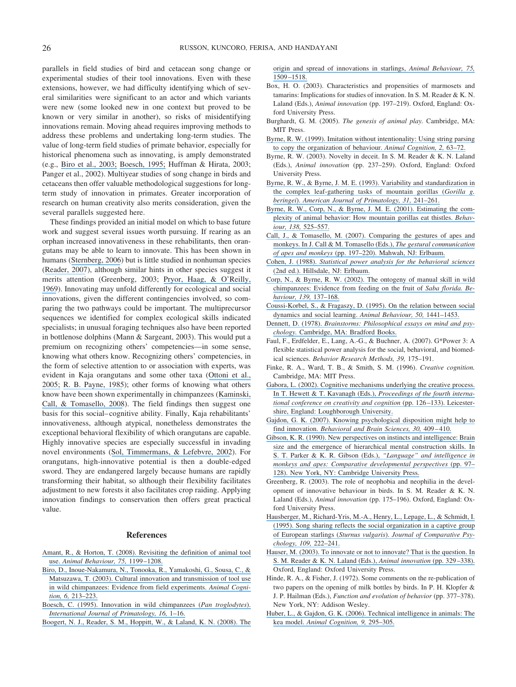parallels in field studies of bird and cetacean song change or experimental studies of their tool innovations. Even with these extensions, however, we had difficulty identifying which of several similarities were significant to an actor and which variants were new (some looked new in one context but proved to be known or very similar in another), so risks of misidentifying innovations remain. Moving ahead requires improving methods to address these problems and undertaking long-term studies. The value of long-term field studies of primate behavior, especially for historical phenomena such as innovating, is amply demonstrated (e.g., [Biro et al., 2003;](https://www.researchgate.net/publication/10630809_Cultural_innovation_and_transmission_of_tool_use_in_wild_chimpanzees_Evidence_from_field_experiments?el=1_x_8&enrichId=rgreq-298135d38c2275253ec58356c6f255ef-XXX&enrichSource=Y292ZXJQYWdlOzQxNTMxMDg2O0FTOjEyMDIzMjg4MjQ3OTEwNEAxNDA1Njc3MTYxNTYx) [Boesch, 1995;](https://www.researchgate.net/publication/226887307_Innovation_in_wild_Chimpanzees_Pan_troglodytes?el=1_x_8&enrichId=rgreq-298135d38c2275253ec58356c6f255ef-XXX&enrichSource=Y292ZXJQYWdlOzQxNTMxMDg2O0FTOjEyMDIzMjg4MjQ3OTEwNEAxNDA1Njc3MTYxNTYx) Huffman & Hirata, 2003; Panger et al., 2002). Multiyear studies of song change in birds and cetaceans then offer valuable methodological suggestions for longterm study of innovation in primates. Greater incorporation of research on human creativity also merits consideration, given the several parallels suggested here.

These findings provided an initial model on which to base future work and suggest several issues worth pursuing. If rearing as an orphan increased innovativeness in these rehabilitants, then orangutans may be able to learn to innovate. This has been shown in humans ([Sternberg, 2006](https://www.researchgate.net/publication/220041126_The_Nature_of_Creativity?el=1_x_8&enrichId=rgreq-298135d38c2275253ec58356c6f255ef-XXX&enrichSource=Y292ZXJQYWdlOzQxNTMxMDg2O0FTOjEyMDIzMjg4MjQ3OTEwNEAxNDA1Njc3MTYxNTYx)) but is little studied in nonhuman species ([Reader, 2007](https://www.researchgate.net/publication/46699492_Environmentally_invoked_innovation_and_cognition?el=1_x_8&enrichId=rgreq-298135d38c2275253ec58356c6f255ef-XXX&enrichSource=Y292ZXJQYWdlOzQxNTMxMDg2O0FTOjEyMDIzMjg4MjQ3OTEwNEAxNDA1Njc3MTYxNTYx)), although similar hints in other species suggest it merits attention (Greenberg, 2003; [Pryor, Haag, & O'Reilly,](https://www.researchgate.net/publication/6974294_The_creative_porpoise_Training_for_novel_behavior?el=1_x_8&enrichId=rgreq-298135d38c2275253ec58356c6f255ef-XXX&enrichSource=Y292ZXJQYWdlOzQxNTMxMDg2O0FTOjEyMDIzMjg4MjQ3OTEwNEAxNDA1Njc3MTYxNTYx) [1969](https://www.researchgate.net/publication/6974294_The_creative_porpoise_Training_for_novel_behavior?el=1_x_8&enrichId=rgreq-298135d38c2275253ec58356c6f255ef-XXX&enrichSource=Y292ZXJQYWdlOzQxNTMxMDg2O0FTOjEyMDIzMjg4MjQ3OTEwNEAxNDA1Njc3MTYxNTYx)). Innovating may unfold differently for ecological and social innovations, given the different contingencies involved, so comparing the two pathways could be important. The multiprecursor sequences we identified for complex ecological skills indicated specialists; in unusual foraging techniques also have been reported in bottlenose dolphins (Mann & Sargeant, 2003). This would put a premium on recognizing others' competencies—in some sense, knowing what others know. Recognizing others' competencies, in the form of selective attention to or association with experts, was evident in Kaja orangutans and some other taxa ([Ottoni et al.,](https://www.researchgate.net/publication/8014572_Watching_the_best_nutcrackers_what_capuchin_monkeys_Cebus_apella_know_about_others) [2005;](https://www.researchgate.net/publication/8014572_Watching_the_best_nutcrackers_what_capuchin_monkeys_Cebus_apella_know_about_others) [R. B. Payne, 1985](https://www.researchgate.net/publication/232493380_Behavioral_Continuity_and_Change_in_Local_Song_Populations_of_Village_Indigobirds_Vidua_chalybeate?el=1_x_8&enrichId=rgreq-298135d38c2275253ec58356c6f255ef-XXX&enrichSource=Y292ZXJQYWdlOzQxNTMxMDg2O0FTOjEyMDIzMjg4MjQ3OTEwNEAxNDA1Njc3MTYxNTYx)); other forms of knowing what others know have been shown experimentally in chimpanzees ([Kaminski,](https://www.researchgate.net/publication/23313565_Chimpanzees_Know_What_Others_Know_but_Not_What_They_Believe?el=1_x_8&enrichId=rgreq-298135d38c2275253ec58356c6f255ef-XXX&enrichSource=Y292ZXJQYWdlOzQxNTMxMDg2O0FTOjEyMDIzMjg4MjQ3OTEwNEAxNDA1Njc3MTYxNTYx) [Call, & Tomasello, 2008](https://www.researchgate.net/publication/23313565_Chimpanzees_Know_What_Others_Know_but_Not_What_They_Believe?el=1_x_8&enrichId=rgreq-298135d38c2275253ec58356c6f255ef-XXX&enrichSource=Y292ZXJQYWdlOzQxNTMxMDg2O0FTOjEyMDIzMjg4MjQ3OTEwNEAxNDA1Njc3MTYxNTYx)). The field findings then suggest one basis for this social– cognitive ability. Finally, Kaja rehabilitants' innovativeness, although atypical, nonetheless demonstrates the exceptional behavioral flexibility of which orangutans are capable. Highly innovative species are especially successful in invading novel environments ([Sol, Timmermans, & Lefebvre, 2002](https://www.researchgate.net/publication/222520220_Behavioral_flexibility_and_invasion_success_in_birds?el=1_x_8&enrichId=rgreq-298135d38c2275253ec58356c6f255ef-XXX&enrichSource=Y292ZXJQYWdlOzQxNTMxMDg2O0FTOjEyMDIzMjg4MjQ3OTEwNEAxNDA1Njc3MTYxNTYx)). For orangutans, high-innovative potential is then a double-edged sword. They are endangered largely because humans are rapidly transforming their habitat, so although their flexibility facilitates adjustment to new forests it also facilitates crop raiding. Applying innovation findings to conservation then offers great practical value.

#### **References**

- [Amant, R., & Horton, T. \(2008\). Revisiting the definition of animal tool](https://www.researchgate.net/publication/222580756_Revisiting_the_definition_of_animal_tool_use?el=1_x_8&enrichId=rgreq-298135d38c2275253ec58356c6f255ef-XXX&enrichSource=Y292ZXJQYWdlOzQxNTMxMDg2O0FTOjEyMDIzMjg4MjQ3OTEwNEAxNDA1Njc3MTYxNTYx) use. *[Animal Behaviour, 75,](https://www.researchgate.net/publication/222580756_Revisiting_the_definition_of_animal_tool_use?el=1_x_8&enrichId=rgreq-298135d38c2275253ec58356c6f255ef-XXX&enrichSource=Y292ZXJQYWdlOzQxNTMxMDg2O0FTOjEyMDIzMjg4MjQ3OTEwNEAxNDA1Njc3MTYxNTYx)* 1199 –1208.
- [Biro, D., Inoue-Nakamura, N., Tonooka, R., Yamakoshi, G., Sousa, C., &](https://www.researchgate.net/publication/10630809_Cultural_innovation_and_transmission_of_tool_use_in_wild_chimpanzees_Evidence_from_field_experiments?el=1_x_8&enrichId=rgreq-298135d38c2275253ec58356c6f255ef-XXX&enrichSource=Y292ZXJQYWdlOzQxNTMxMDg2O0FTOjEyMDIzMjg4MjQ3OTEwNEAxNDA1Njc3MTYxNTYx) [Matsuzawa, T. \(2003\). Cultural innovation and transmission of tool use](https://www.researchgate.net/publication/10630809_Cultural_innovation_and_transmission_of_tool_use_in_wild_chimpanzees_Evidence_from_field_experiments?el=1_x_8&enrichId=rgreq-298135d38c2275253ec58356c6f255ef-XXX&enrichSource=Y292ZXJQYWdlOzQxNTMxMDg2O0FTOjEyMDIzMjg4MjQ3OTEwNEAxNDA1Njc3MTYxNTYx) [in wild chimpanzees: Evidence from field experiments.](https://www.researchgate.net/publication/10630809_Cultural_innovation_and_transmission_of_tool_use_in_wild_chimpanzees_Evidence_from_field_experiments?el=1_x_8&enrichId=rgreq-298135d38c2275253ec58356c6f255ef-XXX&enrichSource=Y292ZXJQYWdlOzQxNTMxMDg2O0FTOjEyMDIzMjg4MjQ3OTEwNEAxNDA1Njc3MTYxNTYx) *Animal Cognition, 6,* [213–223.](https://www.researchgate.net/publication/10630809_Cultural_innovation_and_transmission_of_tool_use_in_wild_chimpanzees_Evidence_from_field_experiments?el=1_x_8&enrichId=rgreq-298135d38c2275253ec58356c6f255ef-XXX&enrichSource=Y292ZXJQYWdlOzQxNTMxMDg2O0FTOjEyMDIzMjg4MjQ3OTEwNEAxNDA1Njc3MTYxNTYx)
- [Boesch, C. \(1995\). Innovation in wild chimpanzees \(](https://www.researchgate.net/publication/226887307_Innovation_in_wild_Chimpanzees_Pan_troglodytes?el=1_x_8&enrichId=rgreq-298135d38c2275253ec58356c6f255ef-XXX&enrichSource=Y292ZXJQYWdlOzQxNTMxMDg2O0FTOjEyMDIzMjg4MjQ3OTEwNEAxNDA1Njc3MTYxNTYx)*Pan troglodytes*). *[International Journal of Primatology, 16,](https://www.researchgate.net/publication/226887307_Innovation_in_wild_Chimpanzees_Pan_troglodytes?el=1_x_8&enrichId=rgreq-298135d38c2275253ec58356c6f255ef-XXX&enrichSource=Y292ZXJQYWdlOzQxNTMxMDg2O0FTOjEyMDIzMjg4MjQ3OTEwNEAxNDA1Njc3MTYxNTYx)* 1–16.

[Boogert, N. J., Reader, S. M., Hoppitt, W., & Laland, K. N. \(2008\). The](https://www.researchgate.net/publication/222553322_The_origin_and_spread_of_innovations_in_starlings?el=1_x_8&enrichId=rgreq-298135d38c2275253ec58356c6f255ef-XXX&enrichSource=Y292ZXJQYWdlOzQxNTMxMDg2O0FTOjEyMDIzMjg4MjQ3OTEwNEAxNDA1Njc3MTYxNTYx)

[origin and spread of innovations in starlings,](https://www.researchgate.net/publication/222553322_The_origin_and_spread_of_innovations_in_starlings?el=1_x_8&enrichId=rgreq-298135d38c2275253ec58356c6f255ef-XXX&enrichSource=Y292ZXJQYWdlOzQxNTMxMDg2O0FTOjEyMDIzMjg4MjQ3OTEwNEAxNDA1Njc3MTYxNTYx) *Animal Behaviour, 75,* [1509 –1518.](https://www.researchgate.net/publication/222553322_The_origin_and_spread_of_innovations_in_starlings?el=1_x_8&enrichId=rgreq-298135d38c2275253ec58356c6f255ef-XXX&enrichSource=Y292ZXJQYWdlOzQxNTMxMDg2O0FTOjEyMDIzMjg4MjQ3OTEwNEAxNDA1Njc3MTYxNTYx)

- Box, H. O. (2003). Characteristics and propensities of marmosets and tamarins: Implications for studies of innovation. In S. M. Reader & K. N. Laland (Eds.), *Animal innovation* (pp. 197–219). Oxford, England: Oxford University Press.
- Burghardt, G. M. (2005). *The genesis of animal play.* Cambridge, MA: MIT Press.
- [Byrne, R. W. \(1999\). Imitation without intentionality: Using string parsing](https://www.researchgate.net/publication/226556990_Imitation_without_intentionality_Using_string_parsing_to_copy_the_organization_of_behavior?el=1_x_8&enrichId=rgreq-298135d38c2275253ec58356c6f255ef-XXX&enrichSource=Y292ZXJQYWdlOzQxNTMxMDg2O0FTOjEyMDIzMjg4MjQ3OTEwNEAxNDA1Njc3MTYxNTYx) [to copy the organization of behaviour.](https://www.researchgate.net/publication/226556990_Imitation_without_intentionality_Using_string_parsing_to_copy_the_organization_of_behavior?el=1_x_8&enrichId=rgreq-298135d38c2275253ec58356c6f255ef-XXX&enrichSource=Y292ZXJQYWdlOzQxNTMxMDg2O0FTOjEyMDIzMjg4MjQ3OTEwNEAxNDA1Njc3MTYxNTYx) *Animal Cognition, 2,* 63–72.
- Byrne, R. W. (2003). Novelty in deceit. In S. M. Reader & K. N. Laland (Eds.), *Animal innovation* (pp. 237–259). Oxford, England: Oxford University Press.
- [Byrne, R. W., & Byrne, J. M. E. \(1993\). Variability and standardization in](https://www.researchgate.net/publication/247964477_Complex_leaf-gathering_skills_of_Mountain_Gorillas_Gorilla_g_beringei_variability_and_standardization?el=1_x_8&enrichId=rgreq-298135d38c2275253ec58356c6f255ef-XXX&enrichSource=Y292ZXJQYWdlOzQxNTMxMDg2O0FTOjEyMDIzMjg4MjQ3OTEwNEAxNDA1Njc3MTYxNTYx) [the complex leaf-gathering tasks of mountain gorillas \(](https://www.researchgate.net/publication/247964477_Complex_leaf-gathering_skills_of_Mountain_Gorillas_Gorilla_g_beringei_variability_and_standardization?el=1_x_8&enrichId=rgreq-298135d38c2275253ec58356c6f255ef-XXX&enrichSource=Y292ZXJQYWdlOzQxNTMxMDg2O0FTOjEyMDIzMjg4MjQ3OTEwNEAxNDA1Njc3MTYxNTYx)*Gorilla g. beringei*). *[American Journal of Primatology, 31,](https://www.researchgate.net/publication/247964477_Complex_leaf-gathering_skills_of_Mountain_Gorillas_Gorilla_g_beringei_variability_and_standardization?el=1_x_8&enrichId=rgreq-298135d38c2275253ec58356c6f255ef-XXX&enrichSource=Y292ZXJQYWdlOzQxNTMxMDg2O0FTOjEyMDIzMjg4MjQ3OTEwNEAxNDA1Njc3MTYxNTYx)* 241–261.
- [Byrne, R. W., Corp, N., & Byrne, J. M. E. \(2001\). Estimating the com](https://www.researchgate.net/publication/230815535_Estimating_the_complexity_of_animal_behaviour_How_mountain_gorillas_eat_thistles?el=1_x_8&enrichId=rgreq-298135d38c2275253ec58356c6f255ef-XXX&enrichSource=Y292ZXJQYWdlOzQxNTMxMDg2O0FTOjEyMDIzMjg4MjQ3OTEwNEAxNDA1Njc3MTYxNTYx)[plexity of animal behavior: How mountain gorillas eat thistles.](https://www.researchgate.net/publication/230815535_Estimating_the_complexity_of_animal_behaviour_How_mountain_gorillas_eat_thistles?el=1_x_8&enrichId=rgreq-298135d38c2275253ec58356c6f255ef-XXX&enrichSource=Y292ZXJQYWdlOzQxNTMxMDg2O0FTOjEyMDIzMjg4MjQ3OTEwNEAxNDA1Njc3MTYxNTYx) *Behav[iour, 138,](https://www.researchgate.net/publication/230815535_Estimating_the_complexity_of_animal_behaviour_How_mountain_gorillas_eat_thistles?el=1_x_8&enrichId=rgreq-298135d38c2275253ec58356c6f255ef-XXX&enrichSource=Y292ZXJQYWdlOzQxNTMxMDg2O0FTOjEyMDIzMjg4MjQ3OTEwNEAxNDA1Njc3MTYxNTYx)* 525–557.
- [Call, J., & Tomasello, M. \(2007\). Comparing the gestures of apes and](https://www.researchgate.net/publication/40853127_The_Gestural_Communication_of_Apes_and_Monkeys?el=1_x_8&enrichId=rgreq-298135d38c2275253ec58356c6f255ef-XXX&enrichSource=Y292ZXJQYWdlOzQxNTMxMDg2O0FTOjEyMDIzMjg4MjQ3OTEwNEAxNDA1Njc3MTYxNTYx) [monkeys. In J. Call & M. Tomasello \(Eds.\),](https://www.researchgate.net/publication/40853127_The_Gestural_Communication_of_Apes_and_Monkeys?el=1_x_8&enrichId=rgreq-298135d38c2275253ec58356c6f255ef-XXX&enrichSource=Y292ZXJQYWdlOzQxNTMxMDg2O0FTOjEyMDIzMjg4MjQ3OTEwNEAxNDA1Njc3MTYxNTYx) *The gestural communication of apes and monkeys* [\(pp. 197–220\). Mahwah, NJ: Erlbaum.](https://www.researchgate.net/publication/40853127_The_Gestural_Communication_of_Apes_and_Monkeys?el=1_x_8&enrichId=rgreq-298135d38c2275253ec58356c6f255ef-XXX&enrichSource=Y292ZXJQYWdlOzQxNTMxMDg2O0FTOjEyMDIzMjg4MjQ3OTEwNEAxNDA1Njc3MTYxNTYx)
- Cohen, J. (1988). *[Statistical power analysis for the behavioral sciences](https://www.researchgate.net/publication/44847045_Statistical_power_ANALYSIS_for_the_Behavioral_sciences?el=1_x_8&enrichId=rgreq-298135d38c2275253ec58356c6f255ef-XXX&enrichSource=Y292ZXJQYWdlOzQxNTMxMDg2O0FTOjEyMDIzMjg4MjQ3OTEwNEAxNDA1Njc3MTYxNTYx)* [\(2nd ed.\). Hillsdale, NJ: Erlbaum.](https://www.researchgate.net/publication/44847045_Statistical_power_ANALYSIS_for_the_Behavioral_sciences?el=1_x_8&enrichId=rgreq-298135d38c2275253ec58356c6f255ef-XXX&enrichSource=Y292ZXJQYWdlOzQxNTMxMDg2O0FTOjEyMDIzMjg4MjQ3OTEwNEAxNDA1Njc3MTYxNTYx)
- [Corp, N., & Byrne, R. W. \(2002\). The ontogeny of manual skill in wild](https://www.researchgate.net/publication/230815532_The_Ontogeny_of_manual_skill_in_wild_chimpanzees_evidence_from_feeding_on_the_fruit_of_Saba_Florida?el=1_x_8&enrichId=rgreq-298135d38c2275253ec58356c6f255ef-XXX&enrichSource=Y292ZXJQYWdlOzQxNTMxMDg2O0FTOjEyMDIzMjg4MjQ3OTEwNEAxNDA1Njc3MTYxNTYx) [chimpanzees: Evidence from feeding on the fruit of](https://www.researchgate.net/publication/230815532_The_Ontogeny_of_manual_skill_in_wild_chimpanzees_evidence_from_feeding_on_the_fruit_of_Saba_Florida?el=1_x_8&enrichId=rgreq-298135d38c2275253ec58356c6f255ef-XXX&enrichSource=Y292ZXJQYWdlOzQxNTMxMDg2O0FTOjEyMDIzMjg4MjQ3OTEwNEAxNDA1Njc3MTYxNTYx) *Saba florida. Be[haviour, 139,](https://www.researchgate.net/publication/230815532_The_Ontogeny_of_manual_skill_in_wild_chimpanzees_evidence_from_feeding_on_the_fruit_of_Saba_Florida?el=1_x_8&enrichId=rgreq-298135d38c2275253ec58356c6f255ef-XXX&enrichSource=Y292ZXJQYWdlOzQxNTMxMDg2O0FTOjEyMDIzMjg4MjQ3OTEwNEAxNDA1Njc3MTYxNTYx)* 137–168.
- [Coussi-Korbel, S., & Fragaszy, D. \(1995\). On the relation between social](https://www.researchgate.net/publication/223159740_On_the_relation_between_social_dynamics_and_social_learning?el=1_x_8&enrichId=rgreq-298135d38c2275253ec58356c6f255ef-XXX&enrichSource=Y292ZXJQYWdlOzQxNTMxMDg2O0FTOjEyMDIzMjg4MjQ3OTEwNEAxNDA1Njc3MTYxNTYx) [dynamics and social learning.](https://www.researchgate.net/publication/223159740_On_the_relation_between_social_dynamics_and_social_learning?el=1_x_8&enrichId=rgreq-298135d38c2275253ec58356c6f255ef-XXX&enrichSource=Y292ZXJQYWdlOzQxNTMxMDg2O0FTOjEyMDIzMjg4MjQ3OTEwNEAxNDA1Njc3MTYxNTYx) *Animal Behaviour, 50,* 1441–1453.
- Dennett, D. (1978). *[Brainstorms: Philosophical essays on mind and psy](https://www.researchgate.net/publication/245588963_Brainstorms_Philosophical_Essays_on_Mind_and_Psychology_Cambridge?el=1_x_8&enrichId=rgreq-298135d38c2275253ec58356c6f255ef-XXX&enrichSource=Y292ZXJQYWdlOzQxNTMxMDg2O0FTOjEyMDIzMjg4MjQ3OTEwNEAxNDA1Njc3MTYxNTYx)chology.* [Cambridge, MA: Bradford Books.](https://www.researchgate.net/publication/245588963_Brainstorms_Philosophical_Essays_on_Mind_and_Psychology_Cambridge?el=1_x_8&enrichId=rgreq-298135d38c2275253ec58356c6f255ef-XXX&enrichSource=Y292ZXJQYWdlOzQxNTMxMDg2O0FTOjEyMDIzMjg4MjQ3OTEwNEAxNDA1Njc3MTYxNTYx)
- Faul, F., Erdfelder, E., Lang, A.-G., & Buchner, A. (2007). G\*Power 3: A flexible statistical power analysis for the social, behavioral, and biomedical sciences. *Behavior Research Methods, 39,* 175–191.
- Finke, R. A., Ward, T. B., & Smith, S. M. (1996). *Creative cognition.* Cambridge, MA: MIT Press.
- [Gabora, L. \(2002\). Cognitive mechanisms underlying the creative process.](https://www.researchgate.net/publication/28763600_Cognitive_Mechanisms_Underlying_the_Creative_Process?el=1_x_8&enrichId=rgreq-298135d38c2275253ec58356c6f255ef-XXX&enrichSource=Y292ZXJQYWdlOzQxNTMxMDg2O0FTOjEyMDIzMjg4MjQ3OTEwNEAxNDA1Njc3MTYxNTYx) [In T. Hewett & T. Kavanagh \(Eds.\),](https://www.researchgate.net/publication/28763600_Cognitive_Mechanisms_Underlying_the_Creative_Process?el=1_x_8&enrichId=rgreq-298135d38c2275253ec58356c6f255ef-XXX&enrichSource=Y292ZXJQYWdlOzQxNTMxMDg2O0FTOjEyMDIzMjg4MjQ3OTEwNEAxNDA1Njc3MTYxNTYx) *Proceedings of the fourth interna[tional conference on creativity and cognition](https://www.researchgate.net/publication/28763600_Cognitive_Mechanisms_Underlying_the_Creative_Process?el=1_x_8&enrichId=rgreq-298135d38c2275253ec58356c6f255ef-XXX&enrichSource=Y292ZXJQYWdlOzQxNTMxMDg2O0FTOjEyMDIzMjg4MjQ3OTEwNEAxNDA1Njc3MTYxNTYx)* (pp. 126 –133). Leicester[shire, England: Loughborough University.](https://www.researchgate.net/publication/28763600_Cognitive_Mechanisms_Underlying_the_Creative_Process?el=1_x_8&enrichId=rgreq-298135d38c2275253ec58356c6f255ef-XXX&enrichSource=Y292ZXJQYWdlOzQxNTMxMDg2O0FTOjEyMDIzMjg4MjQ3OTEwNEAxNDA1Njc3MTYxNTYx)
- [Gajdon, G. K. \(2007\). Knowing psychological disposition might help to](https://www.researchgate.net/publication/231873419_Knowing_psychological_disposition_might_help_to_find_innovation?el=1_x_8&enrichId=rgreq-298135d38c2275253ec58356c6f255ef-XXX&enrichSource=Y292ZXJQYWdlOzQxNTMxMDg2O0FTOjEyMDIzMjg4MjQ3OTEwNEAxNDA1Njc3MTYxNTYx) find innovation. *[Behavioral and Brain Sciences, 30,](https://www.researchgate.net/publication/231873419_Knowing_psychological_disposition_might_help_to_find_innovation?el=1_x_8&enrichId=rgreq-298135d38c2275253ec58356c6f255ef-XXX&enrichSource=Y292ZXJQYWdlOzQxNTMxMDg2O0FTOjEyMDIzMjg4MjQ3OTEwNEAxNDA1Njc3MTYxNTYx)* 409 – 410.
- [Gibson, K. R. \(1990\). New perspectives on instincts and intelligence: Brain](https://www.researchgate.net/publication/232587804_New_perspectives_on_instincts_and_intelligence_Brain_size_and_the_emergence_of_hierarchical_mental_constructional_skills?el=1_x_8&enrichId=rgreq-298135d38c2275253ec58356c6f255ef-XXX&enrichSource=Y292ZXJQYWdlOzQxNTMxMDg2O0FTOjEyMDIzMjg4MjQ3OTEwNEAxNDA1Njc3MTYxNTYx) [size and the emergence of hierarchical mental construction skills. In](https://www.researchgate.net/publication/232587804_New_perspectives_on_instincts_and_intelligence_Brain_size_and_the_emergence_of_hierarchical_mental_constructional_skills?el=1_x_8&enrichId=rgreq-298135d38c2275253ec58356c6f255ef-XXX&enrichSource=Y292ZXJQYWdlOzQxNTMxMDg2O0FTOjEyMDIzMjg4MjQ3OTEwNEAxNDA1Njc3MTYxNTYx) [S. T. Parker & K. R. Gibson \(Eds.\),](https://www.researchgate.net/publication/232587804_New_perspectives_on_instincts_and_intelligence_Brain_size_and_the_emergence_of_hierarchical_mental_constructional_skills?el=1_x_8&enrichId=rgreq-298135d38c2275253ec58356c6f255ef-XXX&enrichSource=Y292ZXJQYWdlOzQxNTMxMDg2O0FTOjEyMDIzMjg4MjQ3OTEwNEAxNDA1Njc3MTYxNTYx) *"Language" and intelligence in [monkeys and apes: Comparative developmental perspectives](https://www.researchgate.net/publication/232587804_New_perspectives_on_instincts_and_intelligence_Brain_size_and_the_emergence_of_hierarchical_mental_constructional_skills?el=1_x_8&enrichId=rgreq-298135d38c2275253ec58356c6f255ef-XXX&enrichSource=Y292ZXJQYWdlOzQxNTMxMDg2O0FTOjEyMDIzMjg4MjQ3OTEwNEAxNDA1Njc3MTYxNTYx)* (pp. 97– [128\). New York, NY: Cambridge University Press.](https://www.researchgate.net/publication/232587804_New_perspectives_on_instincts_and_intelligence_Brain_size_and_the_emergence_of_hierarchical_mental_constructional_skills?el=1_x_8&enrichId=rgreq-298135d38c2275253ec58356c6f255ef-XXX&enrichSource=Y292ZXJQYWdlOzQxNTMxMDg2O0FTOjEyMDIzMjg4MjQ3OTEwNEAxNDA1Njc3MTYxNTYx)
- Greenberg, R. (2003). The role of neophobia and neophilia in the development of innovative behaviour in birds. In S. M. Reader & K. N. Laland (Eds.), *Animal innovation* (pp. 175–196). Oxford, England: Oxford University Press.
- [Hausberger, M., Richard-Yris, M.-A., Henry, L., Lepage, L., & Schmidt, I.](https://www.researchgate.net/publication/232560707_Song_Sharing_Reflects_the_Social-Organization_in_a_Captive_Group_of_European_Starlings_Sturnus-Vulgaris?el=1_x_8&enrichId=rgreq-298135d38c2275253ec58356c6f255ef-XXX&enrichSource=Y292ZXJQYWdlOzQxNTMxMDg2O0FTOjEyMDIzMjg4MjQ3OTEwNEAxNDA1Njc3MTYxNTYx) [\(1995\). Song sharing reflects the social organization in a captive group](https://www.researchgate.net/publication/232560707_Song_Sharing_Reflects_the_Social-Organization_in_a_Captive_Group_of_European_Starlings_Sturnus-Vulgaris?el=1_x_8&enrichId=rgreq-298135d38c2275253ec58356c6f255ef-XXX&enrichSource=Y292ZXJQYWdlOzQxNTMxMDg2O0FTOjEyMDIzMjg4MjQ3OTEwNEAxNDA1Njc3MTYxNTYx) of European starlings (*Sturnus vulgaris*). *[Journal of Comparative Psy](https://www.researchgate.net/publication/232560707_Song_Sharing_Reflects_the_Social-Organization_in_a_Captive_Group_of_European_Starlings_Sturnus-Vulgaris?el=1_x_8&enrichId=rgreq-298135d38c2275253ec58356c6f255ef-XXX&enrichSource=Y292ZXJQYWdlOzQxNTMxMDg2O0FTOjEyMDIzMjg4MjQ3OTEwNEAxNDA1Njc3MTYxNTYx)[chology, 109,](https://www.researchgate.net/publication/232560707_Song_Sharing_Reflects_the_Social-Organization_in_a_Captive_Group_of_European_Starlings_Sturnus-Vulgaris?el=1_x_8&enrichId=rgreq-298135d38c2275253ec58356c6f255ef-XXX&enrichSource=Y292ZXJQYWdlOzQxNTMxMDg2O0FTOjEyMDIzMjg4MjQ3OTEwNEAxNDA1Njc3MTYxNTYx)* 222–241.
- [Hauser, M. \(2003\). To innovate or not to innovate? That is the question. In](https://www.researchgate.net/publication/232466113_To_Innovate_or_Not_to_Innovate_That_is_the_question?el=1_x_8&enrichId=rgreq-298135d38c2275253ec58356c6f255ef-XXX&enrichSource=Y292ZXJQYWdlOzQxNTMxMDg2O0FTOjEyMDIzMjg4MjQ3OTEwNEAxNDA1Njc3MTYxNTYx) [S. M. Reader & K. N. Laland \(Eds.\),](https://www.researchgate.net/publication/232466113_To_Innovate_or_Not_to_Innovate_That_is_the_question?el=1_x_8&enrichId=rgreq-298135d38c2275253ec58356c6f255ef-XXX&enrichSource=Y292ZXJQYWdlOzQxNTMxMDg2O0FTOjEyMDIzMjg4MjQ3OTEwNEAxNDA1Njc3MTYxNTYx) *Animal innovation* (pp. 329 –338). Oxford, England: Oxford University Press.
- Hinde, R. A., & Fisher, J. (1972). Some comments on the re-publication of two papers on the opening of milk bottles by birds. In P. H. Klopfer & J. P. Hailman (Eds.), *Function and evolution of behavior* (pp. 377–378). New York, NY: Addison Wesley.
- [Huber, L., & Gajdon, G. K. \(2006\). Technical intelligence in animals: The](https://www.researchgate.net/publication/6878772_Technical_intelligence_in_animals_The_kea_model?el=1_x_8&enrichId=rgreq-298135d38c2275253ec58356c6f255ef-XXX&enrichSource=Y292ZXJQYWdlOzQxNTMxMDg2O0FTOjEyMDIzMjg4MjQ3OTEwNEAxNDA1Njc3MTYxNTYx) kea model. *[Animal Cognition, 9,](https://www.researchgate.net/publication/6878772_Technical_intelligence_in_animals_The_kea_model?el=1_x_8&enrichId=rgreq-298135d38c2275253ec58356c6f255ef-XXX&enrichSource=Y292ZXJQYWdlOzQxNTMxMDg2O0FTOjEyMDIzMjg4MjQ3OTEwNEAxNDA1Njc3MTYxNTYx)* 295–305.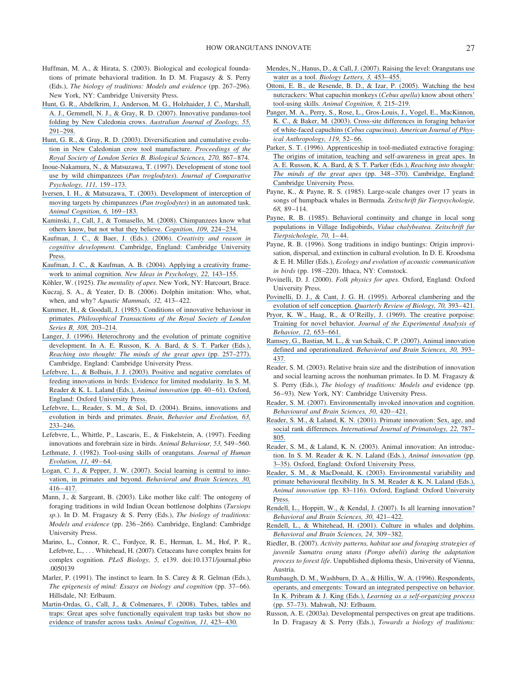- Huffman, M. A., & Hirata, S. (2003). Biological and ecological foundations of primate behavioral tradition. In D. M. Fragaszy & S. Perry (Eds.), *The biology of traditions: Models and evidence* (pp. 267–296). New York, NY: Cambridge University Press.
- [Hunt, G. R., Abdelkrim, J., Anderson, M. G., Holzhaider, J. C., Marshall,](https://www.researchgate.net/publication/236835039_Innovative_pandanus-tool_folding_by_New_Caledonian_crows?el=1_x_8&enrichId=rgreq-298135d38c2275253ec58356c6f255ef-XXX&enrichSource=Y292ZXJQYWdlOzQxNTMxMDg2O0FTOjEyMDIzMjg4MjQ3OTEwNEAxNDA1Njc3MTYxNTYx) [A. J., Gemmell, N. J., & Gray, R. D. \(2007\). Innovative pandanus-tool](https://www.researchgate.net/publication/236835039_Innovative_pandanus-tool_folding_by_New_Caledonian_crows?el=1_x_8&enrichId=rgreq-298135d38c2275253ec58356c6f255ef-XXX&enrichSource=Y292ZXJQYWdlOzQxNTMxMDg2O0FTOjEyMDIzMjg4MjQ3OTEwNEAxNDA1Njc3MTYxNTYx) folding by New Caledonia crows. *[Australian Journal of Zoology, 55,](https://www.researchgate.net/publication/236835039_Innovative_pandanus-tool_folding_by_New_Caledonian_crows?el=1_x_8&enrichId=rgreq-298135d38c2275253ec58356c6f255ef-XXX&enrichSource=Y292ZXJQYWdlOzQxNTMxMDg2O0FTOjEyMDIzMjg4MjQ3OTEwNEAxNDA1Njc3MTYxNTYx)* [291–298.](https://www.researchgate.net/publication/236835039_Innovative_pandanus-tool_folding_by_New_Caledonian_crows?el=1_x_8&enrichId=rgreq-298135d38c2275253ec58356c6f255ef-XXX&enrichSource=Y292ZXJQYWdlOzQxNTMxMDg2O0FTOjEyMDIzMjg4MjQ3OTEwNEAxNDA1Njc3MTYxNTYx)
- [Hunt, G. R., & Gray, R. D. \(2003\). Diversification and cumulative evolu](https://www.researchgate.net/publication/10767706_Diversification_and_cumulative_evolution_in_New_Caledonian_crow_tool_manufacture?el=1_x_8&enrichId=rgreq-298135d38c2275253ec58356c6f255ef-XXX&enrichSource=Y292ZXJQYWdlOzQxNTMxMDg2O0FTOjEyMDIzMjg4MjQ3OTEwNEAxNDA1Njc3MTYxNTYx)[tion in New Caledonian crow tool manufacture.](https://www.researchgate.net/publication/10767706_Diversification_and_cumulative_evolution_in_New_Caledonian_crow_tool_manufacture?el=1_x_8&enrichId=rgreq-298135d38c2275253ec58356c6f255ef-XXX&enrichSource=Y292ZXJQYWdlOzQxNTMxMDg2O0FTOjEyMDIzMjg4MjQ3OTEwNEAxNDA1Njc3MTYxNTYx) *Proceedings of the [Royal Society of London Series B. Biological Sciences, 270,](https://www.researchgate.net/publication/10767706_Diversification_and_cumulative_evolution_in_New_Caledonian_crow_tool_manufacture?el=1_x_8&enrichId=rgreq-298135d38c2275253ec58356c6f255ef-XXX&enrichSource=Y292ZXJQYWdlOzQxNTMxMDg2O0FTOjEyMDIzMjg4MjQ3OTEwNEAxNDA1Njc3MTYxNTYx)* 867– 874.
- [Inoue-Nakamura, N., & Matsuzawa, T. \(1997\). Development of stone tool](https://www.researchgate.net/publication/14049002_Development_of_Stone_Tool_Use_by_Wild_Chimpanzees_Pan_troglodytes?el=1_x_8&enrichId=rgreq-298135d38c2275253ec58356c6f255ef-XXX&enrichSource=Y292ZXJQYWdlOzQxNTMxMDg2O0FTOjEyMDIzMjg4MjQ3OTEwNEAxNDA1Njc3MTYxNTYx) [use by wild chimpanzees \(](https://www.researchgate.net/publication/14049002_Development_of_Stone_Tool_Use_by_Wild_Chimpanzees_Pan_troglodytes?el=1_x_8&enrichId=rgreq-298135d38c2275253ec58356c6f255ef-XXX&enrichSource=Y292ZXJQYWdlOzQxNTMxMDg2O0FTOjEyMDIzMjg4MjQ3OTEwNEAxNDA1Njc3MTYxNTYx)*Pan troglodytes*). *Journal of Comparative [Psychology, 111,](https://www.researchgate.net/publication/14049002_Development_of_Stone_Tool_Use_by_Wild_Chimpanzees_Pan_troglodytes?el=1_x_8&enrichId=rgreq-298135d38c2275253ec58356c6f255ef-XXX&enrichSource=Y292ZXJQYWdlOzQxNTMxMDg2O0FTOjEyMDIzMjg4MjQ3OTEwNEAxNDA1Njc3MTYxNTYx)* 159 –173.
- [Iversen, I. H., & Matsuzawa, T. \(2003\). Development of interception of](https://www.researchgate.net/publication/10747233_Development_of_interception_of_moving_targets_by_chimpanzees_Pan_troglodytes_in_an_automated_task?el=1_x_8&enrichId=rgreq-298135d38c2275253ec58356c6f255ef-XXX&enrichSource=Y292ZXJQYWdlOzQxNTMxMDg2O0FTOjEyMDIzMjg4MjQ3OTEwNEAxNDA1Njc3MTYxNTYx) [moving targets by chimpanzees \(](https://www.researchgate.net/publication/10747233_Development_of_interception_of_moving_targets_by_chimpanzees_Pan_troglodytes_in_an_automated_task?el=1_x_8&enrichId=rgreq-298135d38c2275253ec58356c6f255ef-XXX&enrichSource=Y292ZXJQYWdlOzQxNTMxMDg2O0FTOjEyMDIzMjg4MjQ3OTEwNEAxNDA1Njc3MTYxNTYx)*Pan troglodytes*) in an automated task. *[Animal Cognition, 6,](https://www.researchgate.net/publication/10747233_Development_of_interception_of_moving_targets_by_chimpanzees_Pan_troglodytes_in_an_automated_task?el=1_x_8&enrichId=rgreq-298135d38c2275253ec58356c6f255ef-XXX&enrichSource=Y292ZXJQYWdlOzQxNTMxMDg2O0FTOjEyMDIzMjg4MjQ3OTEwNEAxNDA1Njc3MTYxNTYx)* 169 –183.
- [Kaminski, J., Call, J., & Tomasello, M. \(2008\). Chimpanzees know what](https://www.researchgate.net/publication/23313565_Chimpanzees_Know_What_Others_Know_but_Not_What_They_Believe?el=1_x_8&enrichId=rgreq-298135d38c2275253ec58356c6f255ef-XXX&enrichSource=Y292ZXJQYWdlOzQxNTMxMDg2O0FTOjEyMDIzMjg4MjQ3OTEwNEAxNDA1Njc3MTYxNTYx) [others know, but not what they believe.](https://www.researchgate.net/publication/23313565_Chimpanzees_Know_What_Others_Know_but_Not_What_They_Believe?el=1_x_8&enrichId=rgreq-298135d38c2275253ec58356c6f255ef-XXX&enrichSource=Y292ZXJQYWdlOzQxNTMxMDg2O0FTOjEyMDIzMjg4MjQ3OTEwNEAxNDA1Njc3MTYxNTYx) *Cognition, 109,* 224 –234.
- [Kaufman, J. C., & Baer, J. \(Eds.\). \(2006\).](https://www.researchgate.net/publication/261797718_Creativity_and_reason_in_cognitive_development?el=1_x_8&enrichId=rgreq-298135d38c2275253ec58356c6f255ef-XXX&enrichSource=Y292ZXJQYWdlOzQxNTMxMDg2O0FTOjEyMDIzMjg4MjQ3OTEwNEAxNDA1Njc3MTYxNTYx) *Creativity and reason in cognitive development.* [Cambridge, England: Cambridge University](https://www.researchgate.net/publication/261797718_Creativity_and_reason_in_cognitive_development?el=1_x_8&enrichId=rgreq-298135d38c2275253ec58356c6f255ef-XXX&enrichSource=Y292ZXJQYWdlOzQxNTMxMDg2O0FTOjEyMDIzMjg4MjQ3OTEwNEAxNDA1Njc3MTYxNTYx) [Press.](https://www.researchgate.net/publication/261797718_Creativity_and_reason_in_cognitive_development?el=1_x_8&enrichId=rgreq-298135d38c2275253ec58356c6f255ef-XXX&enrichSource=Y292ZXJQYWdlOzQxNTMxMDg2O0FTOjEyMDIzMjg4MjQ3OTEwNEAxNDA1Njc3MTYxNTYx)
- [Kaufman, J. C., & Kaufman, A. B. \(2004\). Applying a creativity frame](https://www.researchgate.net/publication/222190438_Applying_a_creativity_framework_to_animal_cognition?el=1_x_8&enrichId=rgreq-298135d38c2275253ec58356c6f255ef-XXX&enrichSource=Y292ZXJQYWdlOzQxNTMxMDg2O0FTOjEyMDIzMjg4MjQ3OTEwNEAxNDA1Njc3MTYxNTYx)work to animal cognition. *[New Ideas in Psychology, 22,](https://www.researchgate.net/publication/222190438_Applying_a_creativity_framework_to_animal_cognition?el=1_x_8&enrichId=rgreq-298135d38c2275253ec58356c6f255ef-XXX&enrichSource=Y292ZXJQYWdlOzQxNTMxMDg2O0FTOjEyMDIzMjg4MjQ3OTEwNEAxNDA1Njc3MTYxNTYx)* 143–155.
- Köhler, W. (1925). *The mentality of apes*. New York, NY: Harcourt, Brace. Kuczaj, S. A., & Yeater, D. B. (2006). Dolphin imitation: Who, what, when, and why? *Aquatic Mammals, 32,* 413– 422.
- [Kummer, H., & Goodall, J. \(1985\). Conditions of innovative behaviour in](https://www.researchgate.net/publication/240256252_Conditions_of_Innovative_Behaviour_in_Primates?el=1_x_8&enrichId=rgreq-298135d38c2275253ec58356c6f255ef-XXX&enrichSource=Y292ZXJQYWdlOzQxNTMxMDg2O0FTOjEyMDIzMjg4MjQ3OTEwNEAxNDA1Njc3MTYxNTYx) primates. *[Philosophical Transactions of the Royal Society of London](https://www.researchgate.net/publication/240256252_Conditions_of_Innovative_Behaviour_in_Primates?el=1_x_8&enrichId=rgreq-298135d38c2275253ec58356c6f255ef-XXX&enrichSource=Y292ZXJQYWdlOzQxNTMxMDg2O0FTOjEyMDIzMjg4MjQ3OTEwNEAxNDA1Njc3MTYxNTYx) [Series B, 308,](https://www.researchgate.net/publication/240256252_Conditions_of_Innovative_Behaviour_in_Primates?el=1_x_8&enrichId=rgreq-298135d38c2275253ec58356c6f255ef-XXX&enrichSource=Y292ZXJQYWdlOzQxNTMxMDg2O0FTOjEyMDIzMjg4MjQ3OTEwNEAxNDA1Njc3MTYxNTYx)* 203–214.
- [Langer, J. \(1996\). Heterochrony and the evolution of primate cognitive](https://www.researchgate.net/publication/295660226_Heterochrony_and_the_evolution_of_primate_cognitive_development?el=1_x_8&enrichId=rgreq-298135d38c2275253ec58356c6f255ef-XXX&enrichSource=Y292ZXJQYWdlOzQxNTMxMDg2O0FTOjEyMDIzMjg4MjQ3OTEwNEAxNDA1Njc3MTYxNTYx) [development. In A. E. Russon, K. A. Bard, & S. T. Parker \(Eds.\),](https://www.researchgate.net/publication/295660226_Heterochrony_and_the_evolution_of_primate_cognitive_development?el=1_x_8&enrichId=rgreq-298135d38c2275253ec58356c6f255ef-XXX&enrichSource=Y292ZXJQYWdlOzQxNTMxMDg2O0FTOjEyMDIzMjg4MjQ3OTEwNEAxNDA1Njc3MTYxNTYx) *[Reaching into thought: The minds of the great apes](https://www.researchgate.net/publication/295660226_Heterochrony_and_the_evolution_of_primate_cognitive_development?el=1_x_8&enrichId=rgreq-298135d38c2275253ec58356c6f255ef-XXX&enrichSource=Y292ZXJQYWdlOzQxNTMxMDg2O0FTOjEyMDIzMjg4MjQ3OTEwNEAxNDA1Njc3MTYxNTYx)* (pp. 257–277). Cambridge, England: Cambridge University Press.
- [Lefebvre, L., & Bolhuis, J. J. \(2003\). Positive and negative correlates of](https://www.researchgate.net/publication/46643390_Positive_and_Negative_Correlates_of_Feeding_Innovations_in_Birds_Evidence_for_Limited_Modularity?el=1_x_8&enrichId=rgreq-298135d38c2275253ec58356c6f255ef-XXX&enrichSource=Y292ZXJQYWdlOzQxNTMxMDg2O0FTOjEyMDIzMjg4MjQ3OTEwNEAxNDA1Njc3MTYxNTYx) [feeding innovations in birds: Evidence for limited modularity. In S. M.](https://www.researchgate.net/publication/46643390_Positive_and_Negative_Correlates_of_Feeding_Innovations_in_Birds_Evidence_for_Limited_Modularity?el=1_x_8&enrichId=rgreq-298135d38c2275253ec58356c6f255ef-XXX&enrichSource=Y292ZXJQYWdlOzQxNTMxMDg2O0FTOjEyMDIzMjg4MjQ3OTEwNEAxNDA1Njc3MTYxNTYx) [Reader & K. L. Laland \(Eds.\),](https://www.researchgate.net/publication/46643390_Positive_and_Negative_Correlates_of_Feeding_Innovations_in_Birds_Evidence_for_Limited_Modularity?el=1_x_8&enrichId=rgreq-298135d38c2275253ec58356c6f255ef-XXX&enrichSource=Y292ZXJQYWdlOzQxNTMxMDg2O0FTOjEyMDIzMjg4MjQ3OTEwNEAxNDA1Njc3MTYxNTYx) *Animal innovation* (pp. 40-61). Oxford, [England: Oxford University Press.](https://www.researchgate.net/publication/46643390_Positive_and_Negative_Correlates_of_Feeding_Innovations_in_Birds_Evidence_for_Limited_Modularity?el=1_x_8&enrichId=rgreq-298135d38c2275253ec58356c6f255ef-XXX&enrichSource=Y292ZXJQYWdlOzQxNTMxMDg2O0FTOjEyMDIzMjg4MjQ3OTEwNEAxNDA1Njc3MTYxNTYx)
- [Lefebvre, L., Reader, S. M., & Sol, D. \(2004\). Brains, innovations and](https://www.researchgate.net/publication/8618169_Brains_Innovations_and_Evolution_in_Birds_and_Primates?el=1_x_8&enrichId=rgreq-298135d38c2275253ec58356c6f255ef-XXX&enrichSource=Y292ZXJQYWdlOzQxNTMxMDg2O0FTOjEyMDIzMjg4MjQ3OTEwNEAxNDA1Njc3MTYxNTYx) evolution in birds and primates. *[Brain, Behavior and Evolution, 63,](https://www.researchgate.net/publication/8618169_Brains_Innovations_and_Evolution_in_Birds_and_Primates?el=1_x_8&enrichId=rgreq-298135d38c2275253ec58356c6f255ef-XXX&enrichSource=Y292ZXJQYWdlOzQxNTMxMDg2O0FTOjEyMDIzMjg4MjQ3OTEwNEAxNDA1Njc3MTYxNTYx)* [233–246.](https://www.researchgate.net/publication/8618169_Brains_Innovations_and_Evolution_in_Birds_and_Primates?el=1_x_8&enrichId=rgreq-298135d38c2275253ec58356c6f255ef-XXX&enrichSource=Y292ZXJQYWdlOzQxNTMxMDg2O0FTOjEyMDIzMjg4MjQ3OTEwNEAxNDA1Njc3MTYxNTYx)
- Lefebvre, L., Whittle, P., Lascaris, E., & Finkelstein, A. (1997). Feeding innovations and forebrain size in birds. *Animal Behaviour, 53,* 549 –560.
- [Lethmate, J. \(1982\). Tool-using skills of orangutans.](https://www.researchgate.net/publication/229355663_Tool-using_skills_of_orang-utans?el=1_x_8&enrichId=rgreq-298135d38c2275253ec58356c6f255ef-XXX&enrichSource=Y292ZXJQYWdlOzQxNTMxMDg2O0FTOjEyMDIzMjg4MjQ3OTEwNEAxNDA1Njc3MTYxNTYx) *Journal of Human [Evolution, 11,](https://www.researchgate.net/publication/229355663_Tool-using_skills_of_orang-utans?el=1_x_8&enrichId=rgreq-298135d38c2275253ec58356c6f255ef-XXX&enrichSource=Y292ZXJQYWdlOzQxNTMxMDg2O0FTOjEyMDIzMjg4MjQ3OTEwNEAxNDA1Njc3MTYxNTYx)* 49 – 64.
- [Logan, C. J., & Pepper, J. W. \(2007\). Social learning is central to inno](https://www.researchgate.net/publication/231942321_Social_learning_is_central_to_innovation_in_primates_and_beyond?el=1_x_8&enrichId=rgreq-298135d38c2275253ec58356c6f255ef-XXX&enrichSource=Y292ZXJQYWdlOzQxNTMxMDg2O0FTOjEyMDIzMjg4MjQ3OTEwNEAxNDA1Njc3MTYxNTYx)vation, in primates and beyond. *[Behavioral and Brain Sciences, 30,](https://www.researchgate.net/publication/231942321_Social_learning_is_central_to_innovation_in_primates_and_beyond?el=1_x_8&enrichId=rgreq-298135d38c2275253ec58356c6f255ef-XXX&enrichSource=Y292ZXJQYWdlOzQxNTMxMDg2O0FTOjEyMDIzMjg4MjQ3OTEwNEAxNDA1Njc3MTYxNTYx)* [416 – 417.](https://www.researchgate.net/publication/231942321_Social_learning_is_central_to_innovation_in_primates_and_beyond?el=1_x_8&enrichId=rgreq-298135d38c2275253ec58356c6f255ef-XXX&enrichSource=Y292ZXJQYWdlOzQxNTMxMDg2O0FTOjEyMDIzMjg4MjQ3OTEwNEAxNDA1Njc3MTYxNTYx)
- Mann, J., & Sargeant, B. (2003). Like mother like calf: The ontogeny of foraging traditions in wild Indian Ocean bottlenose dolphins (*Tursiops sp.*). In D. M. Fragaszy & S. Perry (Eds.), *The biology of traditions: Models and evidence* (pp. 236 –266). Cambridge, England: Cambridge University Press.
- Marino, L., Connor, R. C., Fordyce, R. E., Herman, L. M., Hof, P. R., Lefebvre, L., ... Whitehead, H. (2007). Cetaceans have complex brains for complex cognition. *PLoS Biology, 5,* e139. doi:10.1371/journal.pbio .0050139
- Marler, P. (1991). The instinct to learn. In S. Carey & R. Gelman (Eds.), The epigenesis of mind: Essays on biology and cognition (pp. 37-66). Hillsdale, NJ: Erlbaum.
- [Martin-Ordas, G., Call, J., & Colmenares, F. \(2008\). Tubes, tables and](https://www.researchgate.net/publication/5667857_Tubes_tables_and_traps_Great_apes_solve_two_functionally_equivalent_trap_tasks_but_show_no_evidence_of_transfer_across_tasks?el=1_x_8&enrichId=rgreq-298135d38c2275253ec58356c6f255ef-XXX&enrichSource=Y292ZXJQYWdlOzQxNTMxMDg2O0FTOjEyMDIzMjg4MjQ3OTEwNEAxNDA1Njc3MTYxNTYx) [traps: Great apes solve functionally equivalent trap tasks but show no](https://www.researchgate.net/publication/5667857_Tubes_tables_and_traps_Great_apes_solve_two_functionally_equivalent_trap_tasks_but_show_no_evidence_of_transfer_across_tasks?el=1_x_8&enrichId=rgreq-298135d38c2275253ec58356c6f255ef-XXX&enrichSource=Y292ZXJQYWdlOzQxNTMxMDg2O0FTOjEyMDIzMjg4MjQ3OTEwNEAxNDA1Njc3MTYxNTYx) [evidence of transfer across tasks.](https://www.researchgate.net/publication/5667857_Tubes_tables_and_traps_Great_apes_solve_two_functionally_equivalent_trap_tasks_but_show_no_evidence_of_transfer_across_tasks?el=1_x_8&enrichId=rgreq-298135d38c2275253ec58356c6f255ef-XXX&enrichSource=Y292ZXJQYWdlOzQxNTMxMDg2O0FTOjEyMDIzMjg4MjQ3OTEwNEAxNDA1Njc3MTYxNTYx) *Animal Cognition, 11, 423-430*.
- [Mendes, N., Hanus, D., & Call, J. \(2007\). Raising the level: Orangutans use](https://www.researchgate.net/publication/6228924_Raising_the_level_Orangutans_use_water_as_a_tool?el=1_x_8&enrichId=rgreq-298135d38c2275253ec58356c6f255ef-XXX&enrichSource=Y292ZXJQYWdlOzQxNTMxMDg2O0FTOjEyMDIzMjg4MjQ3OTEwNEAxNDA1Njc3MTYxNTYx) water as a tool. *[Biology Letters, 3,](https://www.researchgate.net/publication/6228924_Raising_the_level_Orangutans_use_water_as_a_tool?el=1_x_8&enrichId=rgreq-298135d38c2275253ec58356c6f255ef-XXX&enrichSource=Y292ZXJQYWdlOzQxNTMxMDg2O0FTOjEyMDIzMjg4MjQ3OTEwNEAxNDA1Njc3MTYxNTYx)* 453– 455.
- [Ottoni, E. B., de Resende, B. D., & Izar, P. \(2005\). Watching the best](https://www.researchgate.net/publication/8014572_Watching_the_best_nutcrackers_what_capuchin_monkeys_Cebus_apella_know_about_others) [nutcrackers: What capuchin monkeys \(](https://www.researchgate.net/publication/8014572_Watching_the_best_nutcrackers_what_capuchin_monkeys_Cebus_apella_know_about_others)*Cebus apella*) know about others' tool-using skills. *[Animal Cognition, 8,](https://www.researchgate.net/publication/8014572_Watching_the_best_nutcrackers_what_capuchin_monkeys_Cebus_apella_know_about_others)* 215–219.
- [Panger, M. A., Perry, S., Rose, L., Gros-Louis, J., Vogel, E., MacKinnon,](https://www.researchgate.net/publication/11178609_Cross-site_differences_in_foraging_behavior_of_white-faced_capuchins_Cebus_capucinus?el=1_x_8&enrichId=rgreq-298135d38c2275253ec58356c6f255ef-XXX&enrichSource=Y292ZXJQYWdlOzQxNTMxMDg2O0FTOjEyMDIzMjg4MjQ3OTEwNEAxNDA1Njc3MTYxNTYx) [K. C., & Baker, M. \(2003\). Cross-site differences in foraging behavior](https://www.researchgate.net/publication/11178609_Cross-site_differences_in_foraging_behavior_of_white-faced_capuchins_Cebus_capucinus?el=1_x_8&enrichId=rgreq-298135d38c2275253ec58356c6f255ef-XXX&enrichSource=Y292ZXJQYWdlOzQxNTMxMDg2O0FTOjEyMDIzMjg4MjQ3OTEwNEAxNDA1Njc3MTYxNTYx) of white-faced capuchins (*Cebus capucinus*). *[American Journal of Phys](https://www.researchgate.net/publication/11178609_Cross-site_differences_in_foraging_behavior_of_white-faced_capuchins_Cebus_capucinus?el=1_x_8&enrichId=rgreq-298135d38c2275253ec58356c6f255ef-XXX&enrichSource=Y292ZXJQYWdlOzQxNTMxMDg2O0FTOjEyMDIzMjg4MjQ3OTEwNEAxNDA1Njc3MTYxNTYx)[ical Anthropology, 119,](https://www.researchgate.net/publication/11178609_Cross-site_differences_in_foraging_behavior_of_white-faced_capuchins_Cebus_capucinus?el=1_x_8&enrichId=rgreq-298135d38c2275253ec58356c6f255ef-XXX&enrichSource=Y292ZXJQYWdlOzQxNTMxMDg2O0FTOjEyMDIzMjg4MjQ3OTEwNEAxNDA1Njc3MTYxNTYx)* 52– 66.
- [Parker, S. T. \(1996\). Apprenticeship in tool-mediated extractive foraging:](https://www.researchgate.net/publication/283814168_Apprenticeship_in_tool-mediated_extractive_foraging_the_origins_of_imitation_teaching_and_self-awareness_in_great_apes?el=1_x_8&enrichId=rgreq-298135d38c2275253ec58356c6f255ef-XXX&enrichSource=Y292ZXJQYWdlOzQxNTMxMDg2O0FTOjEyMDIzMjg4MjQ3OTEwNEAxNDA1Njc3MTYxNTYx) [The origins of imitation, teaching and self-awareness in great apes. In](https://www.researchgate.net/publication/283814168_Apprenticeship_in_tool-mediated_extractive_foraging_the_origins_of_imitation_teaching_and_self-awareness_in_great_apes?el=1_x_8&enrichId=rgreq-298135d38c2275253ec58356c6f255ef-XXX&enrichSource=Y292ZXJQYWdlOzQxNTMxMDg2O0FTOjEyMDIzMjg4MjQ3OTEwNEAxNDA1Njc3MTYxNTYx) [A. E. Russon, K. A. Bard, & S. T. Parker \(Eds.\),](https://www.researchgate.net/publication/283814168_Apprenticeship_in_tool-mediated_extractive_foraging_the_origins_of_imitation_teaching_and_self-awareness_in_great_apes?el=1_x_8&enrichId=rgreq-298135d38c2275253ec58356c6f255ef-XXX&enrichSource=Y292ZXJQYWdlOzQxNTMxMDg2O0FTOjEyMDIzMjg4MjQ3OTEwNEAxNDA1Njc3MTYxNTYx) *Reaching into thought: The minds of the great apes* [\(pp. 348 –370\). Cambridge, England:](https://www.researchgate.net/publication/283814168_Apprenticeship_in_tool-mediated_extractive_foraging_the_origins_of_imitation_teaching_and_self-awareness_in_great_apes?el=1_x_8&enrichId=rgreq-298135d38c2275253ec58356c6f255ef-XXX&enrichSource=Y292ZXJQYWdlOzQxNTMxMDg2O0FTOjEyMDIzMjg4MjQ3OTEwNEAxNDA1Njc3MTYxNTYx) [Cambridge University Press.](https://www.researchgate.net/publication/283814168_Apprenticeship_in_tool-mediated_extractive_foraging_the_origins_of_imitation_teaching_and_self-awareness_in_great_apes?el=1_x_8&enrichId=rgreq-298135d38c2275253ec58356c6f255ef-XXX&enrichSource=Y292ZXJQYWdlOzQxNTMxMDg2O0FTOjEyMDIzMjg4MjQ3OTEwNEAxNDA1Njc3MTYxNTYx)
- Payne, K., & Payne, R. S. (1985). Large-scale changes over 17 years in songs of humpback whales in Bermuda. Zeitschrift für Tierpsychologie, *68,* 89 –114.
- [Payne, R. B. \(1985\). Behavioral continuity and change in local song](https://www.researchgate.net/publication/232493380_Behavioral_Continuity_and_Change_in_Local_Song_Populations_of_Village_Indigobirds_Vidua_chalybeate?el=1_x_8&enrichId=rgreq-298135d38c2275253ec58356c6f255ef-XXX&enrichSource=Y292ZXJQYWdlOzQxNTMxMDg2O0FTOjEyMDIzMjg4MjQ3OTEwNEAxNDA1Njc3MTYxNTYx) [populations in Village Indigobirds,](https://www.researchgate.net/publication/232493380_Behavioral_Continuity_and_Change_in_Local_Song_Populations_of_Village_Indigobirds_Vidua_chalybeate?el=1_x_8&enrichId=rgreq-298135d38c2275253ec58356c6f255ef-XXX&enrichSource=Y292ZXJQYWdlOzQxNTMxMDg2O0FTOjEyMDIzMjg4MjQ3OTEwNEAxNDA1Njc3MTYxNTYx) *Vidua chalybeatea. Zeitschrift fur [Tierpsichologie, 70,](https://www.researchgate.net/publication/232493380_Behavioral_Continuity_and_Change_in_Local_Song_Populations_of_Village_Indigobirds_Vidua_chalybeate?el=1_x_8&enrichId=rgreq-298135d38c2275253ec58356c6f255ef-XXX&enrichSource=Y292ZXJQYWdlOzQxNTMxMDg2O0FTOjEyMDIzMjg4MjQ3OTEwNEAxNDA1Njc3MTYxNTYx)* 1– 44.
- Payne, R. B. (1996). Song traditions in indigo buntings: Origin improvisation, dispersal, and extinction in cultural evolution. In D. E. Kroodsma & E. H. Miller (Eds.), *Ecology and evolution of acoustic communication in birds* (pp. 198 –220). Ithaca, NY: Comstock.
- Povinelli, D. J. (2000). *Folk physics for apes.* Oxford, England: Oxford University Press.
- [Povinelli, D. J., & Cant, J. G. H. \(1995\). Arboreal clambering and the](https://www.researchgate.net/publication/14629363_Arboreal_Clambering_and_the_Evolution_of_Self-Conception?el=1_x_8&enrichId=rgreq-298135d38c2275253ec58356c6f255ef-XXX&enrichSource=Y292ZXJQYWdlOzQxNTMxMDg2O0FTOjEyMDIzMjg4MjQ3OTEwNEAxNDA1Njc3MTYxNTYx) evolution of self conception. *[Quarterly Review of Biology, 70,](https://www.researchgate.net/publication/14629363_Arboreal_Clambering_and_the_Evolution_of_Self-Conception?el=1_x_8&enrichId=rgreq-298135d38c2275253ec58356c6f255ef-XXX&enrichSource=Y292ZXJQYWdlOzQxNTMxMDg2O0FTOjEyMDIzMjg4MjQ3OTEwNEAxNDA1Njc3MTYxNTYx)* 393– 421.
- [Pryor, K. W., Haag, R., & O'Reilly, J. \(1969\). The creative porpoise:](https://www.researchgate.net/publication/6974294_The_creative_porpoise_Training_for_novel_behavior?el=1_x_8&enrichId=rgreq-298135d38c2275253ec58356c6f255ef-XXX&enrichSource=Y292ZXJQYWdlOzQxNTMxMDg2O0FTOjEyMDIzMjg4MjQ3OTEwNEAxNDA1Njc3MTYxNTYx) Training for novel behavior. *[Journal of the Experimental Analysis of](https://www.researchgate.net/publication/6974294_The_creative_porpoise_Training_for_novel_behavior?el=1_x_8&enrichId=rgreq-298135d38c2275253ec58356c6f255ef-XXX&enrichSource=Y292ZXJQYWdlOzQxNTMxMDg2O0FTOjEyMDIzMjg4MjQ3OTEwNEAxNDA1Njc3MTYxNTYx) [Behavior, 12,](https://www.researchgate.net/publication/6974294_The_creative_porpoise_Training_for_novel_behavior?el=1_x_8&enrichId=rgreq-298135d38c2275253ec58356c6f255ef-XXX&enrichSource=Y292ZXJQYWdlOzQxNTMxMDg2O0FTOjEyMDIzMjg4MjQ3OTEwNEAxNDA1Njc3MTYxNTYx)* 653– 661.
- [Ramsey, G., Bastian, M. L., & van Schaik, C. P. \(2007\). Animal innovation](https://www.researchgate.net/publication/5766633_Animal_innovation_defined_and_operationalized?el=1_x_8&enrichId=rgreq-298135d38c2275253ec58356c6f255ef-XXX&enrichSource=Y292ZXJQYWdlOzQxNTMxMDg2O0FTOjEyMDIzMjg4MjQ3OTEwNEAxNDA1Njc3MTYxNTYx) defined and operationalized. *[Behavioral and Brain Sciences, 30,](https://www.researchgate.net/publication/5766633_Animal_innovation_defined_and_operationalized?el=1_x_8&enrichId=rgreq-298135d38c2275253ec58356c6f255ef-XXX&enrichSource=Y292ZXJQYWdlOzQxNTMxMDg2O0FTOjEyMDIzMjg4MjQ3OTEwNEAxNDA1Njc3MTYxNTYx)* 393– [437.](https://www.researchgate.net/publication/5766633_Animal_innovation_defined_and_operationalized?el=1_x_8&enrichId=rgreq-298135d38c2275253ec58356c6f255ef-XXX&enrichSource=Y292ZXJQYWdlOzQxNTMxMDg2O0FTOjEyMDIzMjg4MjQ3OTEwNEAxNDA1Njc3MTYxNTYx)
- Reader, S. M. (2003). Relative brain size and the distribution of innovation and social learning across the nonhuman primates. In D. M. Fragaszy & S. Perry (Eds.), *The biology of traditions: Models and* evidence (pp. 56 –93). New York, NY: Cambridge University Press.
- [Reader, S. M. \(2007\). Environmentally invoked innovation and cognition.](https://www.researchgate.net/publication/46699492_Environmentally_invoked_innovation_and_cognition?el=1_x_8&enrichId=rgreq-298135d38c2275253ec58356c6f255ef-XXX&enrichSource=Y292ZXJQYWdlOzQxNTMxMDg2O0FTOjEyMDIzMjg4MjQ3OTEwNEAxNDA1Njc3MTYxNTYx) *[Behavioural and Brain Sciences, 30,](https://www.researchgate.net/publication/46699492_Environmentally_invoked_innovation_and_cognition?el=1_x_8&enrichId=rgreq-298135d38c2275253ec58356c6f255ef-XXX&enrichSource=Y292ZXJQYWdlOzQxNTMxMDg2O0FTOjEyMDIzMjg4MjQ3OTEwNEAxNDA1Njc3MTYxNTYx)* 420 – 421.
- [Reader, S. M., & Laland, K. N. \(2001\). Primate innovation: Sex, age, and](https://www.researchgate.net/publication/263058460_Primate_Innovation_Sex_Age_and_Social_Rank_Differences?el=1_x_8&enrichId=rgreq-298135d38c2275253ec58356c6f255ef-XXX&enrichSource=Y292ZXJQYWdlOzQxNTMxMDg2O0FTOjEyMDIzMjg4MjQ3OTEwNEAxNDA1Njc3MTYxNTYx) social rank differences. *[International Journal of Primatology, 22,](https://www.researchgate.net/publication/263058460_Primate_Innovation_Sex_Age_and_Social_Rank_Differences?el=1_x_8&enrichId=rgreq-298135d38c2275253ec58356c6f255ef-XXX&enrichSource=Y292ZXJQYWdlOzQxNTMxMDg2O0FTOjEyMDIzMjg4MjQ3OTEwNEAxNDA1Njc3MTYxNTYx)* 787– [805.](https://www.researchgate.net/publication/263058460_Primate_Innovation_Sex_Age_and_Social_Rank_Differences?el=1_x_8&enrichId=rgreq-298135d38c2275253ec58356c6f255ef-XXX&enrichSource=Y292ZXJQYWdlOzQxNTMxMDg2O0FTOjEyMDIzMjg4MjQ3OTEwNEAxNDA1Njc3MTYxNTYx)
- [Reader, S. M., & Laland, K. N. \(2003\). Animal innovation: An introduc](https://www.researchgate.net/publication/46634838_Animal_Innovation_An_Introduction?el=1_x_8&enrichId=rgreq-298135d38c2275253ec58356c6f255ef-XXX&enrichSource=Y292ZXJQYWdlOzQxNTMxMDg2O0FTOjEyMDIzMjg4MjQ3OTEwNEAxNDA1Njc3MTYxNTYx)[tion. In S. M. Reader & K. N. Laland \(Eds.\),](https://www.researchgate.net/publication/46634838_Animal_Innovation_An_Introduction?el=1_x_8&enrichId=rgreq-298135d38c2275253ec58356c6f255ef-XXX&enrichSource=Y292ZXJQYWdlOzQxNTMxMDg2O0FTOjEyMDIzMjg4MjQ3OTEwNEAxNDA1Njc3MTYxNTYx) *Animal innovation* (pp. [3–35\). Oxford, England: Oxford University Press.](https://www.researchgate.net/publication/46634838_Animal_Innovation_An_Introduction?el=1_x_8&enrichId=rgreq-298135d38c2275253ec58356c6f255ef-XXX&enrichSource=Y292ZXJQYWdlOzQxNTMxMDg2O0FTOjEyMDIzMjg4MjQ3OTEwNEAxNDA1Njc3MTYxNTYx)
- [Reader, S. M., & MacDonald, K. \(2003\). Environmental variability and](https://www.researchgate.net/publication/46634905_Environmental_Variability_and_Primate_Behavioural_Flexibility?el=1_x_8&enrichId=rgreq-298135d38c2275253ec58356c6f255ef-XXX&enrichSource=Y292ZXJQYWdlOzQxNTMxMDg2O0FTOjEyMDIzMjg4MjQ3OTEwNEAxNDA1Njc3MTYxNTYx) [primate behavioural flexibility. In S. M. Reader & K. N. Laland \(Eds.\),](https://www.researchgate.net/publication/46634905_Environmental_Variability_and_Primate_Behavioural_Flexibility?el=1_x_8&enrichId=rgreq-298135d38c2275253ec58356c6f255ef-XXX&enrichSource=Y292ZXJQYWdlOzQxNTMxMDg2O0FTOjEyMDIzMjg4MjQ3OTEwNEAxNDA1Njc3MTYxNTYx) *Animal innovation* [\(pp. 83–116\). Oxford, England: Oxford University](https://www.researchgate.net/publication/46634905_Environmental_Variability_and_Primate_Behavioural_Flexibility?el=1_x_8&enrichId=rgreq-298135d38c2275253ec58356c6f255ef-XXX&enrichSource=Y292ZXJQYWdlOzQxNTMxMDg2O0FTOjEyMDIzMjg4MjQ3OTEwNEAxNDA1Njc3MTYxNTYx) [Press.](https://www.researchgate.net/publication/46634905_Environmental_Variability_and_Primate_Behavioural_Flexibility?el=1_x_8&enrichId=rgreq-298135d38c2275253ec58356c6f255ef-XXX&enrichSource=Y292ZXJQYWdlOzQxNTMxMDg2O0FTOjEyMDIzMjg4MjQ3OTEwNEAxNDA1Njc3MTYxNTYx)
- [Rendell, L., Hoppitt, W., & Kendal, J. \(2007\). Is all learning innovation?](https://www.researchgate.net/publication/231992818_Is_all_learning_innovation?el=1_x_8&enrichId=rgreq-298135d38c2275253ec58356c6f255ef-XXX&enrichSource=Y292ZXJQYWdlOzQxNTMxMDg2O0FTOjEyMDIzMjg4MjQ3OTEwNEAxNDA1Njc3MTYxNTYx) *[Behavioral and Brain Sciences, 30,](https://www.researchgate.net/publication/231992818_Is_all_learning_innovation?el=1_x_8&enrichId=rgreq-298135d38c2275253ec58356c6f255ef-XXX&enrichSource=Y292ZXJQYWdlOzQxNTMxMDg2O0FTOjEyMDIzMjg4MjQ3OTEwNEAxNDA1Njc3MTYxNTYx)* 421– 422.
- [Rendell, L., & Whitehead, H. \(2001\). Culture in whales and dolphins.](https://www.researchgate.net/publication/11814696_Culture_in_Whales_and_Dolphins?el=1_x_8&enrichId=rgreq-298135d38c2275253ec58356c6f255ef-XXX&enrichSource=Y292ZXJQYWdlOzQxNTMxMDg2O0FTOjEyMDIzMjg4MjQ3OTEwNEAxNDA1Njc3MTYxNTYx) *[Behavioral and Brain Sciences, 24,](https://www.researchgate.net/publication/11814696_Culture_in_Whales_and_Dolphins?el=1_x_8&enrichId=rgreq-298135d38c2275253ec58356c6f255ef-XXX&enrichSource=Y292ZXJQYWdlOzQxNTMxMDg2O0FTOjEyMDIzMjg4MjQ3OTEwNEAxNDA1Njc3MTYxNTYx)* 309 –382.
- Riedler, B. (2007). *Activity patterns, habitat use and foraging strategies of juvenile Sumatra orang utans (Pongo abelii*) *during the adaptation process to forest life*. Unpublished diploma thesis, University of Vienna, Austria.
- [Rumbaugh, D. M., Washburn, D. A., & Hillix, W. A. \(1996\). Respondents,](https://www.researchgate.net/publication/24296310_Respondents_Operants_and_Emergents_Toward_an_Integrated_Perspective_on_Behavior?el=1_x_8&enrichId=rgreq-298135d38c2275253ec58356c6f255ef-XXX&enrichSource=Y292ZXJQYWdlOzQxNTMxMDg2O0FTOjEyMDIzMjg4MjQ3OTEwNEAxNDA1Njc3MTYxNTYx) [operants, and emergents: Toward an integrated perspective on behavior.](https://www.researchgate.net/publication/24296310_Respondents_Operants_and_Emergents_Toward_an_Integrated_Perspective_on_Behavior?el=1_x_8&enrichId=rgreq-298135d38c2275253ec58356c6f255ef-XXX&enrichSource=Y292ZXJQYWdlOzQxNTMxMDg2O0FTOjEyMDIzMjg4MjQ3OTEwNEAxNDA1Njc3MTYxNTYx) In K. Pribram & J. King (Eds.), *[Learning as a self-organizing process](https://www.researchgate.net/publication/24296310_Respondents_Operants_and_Emergents_Toward_an_Integrated_Perspective_on_Behavior?el=1_x_8&enrichId=rgreq-298135d38c2275253ec58356c6f255ef-XXX&enrichSource=Y292ZXJQYWdlOzQxNTMxMDg2O0FTOjEyMDIzMjg4MjQ3OTEwNEAxNDA1Njc3MTYxNTYx)* [\(pp. 57–73\). Mahwah, NJ: Erlbaum.](https://www.researchgate.net/publication/24296310_Respondents_Operants_and_Emergents_Toward_an_Integrated_Perspective_on_Behavior?el=1_x_8&enrichId=rgreq-298135d38c2275253ec58356c6f255ef-XXX&enrichSource=Y292ZXJQYWdlOzQxNTMxMDg2O0FTOjEyMDIzMjg4MjQ3OTEwNEAxNDA1Njc3MTYxNTYx)
- Russon, A. E. (2003a). Developmental perspectives on great ape traditions. In D. Fragaszy & S. Perry (Eds.), *Towards a biology of traditions:*